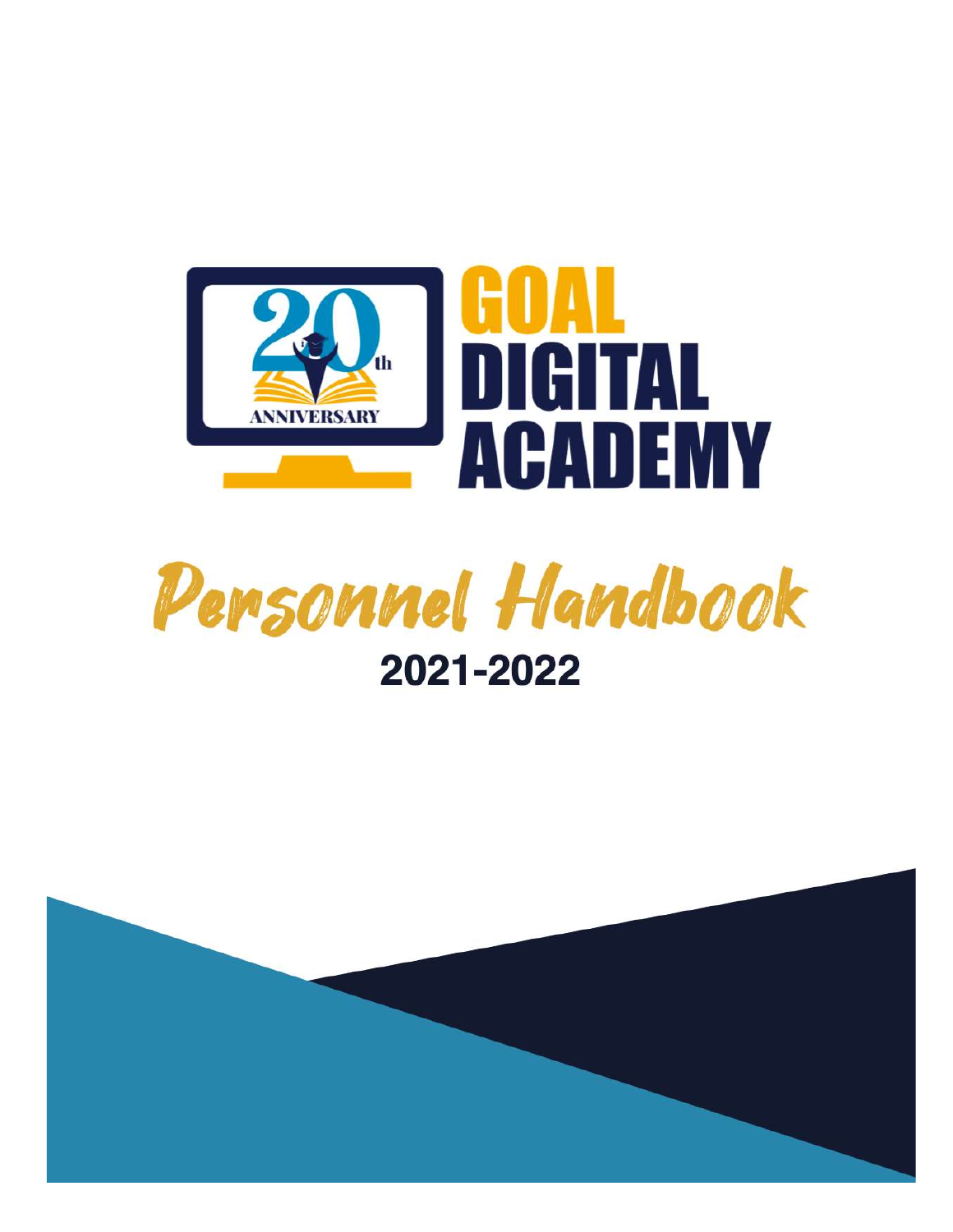



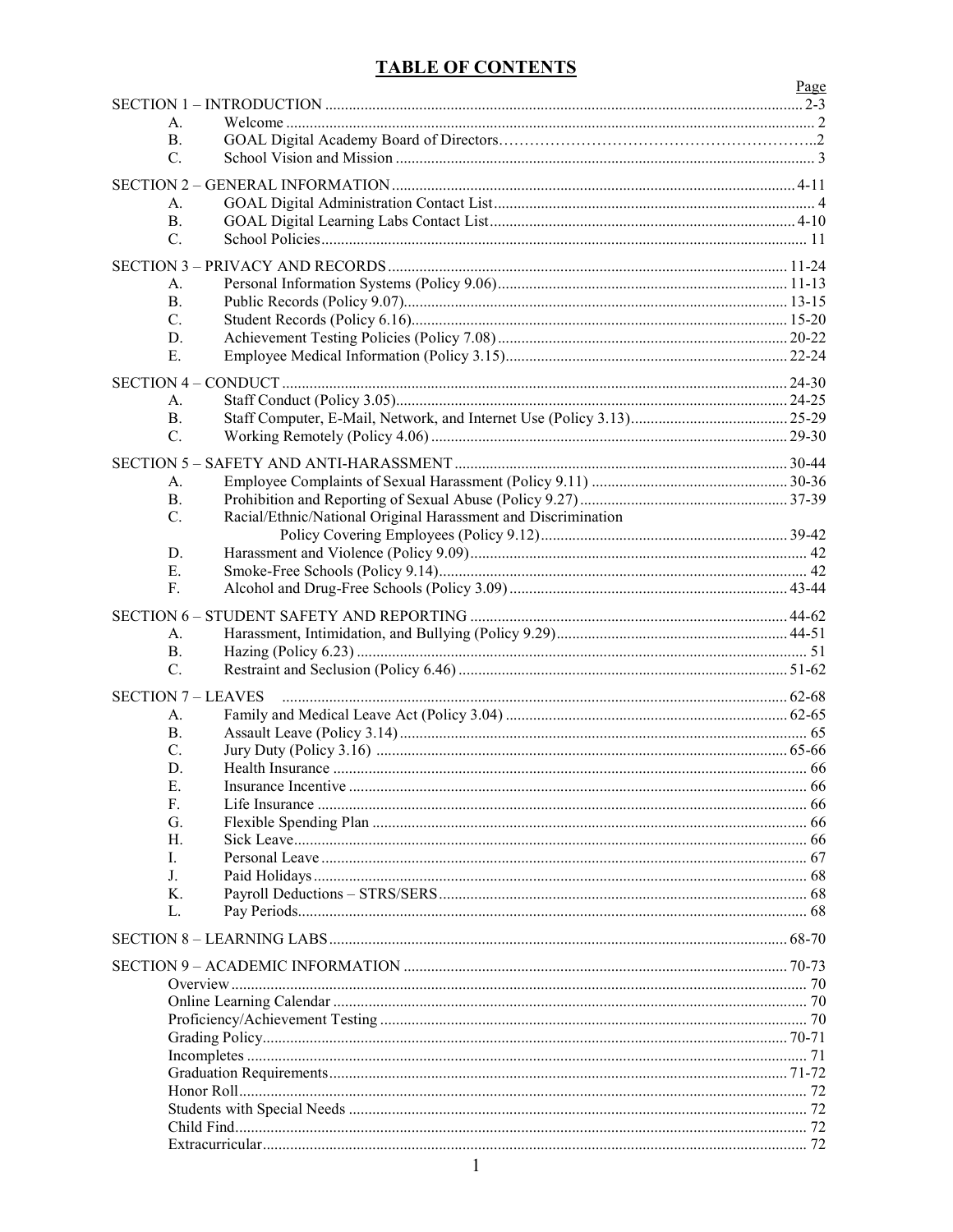## **TABLE OF CONTENTS**

|                  |                                                               | Page |
|------------------|---------------------------------------------------------------|------|
| A.               |                                                               |      |
| <b>B.</b>        |                                                               |      |
| C.               |                                                               |      |
|                  |                                                               |      |
| А.               |                                                               |      |
| <b>B.</b>        |                                                               |      |
| C.               |                                                               |      |
|                  |                                                               |      |
| А.               |                                                               |      |
| <b>B.</b>        |                                                               |      |
| C.               |                                                               |      |
| D.               |                                                               |      |
| Ε.               |                                                               |      |
|                  |                                                               |      |
| A.               |                                                               |      |
| <b>B.</b>        |                                                               |      |
| C.               |                                                               |      |
| <b>SECTION 5</b> |                                                               |      |
| А.               |                                                               |      |
| <b>B.</b>        |                                                               |      |
| $C_{\cdot}$      | Racial/Ethnic/National Original Harassment and Discrimination |      |
| D.               |                                                               |      |
| Ε.               |                                                               |      |
| F.               |                                                               |      |
|                  |                                                               |      |
| A.               |                                                               |      |
| <b>B.</b>        |                                                               |      |
| C.               |                                                               |      |
|                  | <b>SECTION 7 - LEAVES</b>                                     |      |
| А.               |                                                               |      |
| <b>B.</b>        |                                                               |      |
| C.               |                                                               |      |
| D.               |                                                               |      |
| Ε.<br>F.         |                                                               |      |
| G.               |                                                               |      |
| Н.               |                                                               |      |
| L.               |                                                               |      |
| J.               |                                                               |      |
| К.               |                                                               |      |
| L.               |                                                               |      |
|                  |                                                               |      |
|                  |                                                               |      |
|                  |                                                               |      |
|                  |                                                               |      |
|                  |                                                               |      |
|                  |                                                               |      |
|                  |                                                               |      |
|                  |                                                               |      |
|                  |                                                               |      |
|                  |                                                               |      |
|                  |                                                               |      |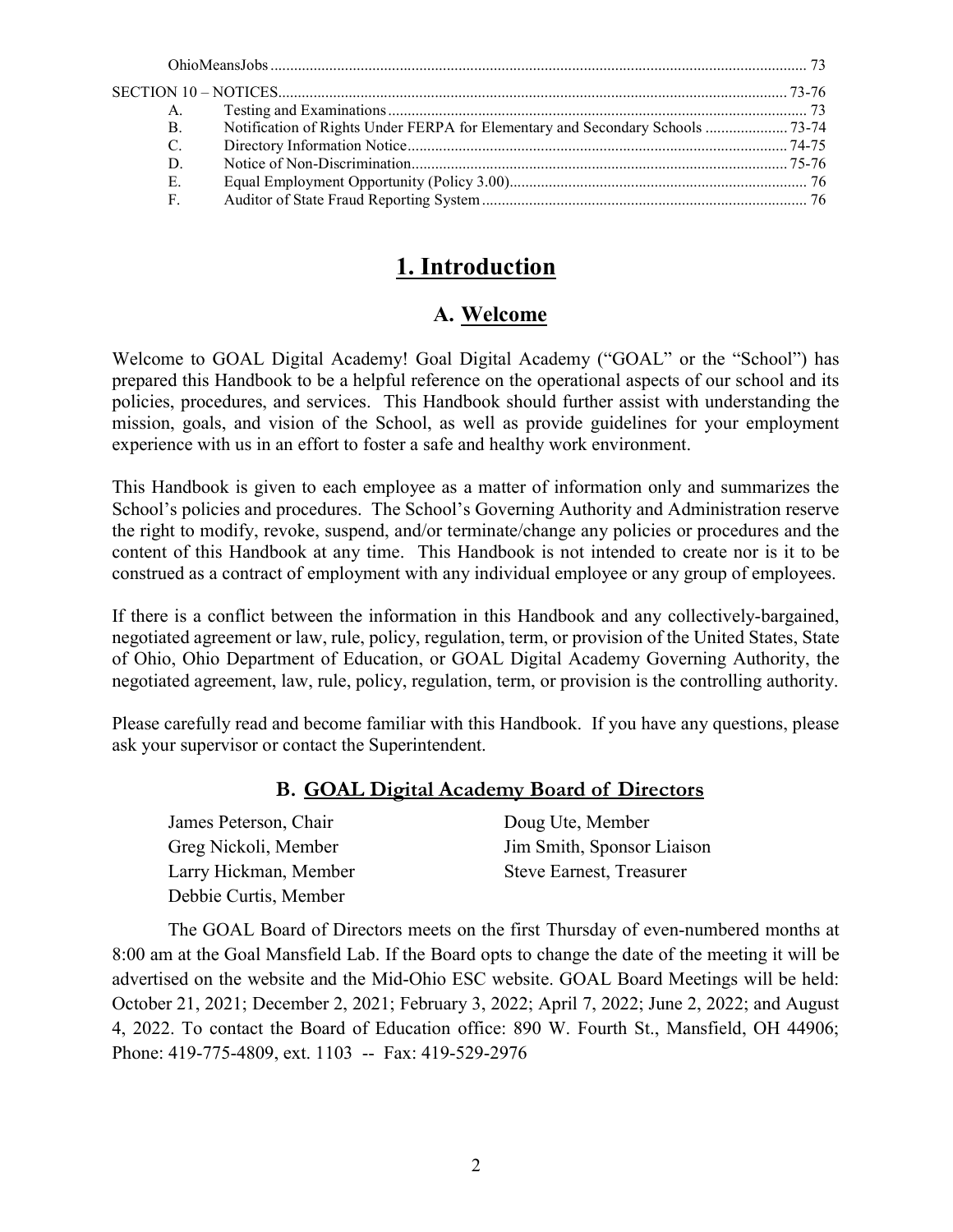| A.          |                                                                                |  |
|-------------|--------------------------------------------------------------------------------|--|
| <b>B.</b>   | Notification of Rights Under FERPA for Elementary and Secondary Schools  73-74 |  |
| C.          |                                                                                |  |
| D.          |                                                                                |  |
| Ε.          |                                                                                |  |
| $F_{\perp}$ |                                                                                |  |

# 1. Introduction

# A. Welcome

Welcome to GOAL Digital Academy! Goal Digital Academy ("GOAL" or the "School") has prepared this Handbook to be a helpful reference on the operational aspects of our school and its policies, procedures, and services. This Handbook should further assist with understanding the mission, goals, and vision of the School, as well as provide guidelines for your employment experience with us in an effort to foster a safe and healthy work environment.

This Handbook is given to each employee as a matter of information only and summarizes the School's policies and procedures. The School's Governing Authority and Administration reserve the right to modify, revoke, suspend, and/or terminate/change any policies or procedures and the content of this Handbook at any time. This Handbook is not intended to create nor is it to be construed as a contract of employment with any individual employee or any group of employees.

If there is a conflict between the information in this Handbook and any collectively-bargained, negotiated agreement or law, rule, policy, regulation, term, or provision of the United States, State of Ohio, Ohio Department of Education, or GOAL Digital Academy Governing Authority, the negotiated agreement, law, rule, policy, regulation, term, or provision is the controlling authority.

Please carefully read and become familiar with this Handbook. If you have any questions, please ask your supervisor or contact the Superintendent.

## B. GOAL Digital Academy Board of Directors

| James Peterson, Chair | Doug Ute, Member                |
|-----------------------|---------------------------------|
| Greg Nickoli, Member  | Jim Smith, Sponsor Liaison      |
| Larry Hickman, Member | <b>Steve Earnest, Treasurer</b> |
| Debbie Curtis, Member |                                 |

 The GOAL Board of Directors meets on the first Thursday of even-numbered months at 8:00 am at the Goal Mansfield Lab. If the Board opts to change the date of the meeting it will be advertised on the website and the Mid-Ohio ESC website. GOAL Board Meetings will be held: October 21, 2021; December 2, 2021; February 3, 2022; April 7, 2022; June 2, 2022; and August 4, 2022. To contact the Board of Education office: 890 W. Fourth St., Mansfield, OH 44906; Phone: 419-775-4809, ext. 1103 -- Fax: 419-529-2976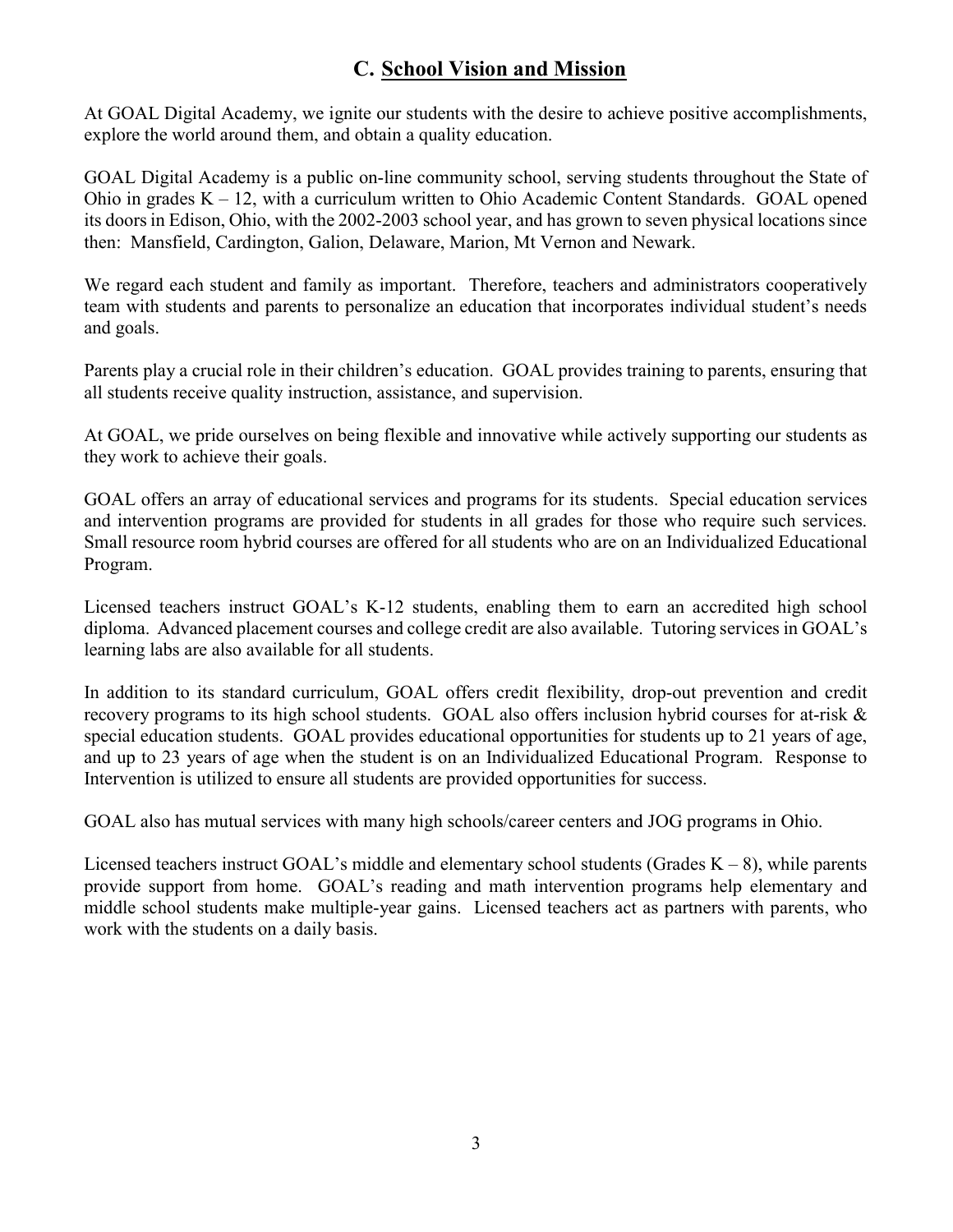# C. School Vision and Mission

At GOAL Digital Academy, we ignite our students with the desire to achieve positive accomplishments, explore the world around them, and obtain a quality education.

GOAL Digital Academy is a public on-line community school, serving students throughout the State of Ohio in grades  $K - 12$ , with a curriculum written to Ohio Academic Content Standards. GOAL opened its doors in Edison, Ohio, with the 2002-2003 school year, and has grown to seven physical locations since then: Mansfield, Cardington, Galion, Delaware, Marion, Mt Vernon and Newark.

We regard each student and family as important. Therefore, teachers and administrators cooperatively team with students and parents to personalize an education that incorporates individual student's needs and goals.

Parents play a crucial role in their children's education. GOAL provides training to parents, ensuring that all students receive quality instruction, assistance, and supervision.

At GOAL, we pride ourselves on being flexible and innovative while actively supporting our students as they work to achieve their goals.

GOAL offers an array of educational services and programs for its students. Special education services and intervention programs are provided for students in all grades for those who require such services. Small resource room hybrid courses are offered for all students who are on an Individualized Educational Program.

Licensed teachers instruct GOAL's K-12 students, enabling them to earn an accredited high school diploma. Advanced placement courses and college credit are also available. Tutoring services in GOAL's learning labs are also available for all students.

In addition to its standard curriculum, GOAL offers credit flexibility, drop-out prevention and credit recovery programs to its high school students. GOAL also offers inclusion hybrid courses for at-risk & special education students. GOAL provides educational opportunities for students up to 21 years of age, and up to 23 years of age when the student is on an Individualized Educational Program. Response to Intervention is utilized to ensure all students are provided opportunities for success.

GOAL also has mutual services with many high schools/career centers and JOG programs in Ohio.

Licensed teachers instruct GOAL's middle and elementary school students (Grades  $K - 8$ ), while parents provide support from home. GOAL's reading and math intervention programs help elementary and middle school students make multiple-year gains. Licensed teachers act as partners with parents, who work with the students on a daily basis.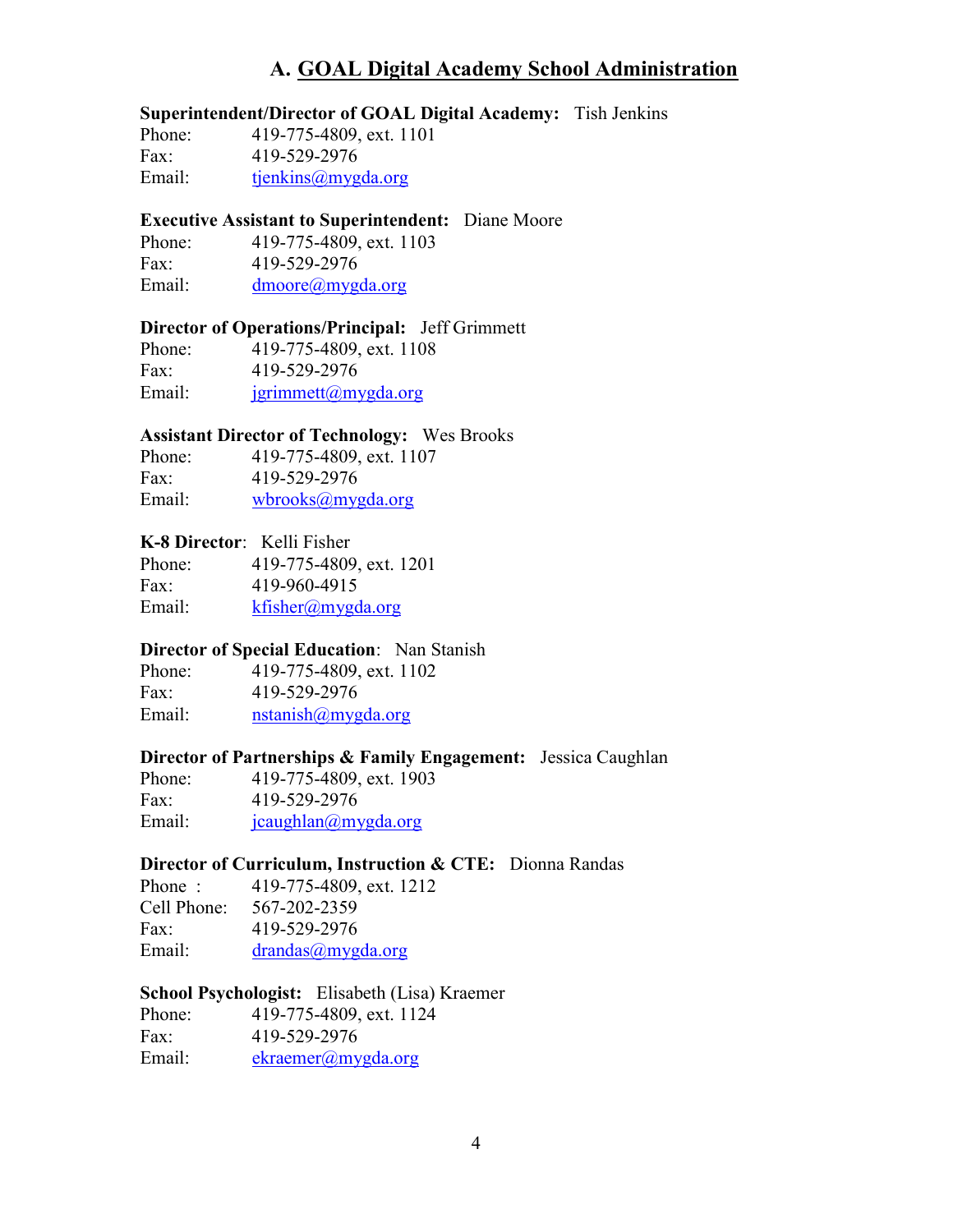# A. GOAL Digital Academy School Administration

## Superintendent/Director of GOAL Digital Academy: Tish Jenkins

Phone: 419-775-4809, ext. 1101 Fax: 419-529-2976 Email: tjenkins@mygda.org

#### Executive Assistant to Superintendent: Diane Moore

 Phone: 419-775-4809, ext. 1103 Fax: 419-529-2976 Email: dmoore@mygda.org

### Director of Operations/Principal: Jeff Grimmett

 Phone: 419-775-4809, ext. 1108 Fax: 419-529-2976 Email:  $\frac{\text{symmet}(a)}{\text{symmet}(a)}$ 

### Assistant Director of Technology: Wes Brooks

| Phone: | 419-775-4809, ext. 1107     |
|--------|-----------------------------|
| Fax:   | 419-529-2976                |
| Email: | $wbrooks(\omega mygda.org)$ |

## K-8 Director: Kelli Fisher

| Phone: | 419-775-4809, ext. 1201 |
|--------|-------------------------|
| Fax:   | 419-960-4915            |
| Email: | $k$ fisher@mygda.org    |

### Director of Special Education: Nan Stanish

Phone: 419-775-4809, ext. 1102 Fax: 419-529-2976 Email: nstanish@mygda.org

## Director of Partnerships & Family Engagement: Jessica Caughlan

Phone: 419-775-4809, ext. 1903 Fax: 419-529-2976 Email: jcaughlan@mygda.org

### Director of Curriculum, Instruction & CTE: Dionna Randas

| Phone:      | 419-775-4809, ext. 1212 |
|-------------|-------------------------|
| Cell Phone: | 567-202-2359            |
| Fax:        | 419-529-2976            |
| Email:      | drandas(a)mygda.org     |

### School Psychologist: Elisabeth (Lisa) Kraemer

| Phone: | 419-775-4809, ext. 1124 |
|--------|-------------------------|
| Fax:   | 419-529-2976            |
| Email: | ekraemer@mygda.org      |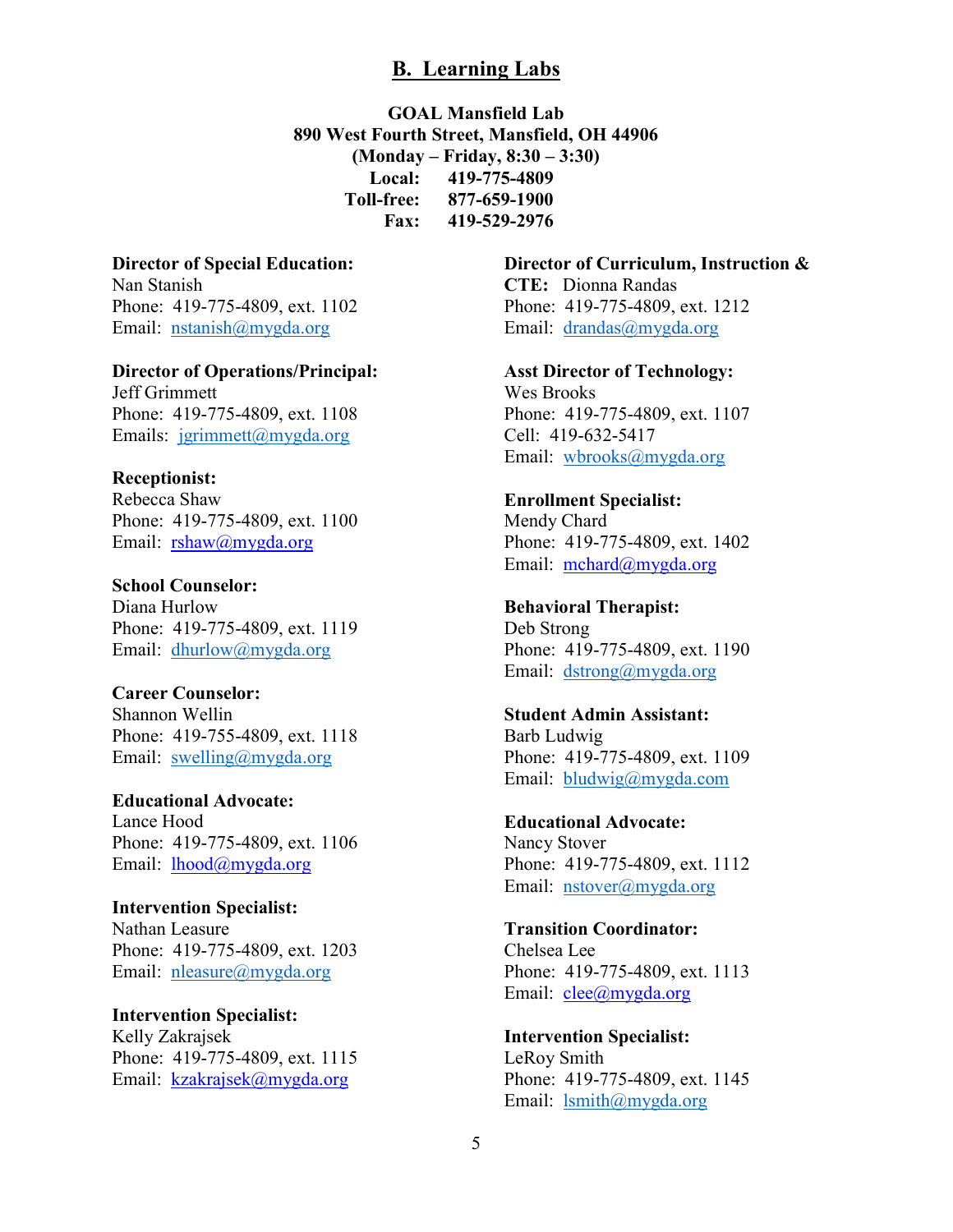## B. Learning Labs

GOAL Mansfield Lab 890 West Fourth Street, Mansfield, OH 44906 (Monday – Friday, 8:30 – 3:30) Local: 419-775-4809 Toll-free: 877-659-1900 Fax: 419-529-2976

### Director of Special Education:

Nan Stanish Phone: 419-775-4809, ext. 1102 Email: nstanish@mygda.org

## Director of Operations/Principal:

Jeff Grimmett Phone: 419-775-4809, ext. 1108 Emails: jgrimmett@mygda.org

#### Receptionist:

Rebecca Shaw Phone: 419-775-4809, ext. 1100 Email: rshaw@mygda.org

School Counselor: Diana Hurlow Phone: 419-775-4809, ext. 1119 Email: dhurlow@mygda.org

### Career Counselor:

Shannon Wellin Phone: 419-755-4809, ext. 1118 Email: swelling@mygda.org

Educational Advocate: Lance Hood Phone: 419-775-4809, ext. 1106 Email: lhood@mygda.org

Intervention Specialist: Nathan Leasure Phone: 419-775-4809, ext. 1203 Email: nleasure@mygda.org

Intervention Specialist: Kelly Zakrajsek Phone: 419-775-4809, ext. 1115 Email: kzakrajsek@mygda.org

## Director of Curriculum, Instruction &

CTE: Dionna Randas Phone: 419-775-4809, ext. 1212 Email: drandas@mygda.org

Asst Director of Technology: Wes Brooks Phone: 419-775-4809, ext. 1107 Cell: 419-632-5417 Email: wbrooks@mygda.org

## Enrollment Specialist:

Mendy Chard Phone: 419-775-4809, ext. 1402 Email: mchard@mygda.org

## Behavioral Therapist:

Deb Strong Phone: 419-775-4809, ext. 1190 Email: dstrong@mygda.org

#### Student Admin Assistant:

Barb Ludwig Phone: 419-775-4809, ext. 1109 Email: bludwig@mygda.com

## Educational Advocate:

Nancy Stover Phone: 419-775-4809, ext. 1112 Email: nstover@mygda.org

### Transition Coordinator:

Chelsea Lee Phone: 419-775-4809, ext. 1113 Email: clee@mygda.org

# Intervention Specialist:

LeRoy Smith Phone: 419-775-4809, ext. 1145 Email: lsmith@mygda.org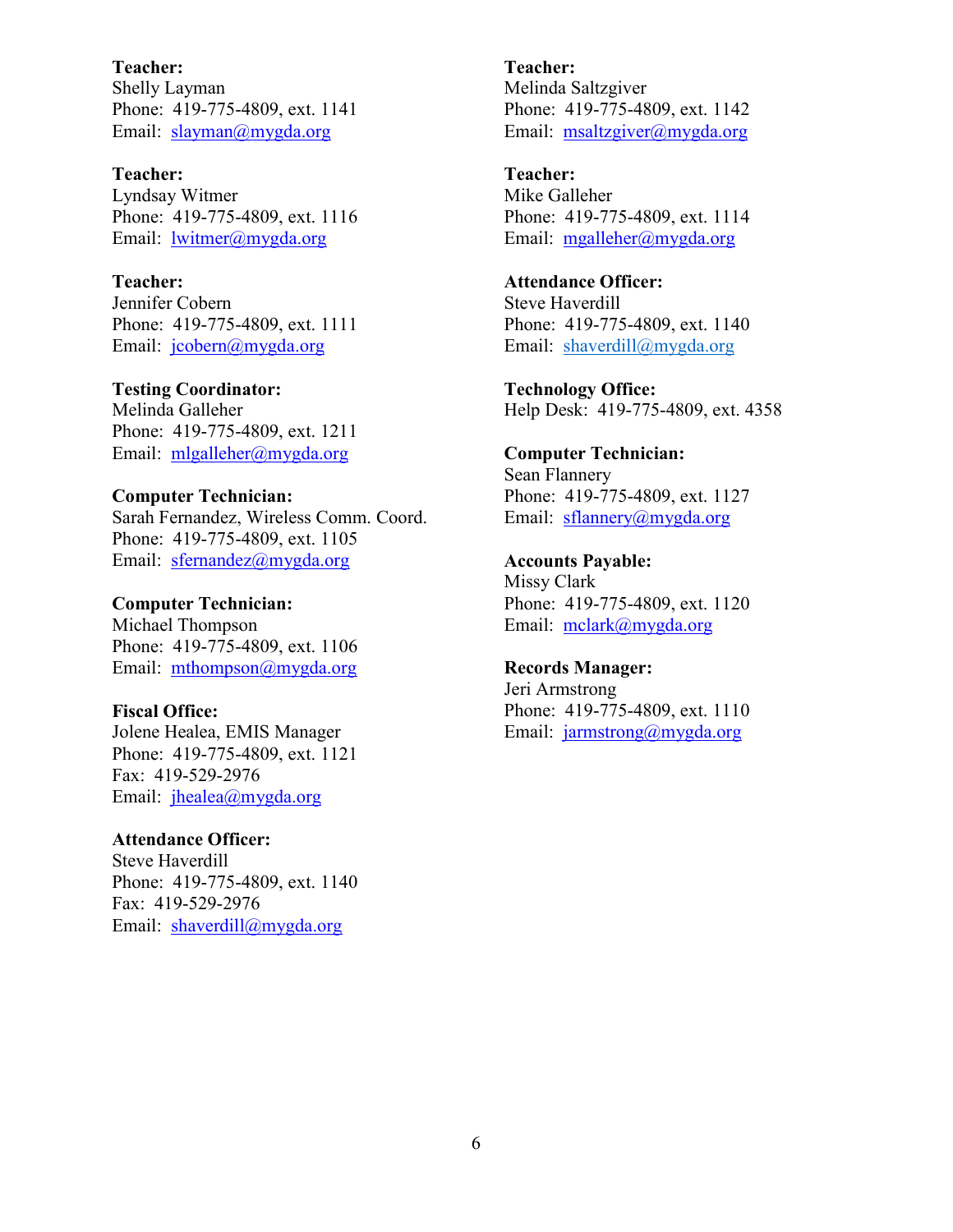Teacher: Shelly Layman Phone: 419-775-4809, ext. 1141 Email: slayman@mygda.org

Teacher: Lyndsay Witmer Phone: 419-775-4809, ext. 1116 Email: lwitmer@mygda.org

Teacher: Jennifer Cobern Phone: 419-775-4809, ext. 1111 Email: jcobern@mygda.org

Testing Coordinator: Melinda Galleher Phone: 419-775-4809, ext. 1211 Email: mlgalleher@mygda.org

Computer Technician: Sarah Fernandez, Wireless Comm. Coord. Phone: 419-775-4809, ext. 1105 Email: sfernandez@mygda.org

Computer Technician: Michael Thompson Phone: 419-775-4809, ext. 1106 Email: mthompson@mygda.org

Fiscal Office: Jolene Healea, EMIS Manager Phone: 419-775-4809, ext. 1121 Fax: 419-529-2976 Email: jhealea@mygda.org

Attendance Officer: Steve Haverdill Phone: 419-775-4809, ext. 1140 Fax: 419-529-2976 Email: shaverdill@mygda.org

Teacher: Melinda Saltzgiver Phone: 419-775-4809, ext. 1142 Email: msaltzgiver@mygda.org

Teacher: Mike Galleher Phone: 419-775-4809, ext. 1114 Email: mgalleher@mygda.org

Attendance Officer: Steve Haverdill Phone: 419-775-4809, ext. 1140 Email: shaverdill@mygda.org

Technology Office: Help Desk: 419-775-4809, ext. 4358

Computer Technician: Sean Flannery Phone: 419-775-4809, ext. 1127 Email: sflannery@mygda.org

Accounts Payable: Missy Clark Phone: 419-775-4809, ext. 1120 Email: mclark@mygda.org

Records Manager: Jeri Armstrong Phone: 419-775-4809, ext. 1110 Email: jarmstrong@mygda.org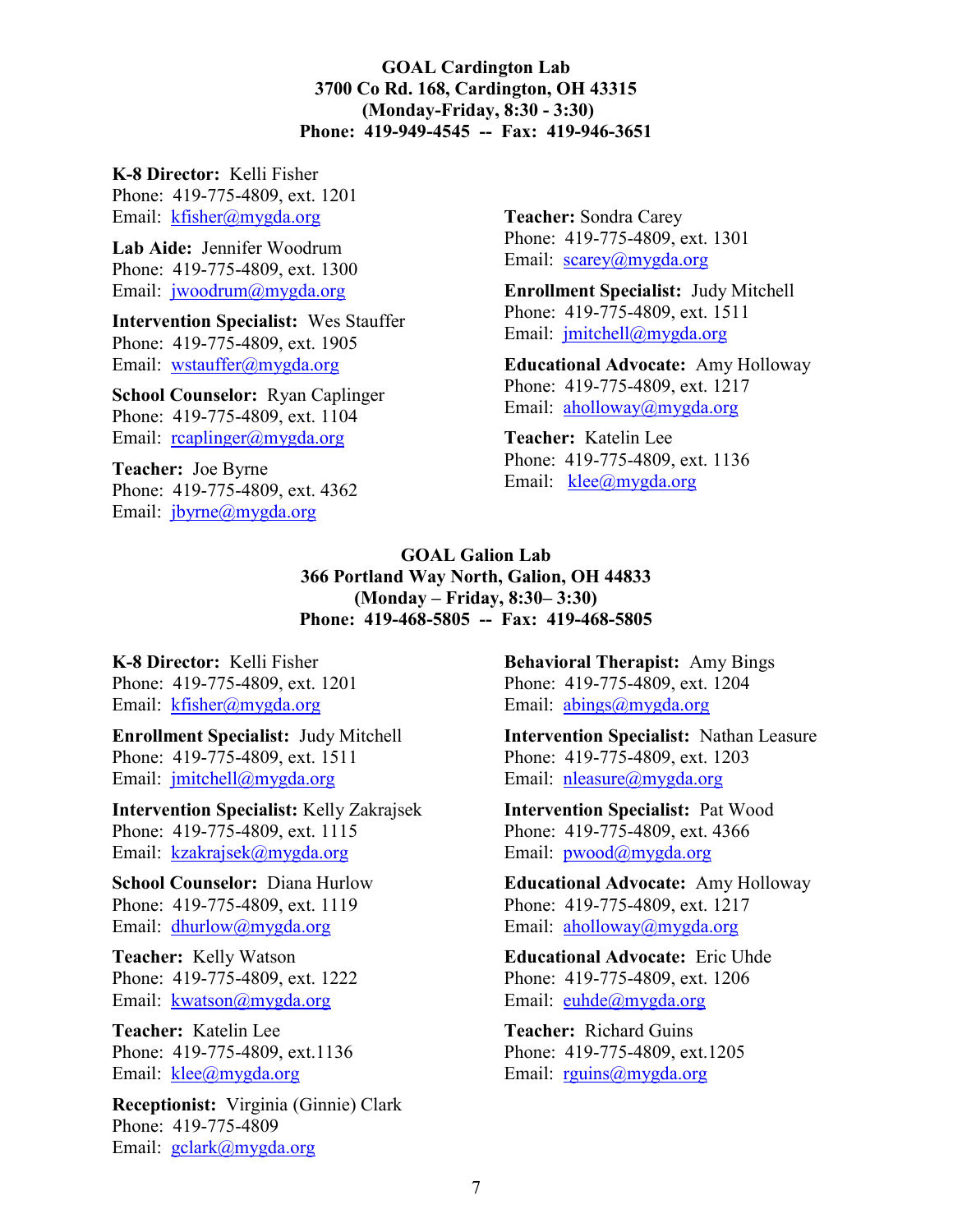### GOAL Cardington Lab 3700 Co Rd. 168, Cardington, OH 43315 (Monday-Friday, 8:30 - 3:30) Phone: 419-949-4545 -- Fax: 419-946-3651

K-8 Director: Kelli Fisher Phone: 419-775-4809, ext. 1201

Email: kfisher@mygda.org

Lab Aide: Jennifer Woodrum Phone: 419-775-4809, ext. 1300 Email: jwoodrum@mygda.org

Intervention Specialist: Wes Stauffer Phone: 419-775-4809, ext. 1905 Email: wstauffer@mygda.org

School Counselor: Ryan Caplinger Phone: 419-775-4809, ext. 1104 Email: reaplinger@mygda.org

Teacher: Joe Byrne Phone: 419-775-4809, ext. 4362 Email: jbyrne@mygda.org

Teacher: Sondra Carey Phone: 419-775-4809, ext. 1301 Email: scarey@mygda.org

Enrollment Specialist: Judy Mitchell Phone: 419-775-4809, ext. 1511 Email: jmitchell@mygda.org

Educational Advocate: Amy Holloway Phone: 419-775-4809, ext. 1217 Email: aholloway@mygda.org

Teacher: Katelin Lee Phone: 419-775-4809, ext. 1136 Email: klee@mygda.org

## GOAL Galion Lab 366 Portland Way North, Galion, OH 44833 (Monday – Friday, 8:30– 3:30) Phone: 419-468-5805 -- Fax: 419-468-5805

K-8 Director: Kelli Fisher Phone: 419-775-4809, ext. 1201 Email: kfisher@mygda.org

Enrollment Specialist: Judy Mitchell Phone: 419-775-4809, ext. 1511 Email: jmitchell@mygda.org

Intervention Specialist: Kelly Zakrajsek Phone: 419-775-4809, ext. 1115 Email: kzakrajsek@mygda.org

School Counselor: Diana Hurlow Phone: 419-775-4809, ext. 1119 Email: dhurlow@mygda.org

Teacher: Kelly Watson Phone: 419-775-4809, ext. 1222 Email: kwatson@mygda.org

Teacher: Katelin Lee Phone: 419-775-4809, ext.1136 Email: klee@mygda.org

Receptionist: Virginia (Ginnie) Clark Phone: 419-775-4809 Email: gclark@mygda.org

Behavioral Therapist: Amy Bings Phone: 419-775-4809, ext. 1204 Email: abings@mygda.org

Intervention Specialist: Nathan Leasure Phone: 419-775-4809, ext. 1203 Email: nleasure@mygda.org

Intervention Specialist: Pat Wood Phone: 419-775-4809, ext. 4366 Email: pwood@mygda.org

Educational Advocate: Amy Holloway Phone: 419-775-4809, ext. 1217 Email: aholloway@mygda.org

Educational Advocate: Eric Uhde Phone: 419-775-4809, ext. 1206 Email: euhde@mygda.org

Teacher: Richard Guins Phone: 419-775-4809, ext.1205 Email: rguins@mygda.org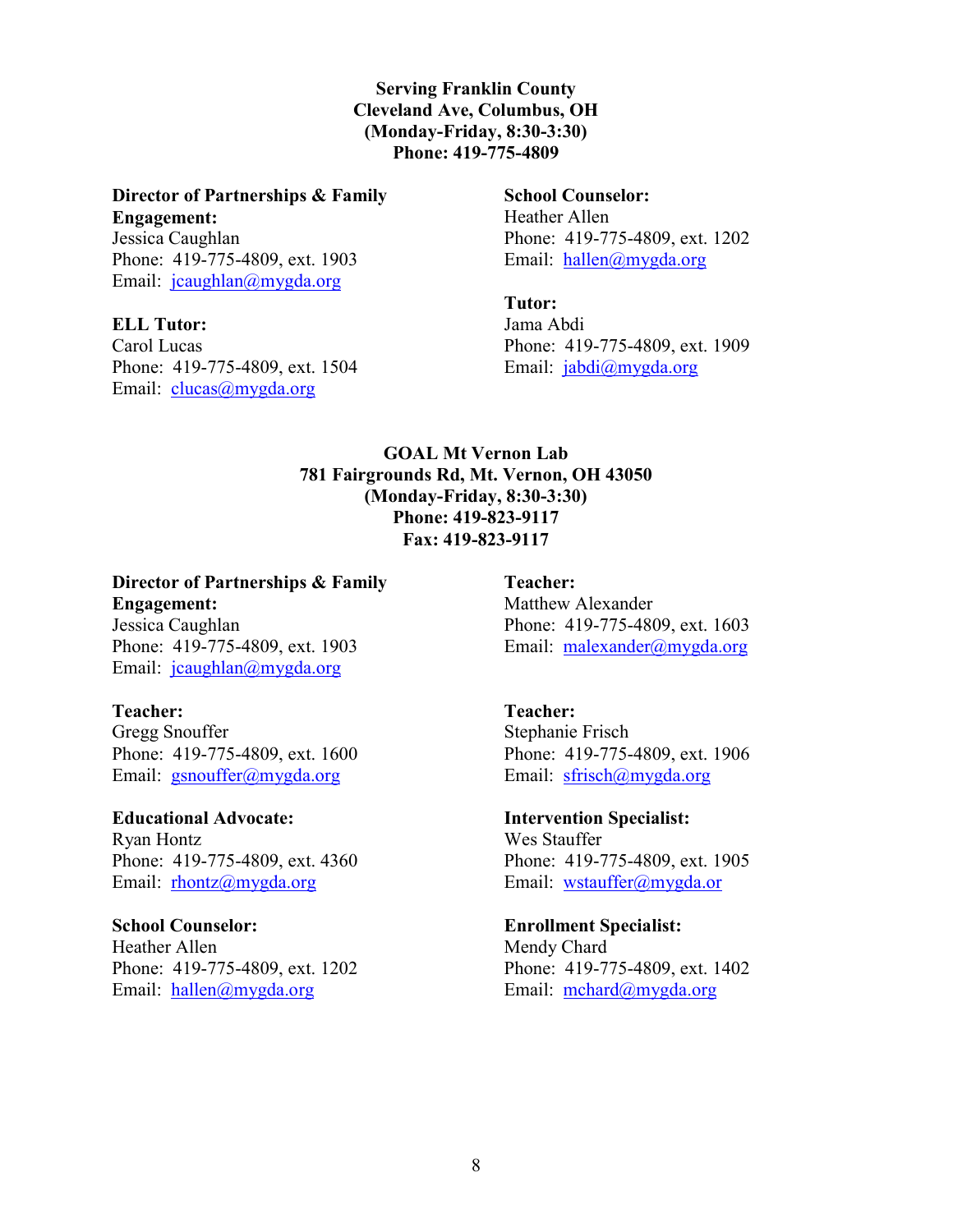## Serving Franklin County Cleveland Ave, Columbus, OH (Monday-Friday, 8:30-3:30) Phone: 419-775-4809

# Director of Partnerships & Family

Engagement: Jessica Caughlan Phone: 419-775-4809, ext. 1903 Email: jcaughlan@mygda.org

## ELL Tutor:

Carol Lucas Phone: 419-775-4809, ext. 1504 Email: clucas@mygda.org

## School Counselor: Heather Allen Phone: 419-775-4809, ext. 1202 Email: hallen@mygda.org

Tutor:

Jama Abdi Phone: 419-775-4809, ext. 1909 Email: jabdi@mygda.org

## GOAL Mt Vernon Lab 781 Fairgrounds Rd, Mt. Vernon, OH 43050 (Monday-Friday, 8:30-3:30) Phone: 419-823-9117 Fax: 419-823-9117

## Director of Partnerships & Family Engagement:

Jessica Caughlan Phone: 419-775-4809, ext. 1903 Email: jcaughlan@mygda.org

## Teacher:

Gregg Snouffer Phone: 419-775-4809, ext. 1600 Email: gsnouffer@mygda.org

Educational Advocate: Ryan Hontz Phone: 419-775-4809, ext. 4360 Email: rhontz@mygda.org

## School Counselor: Heather Allen Phone: 419-775-4809, ext. 1202 Email: hallen@mygda.org

Teacher: Matthew Alexander Phone: 419-775-4809, ext. 1603 Email: malexander@mygda.org

## Teacher: Stephanie Frisch Phone: 419-775-4809, ext. 1906 Email: sfrisch@mygda.org

Intervention Specialist: Wes Stauffer Phone: 419-775-4809, ext. 1905 Email: wstauffer@mygda.or

## Enrollment Specialist: Mendy Chard Phone: 419-775-4809, ext. 1402 Email: mchard@mygda.org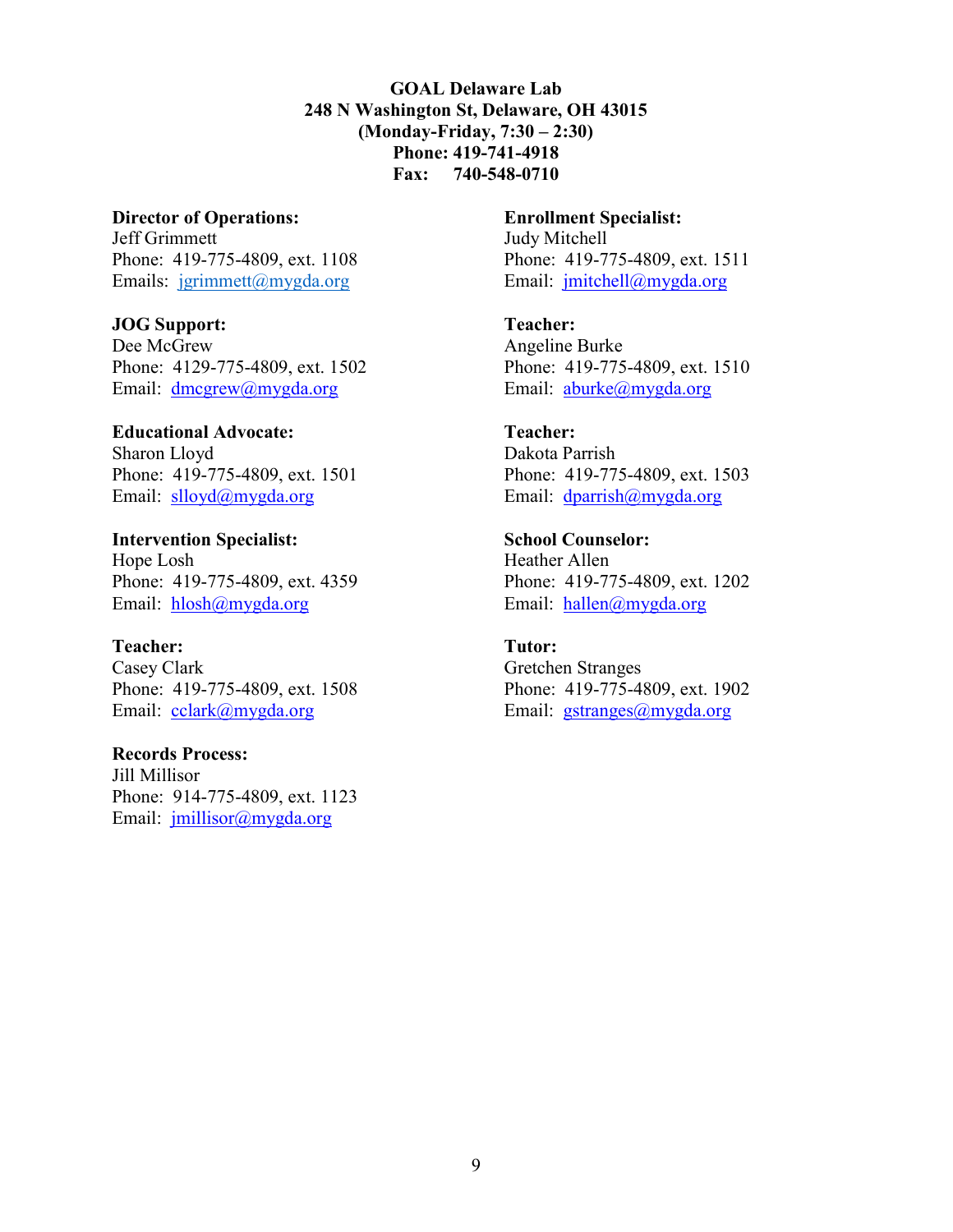GOAL Delaware Lab 248 N Washington St, Delaware, OH 43015 (Monday-Friday, 7:30 – 2:30) Phone: 419-741-4918 Fax: 740-548-0710

Director of Operations: Jeff Grimmett Phone: 419-775-4809, ext. 1108 Emails: jgrimmett@mygda.org

JOG Support: Dee McGrew Phone: 4129-775-4809, ext. 1502 Email: dmcgrew@mygda.org

Educational Advocate: Sharon Lloyd Phone: 419-775-4809, ext. 1501 Email: slloyd@mygda.org

Intervention Specialist: Hope Losh Phone: 419-775-4809, ext. 4359 Email: hlosh@mygda.org

Teacher: Casey Clark Phone: 419-775-4809, ext. 1508 Email: cclark@mygda.org

Records Process: Jill Millisor Phone: 914-775-4809, ext. 1123 Email: jmillisor@mygda.org

Enrollment Specialist: Judy Mitchell Phone: 419-775-4809, ext. 1511 Email: jmitchell@mygda.org

Teacher: Angeline Burke Phone: 419-775-4809, ext. 1510 Email: aburke@mygda.org

Teacher: Dakota Parrish Phone: 419-775-4809, ext. 1503 Email: dparrish@mygda.org

School Counselor: Heather Allen Phone: 419-775-4809, ext. 1202 Email: hallen@mygda.org

Tutor: Gretchen Stranges Phone: 419-775-4809, ext. 1902 Email: gstranges@mygda.org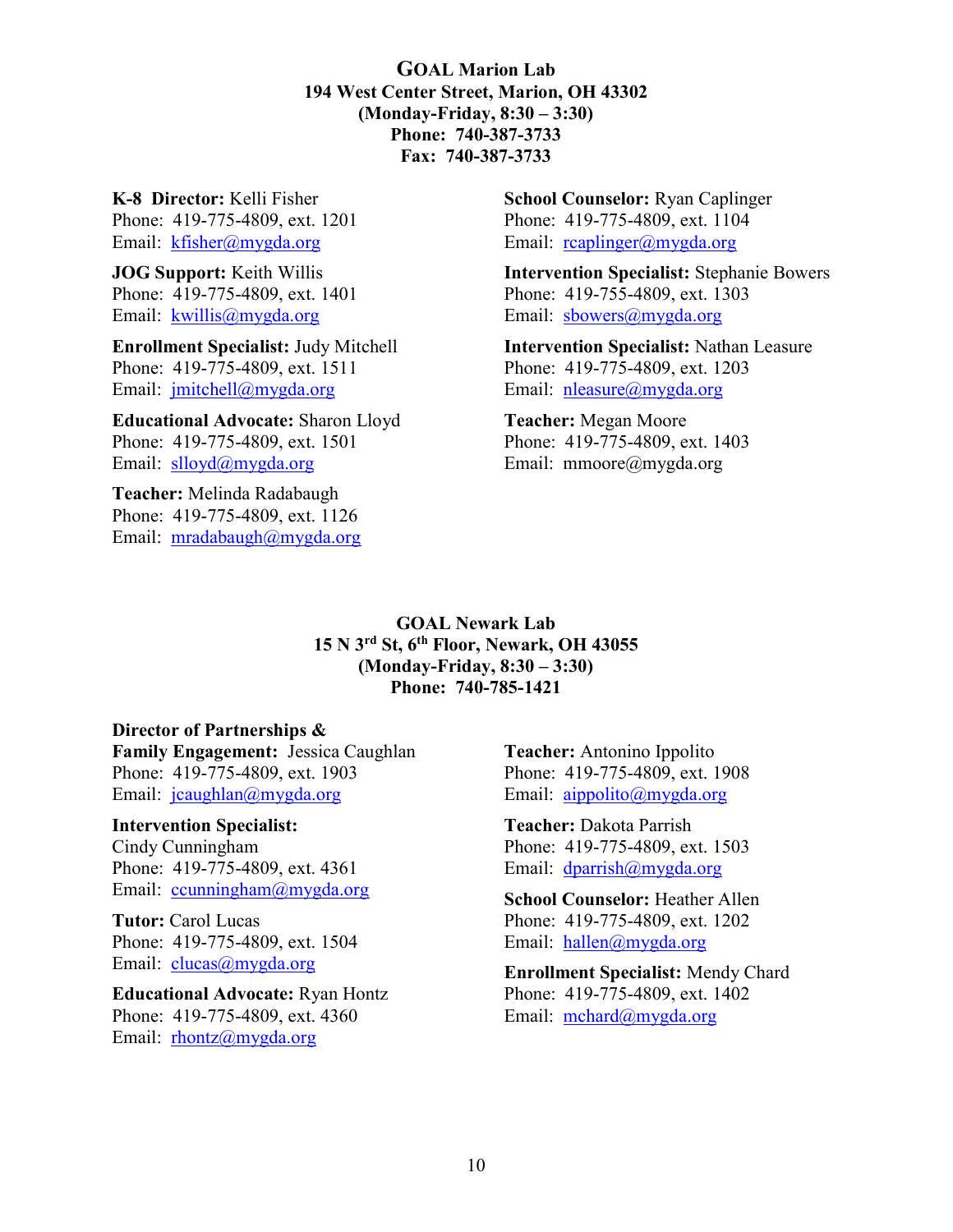GOAL Marion Lab 194 West Center Street, Marion, OH 43302 (Monday-Friday, 8:30 – 3:30) Phone: 740-387-3733 Fax: 740-387-3733

K-8 Director: Kelli Fisher Phone: 419-775-4809, ext. 1201 Email: kfisher@mygda.org

JOG Support: Keith Willis Phone: 419-775-4809, ext. 1401 Email: kwillis@mygda.org

Enrollment Specialist: Judy Mitchell Phone: 419-775-4809, ext. 1511 Email: jmitchell@mygda.org

Educational Advocate: Sharon Lloyd Phone: 419-775-4809, ext. 1501 Email: slloyd@mygda.org

Teacher: Melinda Radabaugh Phone: 419-775-4809, ext. 1126 Email: mradabaugh@mygda.org School Counselor: Ryan Caplinger Phone: 419-775-4809, ext. 1104 Email: reaplinger@mygda.org

Intervention Specialist: Stephanie Bowers Phone: 419-755-4809, ext. 1303 Email: sbowers@mygda.org

Intervention Specialist: Nathan Leasure Phone: 419-775-4809, ext. 1203 Email: nleasure@mygda.org

Teacher: Megan Moore Phone: 419-775-4809, ext. 1403 Email: mmoore@mygda.org

GOAL Newark Lab 15 N 3rd St, 6th Floor, Newark, OH 43055 (Monday-Friday, 8:30 – 3:30) Phone: 740-785-1421

#### Director of Partnerships &

Family Engagement: Jessica Caughlan Phone: 419-775-4809, ext. 1903 Email: jcaughlan@mygda.org

#### Intervention Specialist:

Cindy Cunningham Phone: 419-775-4809, ext. 4361 Email: ccunningham@mygda.org

Tutor: Carol Lucas Phone: 419-775-4809, ext. 1504 Email: clucas@mygda.org

Educational Advocate: Ryan Hontz Phone: 419-775-4809, ext. 4360 Email: rhontz@mygda.org

Teacher: Antonino Ippolito Phone: 419-775-4809, ext. 1908 Email: aippolito@mygda.org

Teacher: Dakota Parrish Phone: 419-775-4809, ext. 1503 Email: dparrish@mygda.org

School Counselor: Heather Allen Phone: 419-775-4809, ext. 1202 Email: hallen@mygda.org

Enrollment Specialist: Mendy Chard Phone: 419-775-4809, ext. 1402 Email: mchard@mygda.org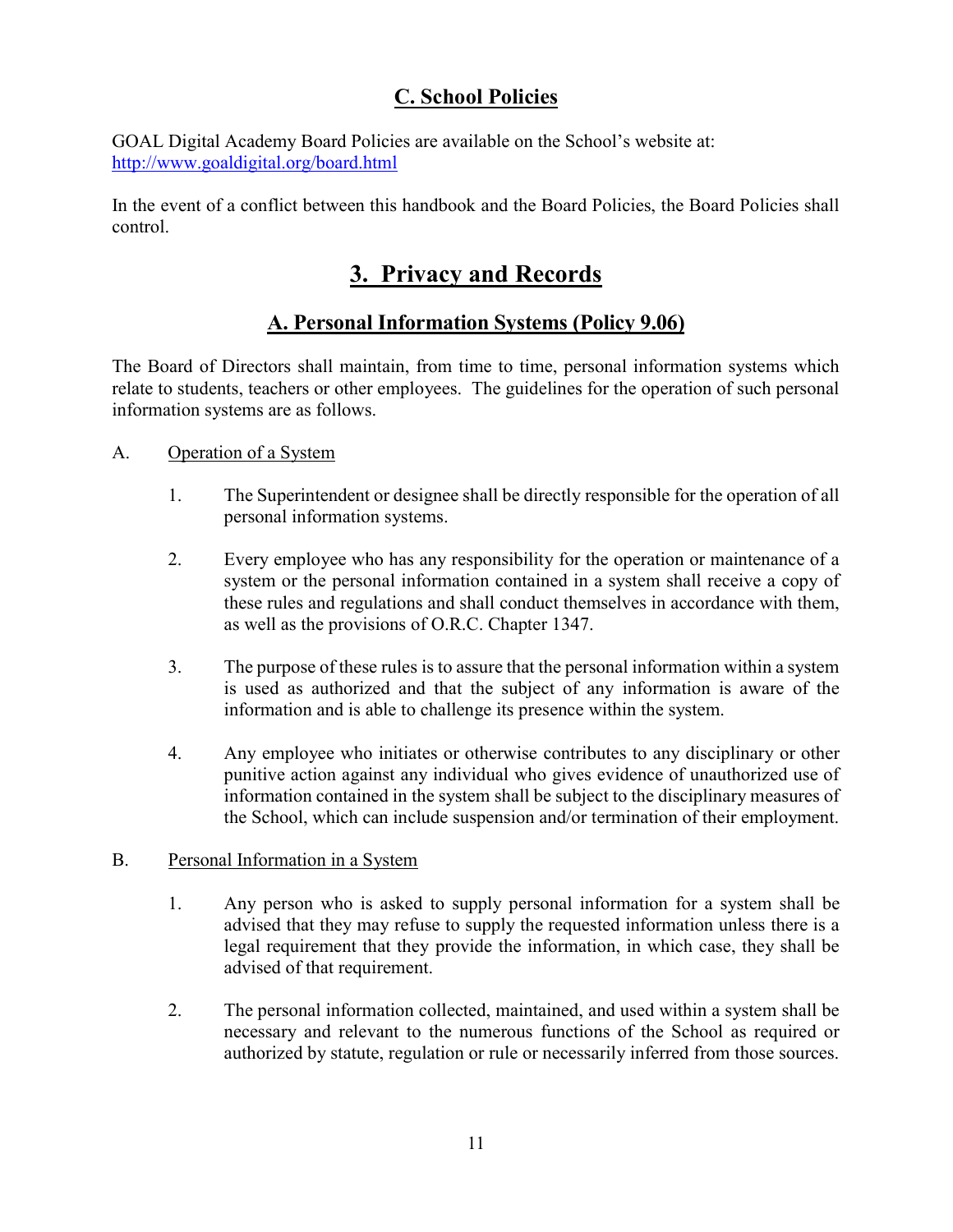# C. School Policies

GOAL Digital Academy Board Policies are available on the School's website at: http://www.goaldigital.org/board.html

In the event of a conflict between this handbook and the Board Policies, the Board Policies shall control.

# 3. Privacy and Records

# A. Personal Information Systems (Policy 9.06)

The Board of Directors shall maintain, from time to time, personal information systems which relate to students, teachers or other employees. The guidelines for the operation of such personal information systems are as follows.

## A. Operation of a System

- 1. The Superintendent or designee shall be directly responsible for the operation of all personal information systems.
- 2. Every employee who has any responsibility for the operation or maintenance of a system or the personal information contained in a system shall receive a copy of these rules and regulations and shall conduct themselves in accordance with them, as well as the provisions of O.R.C. Chapter 1347.
- 3. The purpose of these rules is to assure that the personal information within a system is used as authorized and that the subject of any information is aware of the information and is able to challenge its presence within the system.
- 4. Any employee who initiates or otherwise contributes to any disciplinary or other punitive action against any individual who gives evidence of unauthorized use of information contained in the system shall be subject to the disciplinary measures of the School, which can include suspension and/or termination of their employment.

## B. Personal Information in a System

- 1. Any person who is asked to supply personal information for a system shall be advised that they may refuse to supply the requested information unless there is a legal requirement that they provide the information, in which case, they shall be advised of that requirement.
- 2. The personal information collected, maintained, and used within a system shall be necessary and relevant to the numerous functions of the School as required or authorized by statute, regulation or rule or necessarily inferred from those sources.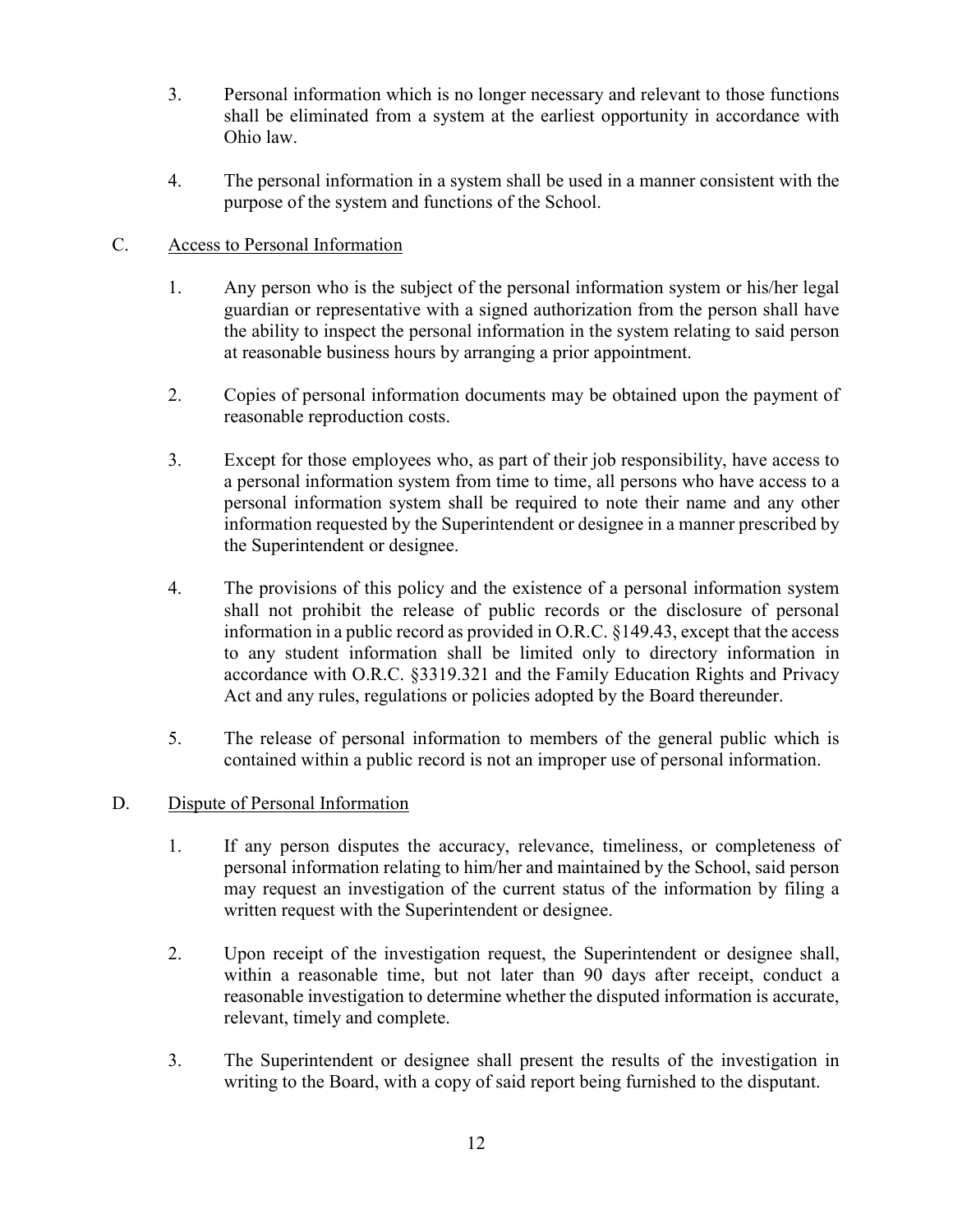- 3. Personal information which is no longer necessary and relevant to those functions shall be eliminated from a system at the earliest opportunity in accordance with Ohio law.
- 4. The personal information in a system shall be used in a manner consistent with the purpose of the system and functions of the School.

## C. Access to Personal Information

- 1. Any person who is the subject of the personal information system or his/her legal guardian or representative with a signed authorization from the person shall have the ability to inspect the personal information in the system relating to said person at reasonable business hours by arranging a prior appointment.
- 2. Copies of personal information documents may be obtained upon the payment of reasonable reproduction costs.
- 3. Except for those employees who, as part of their job responsibility, have access to a personal information system from time to time, all persons who have access to a personal information system shall be required to note their name and any other information requested by the Superintendent or designee in a manner prescribed by the Superintendent or designee.
- 4. The provisions of this policy and the existence of a personal information system shall not prohibit the release of public records or the disclosure of personal information in a public record as provided in O.R.C. §149.43, except that the access to any student information shall be limited only to directory information in accordance with O.R.C. §3319.321 and the Family Education Rights and Privacy Act and any rules, regulations or policies adopted by the Board thereunder.
- 5. The release of personal information to members of the general public which is contained within a public record is not an improper use of personal information.

### D. Dispute of Personal Information

- 1. If any person disputes the accuracy, relevance, timeliness, or completeness of personal information relating to him/her and maintained by the School, said person may request an investigation of the current status of the information by filing a written request with the Superintendent or designee.
- 2. Upon receipt of the investigation request, the Superintendent or designee shall, within a reasonable time, but not later than 90 days after receipt, conduct a reasonable investigation to determine whether the disputed information is accurate, relevant, timely and complete.
- 3. The Superintendent or designee shall present the results of the investigation in writing to the Board, with a copy of said report being furnished to the disputant.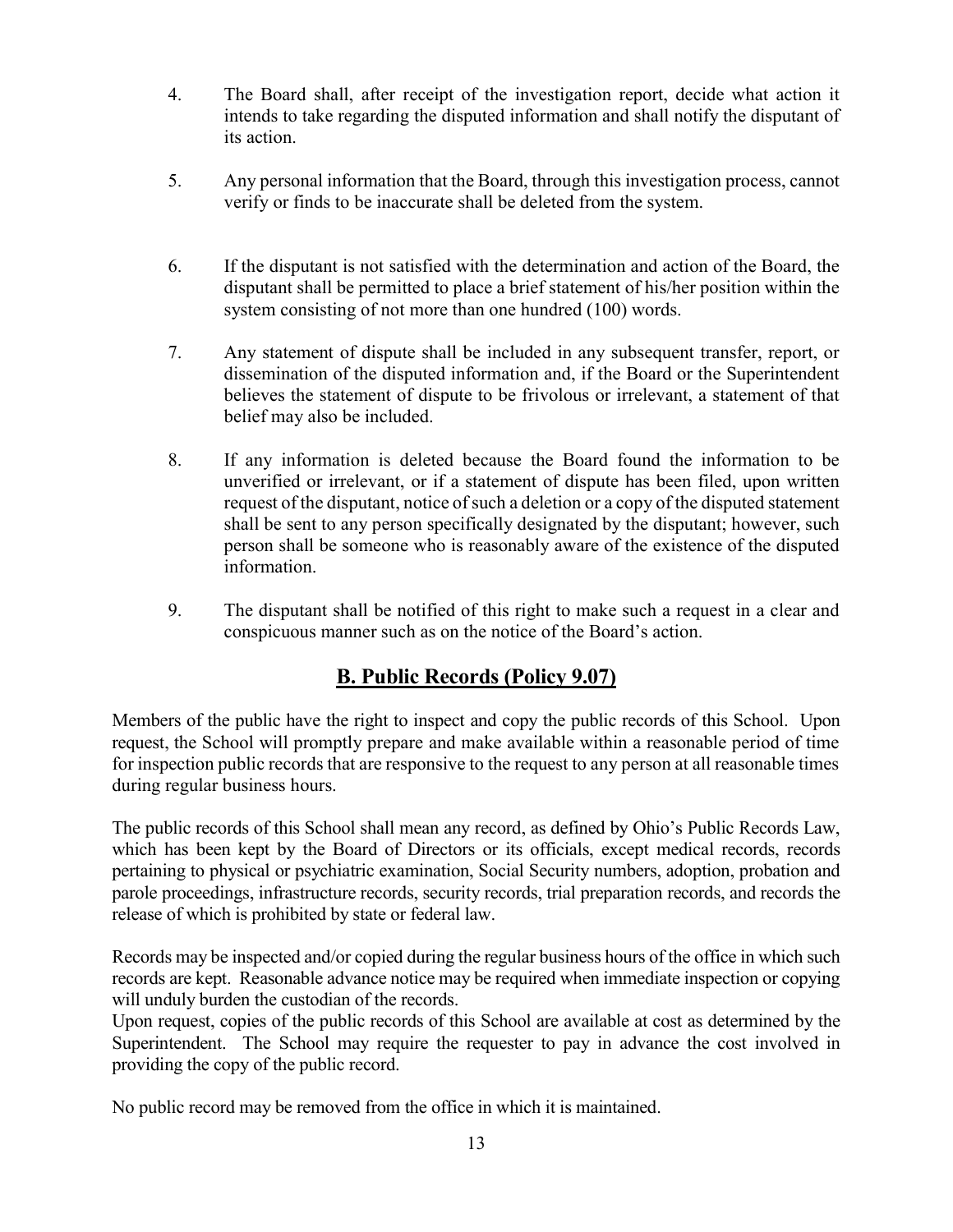- 4. The Board shall, after receipt of the investigation report, decide what action it intends to take regarding the disputed information and shall notify the disputant of its action.
- 5. Any personal information that the Board, through this investigation process, cannot verify or finds to be inaccurate shall be deleted from the system.
- 6. If the disputant is not satisfied with the determination and action of the Board, the disputant shall be permitted to place a brief statement of his/her position within the system consisting of not more than one hundred (100) words.
- 7. Any statement of dispute shall be included in any subsequent transfer, report, or dissemination of the disputed information and, if the Board or the Superintendent believes the statement of dispute to be frivolous or irrelevant, a statement of that belief may also be included.
- 8. If any information is deleted because the Board found the information to be unverified or irrelevant, or if a statement of dispute has been filed, upon written request of the disputant, notice of such a deletion or a copy of the disputed statement shall be sent to any person specifically designated by the disputant; however, such person shall be someone who is reasonably aware of the existence of the disputed information.
- 9. The disputant shall be notified of this right to make such a request in a clear and conspicuous manner such as on the notice of the Board's action.

# B. Public Records (Policy 9.07)

Members of the public have the right to inspect and copy the public records of this School. Upon request, the School will promptly prepare and make available within a reasonable period of time for inspection public records that are responsive to the request to any person at all reasonable times during regular business hours.

The public records of this School shall mean any record, as defined by Ohio's Public Records Law, which has been kept by the Board of Directors or its officials, except medical records, records pertaining to physical or psychiatric examination, Social Security numbers, adoption, probation and parole proceedings, infrastructure records, security records, trial preparation records, and records the release of which is prohibited by state or federal law.

Records may be inspected and/or copied during the regular business hours of the office in which such records are kept. Reasonable advance notice may be required when immediate inspection or copying will unduly burden the custodian of the records.

Upon request, copies of the public records of this School are available at cost as determined by the Superintendent. The School may require the requester to pay in advance the cost involved in providing the copy of the public record.

No public record may be removed from the office in which it is maintained.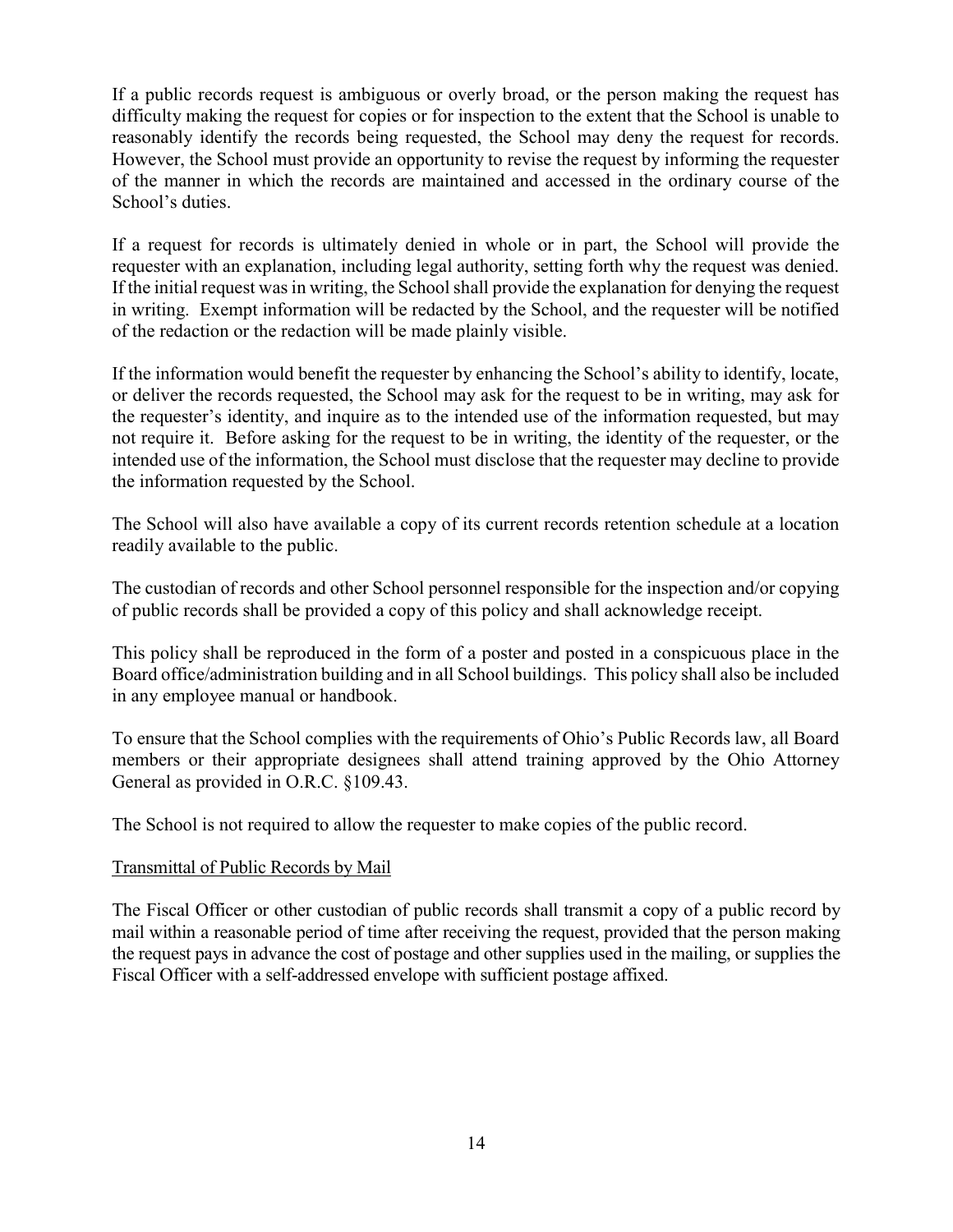If a public records request is ambiguous or overly broad, or the person making the request has difficulty making the request for copies or for inspection to the extent that the School is unable to reasonably identify the records being requested, the School may deny the request for records. However, the School must provide an opportunity to revise the request by informing the requester of the manner in which the records are maintained and accessed in the ordinary course of the School's duties.

If a request for records is ultimately denied in whole or in part, the School will provide the requester with an explanation, including legal authority, setting forth why the request was denied. If the initial request was in writing, the School shall provide the explanation for denying the request in writing. Exempt information will be redacted by the School, and the requester will be notified of the redaction or the redaction will be made plainly visible.

If the information would benefit the requester by enhancing the School's ability to identify, locate, or deliver the records requested, the School may ask for the request to be in writing, may ask for the requester's identity, and inquire as to the intended use of the information requested, but may not require it. Before asking for the request to be in writing, the identity of the requester, or the intended use of the information, the School must disclose that the requester may decline to provide the information requested by the School.

The School will also have available a copy of its current records retention schedule at a location readily available to the public.

The custodian of records and other School personnel responsible for the inspection and/or copying of public records shall be provided a copy of this policy and shall acknowledge receipt.

This policy shall be reproduced in the form of a poster and posted in a conspicuous place in the Board office/administration building and in all School buildings. This policy shall also be included in any employee manual or handbook.

To ensure that the School complies with the requirements of Ohio's Public Records law, all Board members or their appropriate designees shall attend training approved by the Ohio Attorney General as provided in O.R.C. §109.43.

The School is not required to allow the requester to make copies of the public record.

### Transmittal of Public Records by Mail

The Fiscal Officer or other custodian of public records shall transmit a copy of a public record by mail within a reasonable period of time after receiving the request, provided that the person making the request pays in advance the cost of postage and other supplies used in the mailing, or supplies the Fiscal Officer with a self-addressed envelope with sufficient postage affixed.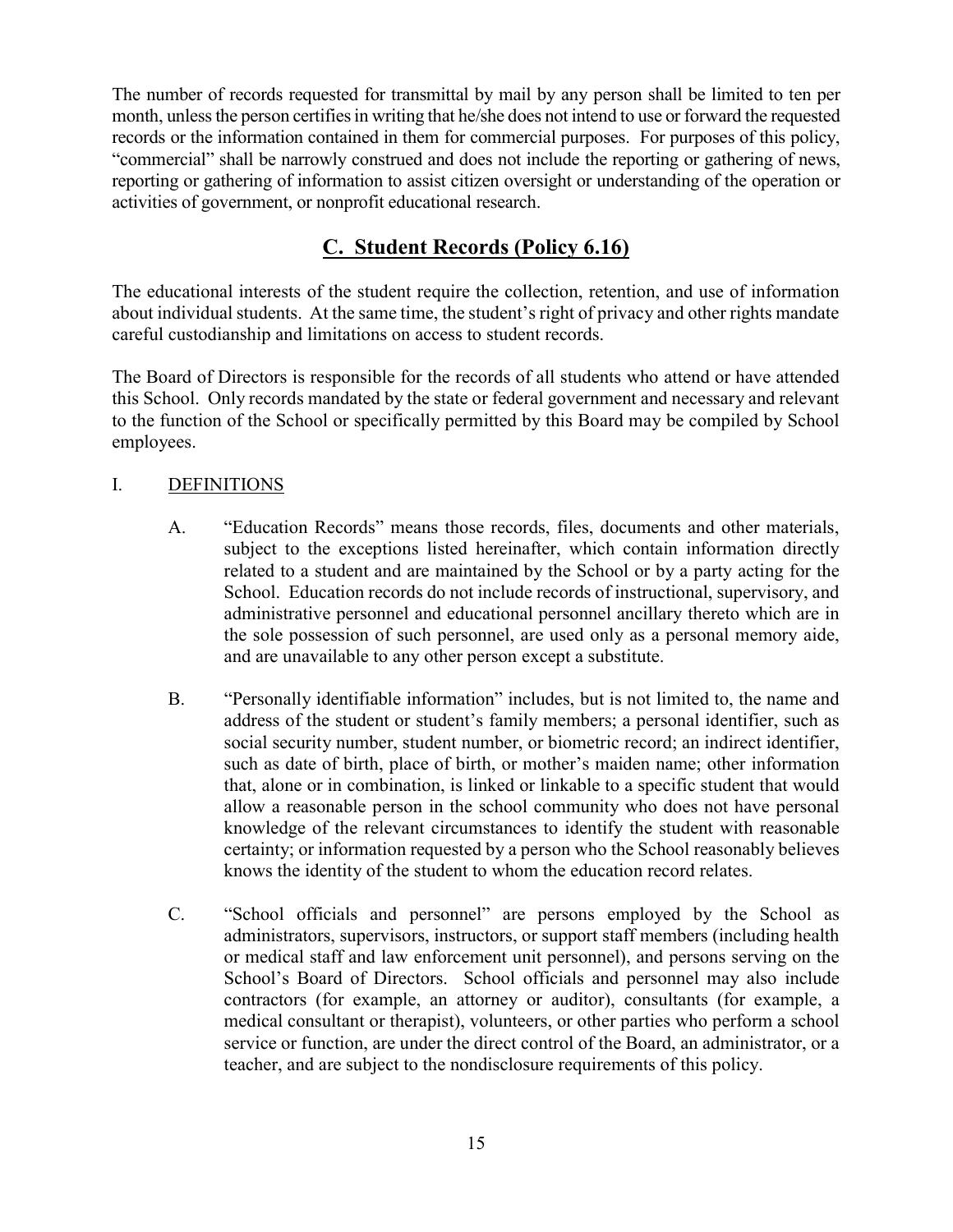The number of records requested for transmittal by mail by any person shall be limited to ten per month, unless the person certifies in writing that he/she does not intend to use or forward the requested records or the information contained in them for commercial purposes. For purposes of this policy, "commercial" shall be narrowly construed and does not include the reporting or gathering of news, reporting or gathering of information to assist citizen oversight or understanding of the operation or activities of government, or nonprofit educational research.

# C. Student Records (Policy 6.16)

The educational interests of the student require the collection, retention, and use of information about individual students. At the same time, the student's right of privacy and other rights mandate careful custodianship and limitations on access to student records.

The Board of Directors is responsible for the records of all students who attend or have attended this School. Only records mandated by the state or federal government and necessary and relevant to the function of the School or specifically permitted by this Board may be compiled by School employees.

## I. DEFINITIONS

- A. "Education Records" means those records, files, documents and other materials, subject to the exceptions listed hereinafter, which contain information directly related to a student and are maintained by the School or by a party acting for the School. Education records do not include records of instructional, supervisory, and administrative personnel and educational personnel ancillary thereto which are in the sole possession of such personnel, are used only as a personal memory aide, and are unavailable to any other person except a substitute.
- B. "Personally identifiable information" includes, but is not limited to, the name and address of the student or student's family members; a personal identifier, such as social security number, student number, or biometric record; an indirect identifier, such as date of birth, place of birth, or mother's maiden name; other information that, alone or in combination, is linked or linkable to a specific student that would allow a reasonable person in the school community who does not have personal knowledge of the relevant circumstances to identify the student with reasonable certainty; or information requested by a person who the School reasonably believes knows the identity of the student to whom the education record relates.
- C. "School officials and personnel" are persons employed by the School as administrators, supervisors, instructors, or support staff members (including health or medical staff and law enforcement unit personnel), and persons serving on the School's Board of Directors. School officials and personnel may also include contractors (for example, an attorney or auditor), consultants (for example, a medical consultant or therapist), volunteers, or other parties who perform a school service or function, are under the direct control of the Board, an administrator, or a teacher, and are subject to the nondisclosure requirements of this policy.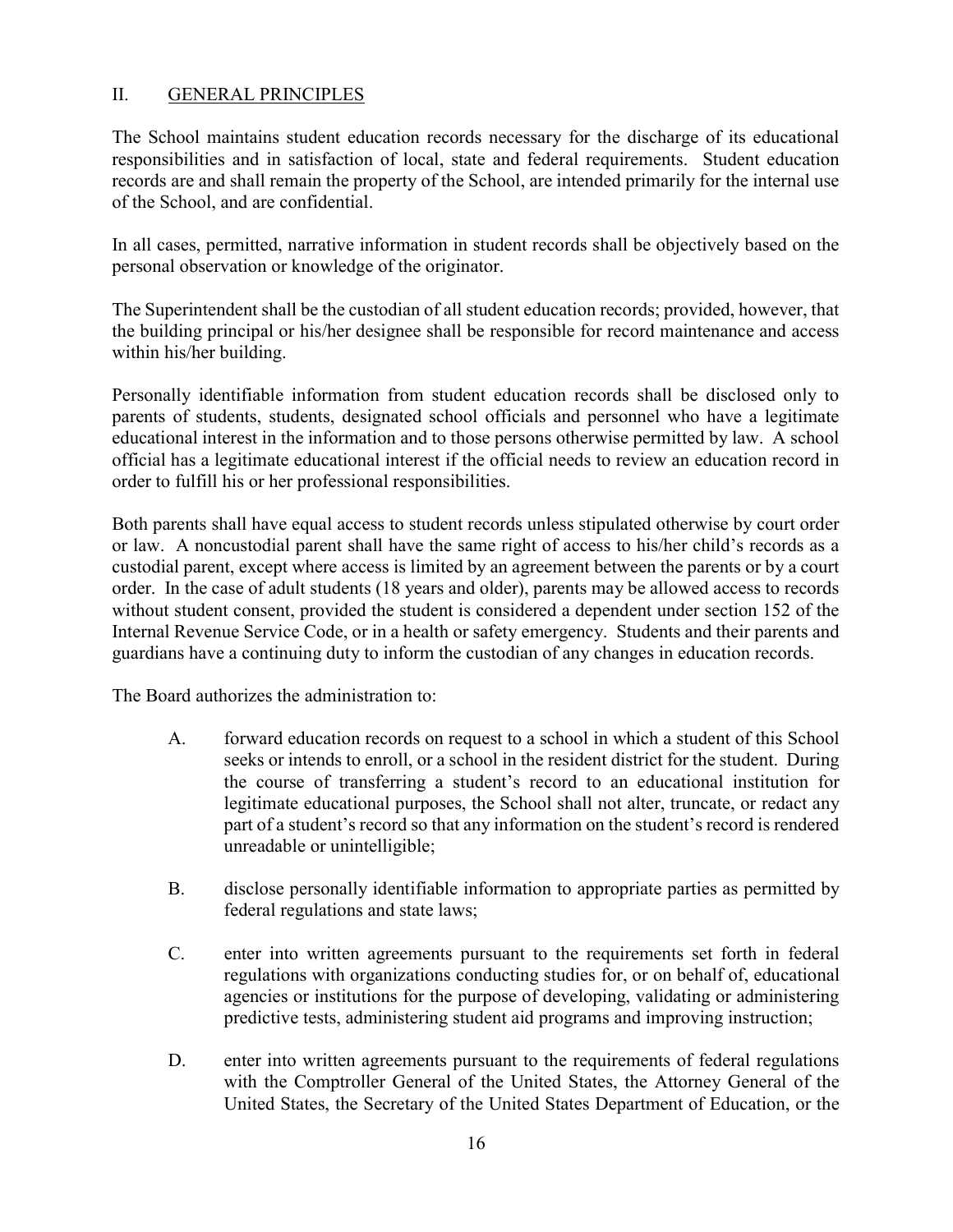## II. GENERAL PRINCIPLES

The School maintains student education records necessary for the discharge of its educational responsibilities and in satisfaction of local, state and federal requirements. Student education records are and shall remain the property of the School, are intended primarily for the internal use of the School, and are confidential.

In all cases, permitted, narrative information in student records shall be objectively based on the personal observation or knowledge of the originator.

The Superintendent shall be the custodian of all student education records; provided, however, that the building principal or his/her designee shall be responsible for record maintenance and access within his/her building.

Personally identifiable information from student education records shall be disclosed only to parents of students, students, designated school officials and personnel who have a legitimate educational interest in the information and to those persons otherwise permitted by law. A school official has a legitimate educational interest if the official needs to review an education record in order to fulfill his or her professional responsibilities.

Both parents shall have equal access to student records unless stipulated otherwise by court order or law. A noncustodial parent shall have the same right of access to his/her child's records as a custodial parent, except where access is limited by an agreement between the parents or by a court order. In the case of adult students (18 years and older), parents may be allowed access to records without student consent, provided the student is considered a dependent under section 152 of the Internal Revenue Service Code, or in a health or safety emergency. Students and their parents and guardians have a continuing duty to inform the custodian of any changes in education records.

The Board authorizes the administration to:

- A. forward education records on request to a school in which a student of this School seeks or intends to enroll, or a school in the resident district for the student. During the course of transferring a student's record to an educational institution for legitimate educational purposes, the School shall not alter, truncate, or redact any part of a student's record so that any information on the student's record is rendered unreadable or unintelligible;
- B. disclose personally identifiable information to appropriate parties as permitted by federal regulations and state laws;
- C. enter into written agreements pursuant to the requirements set forth in federal regulations with organizations conducting studies for, or on behalf of, educational agencies or institutions for the purpose of developing, validating or administering predictive tests, administering student aid programs and improving instruction;
- D. enter into written agreements pursuant to the requirements of federal regulations with the Comptroller General of the United States, the Attorney General of the United States, the Secretary of the United States Department of Education, or the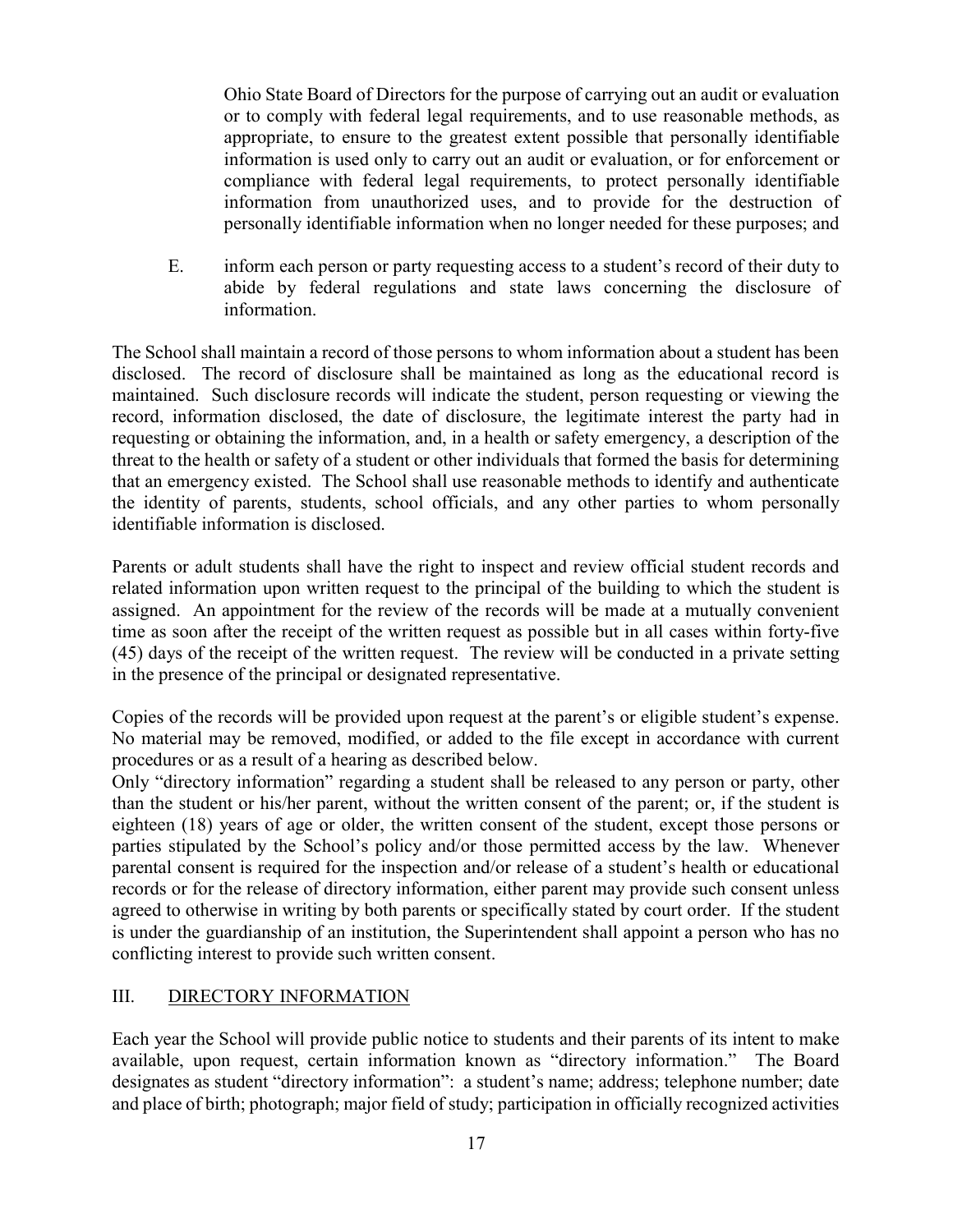Ohio State Board of Directors for the purpose of carrying out an audit or evaluation or to comply with federal legal requirements, and to use reasonable methods, as appropriate, to ensure to the greatest extent possible that personally identifiable information is used only to carry out an audit or evaluation, or for enforcement or compliance with federal legal requirements, to protect personally identifiable information from unauthorized uses, and to provide for the destruction of personally identifiable information when no longer needed for these purposes; and

E. inform each person or party requesting access to a student's record of their duty to abide by federal regulations and state laws concerning the disclosure of information.

The School shall maintain a record of those persons to whom information about a student has been disclosed. The record of disclosure shall be maintained as long as the educational record is maintained. Such disclosure records will indicate the student, person requesting or viewing the record, information disclosed, the date of disclosure, the legitimate interest the party had in requesting or obtaining the information, and, in a health or safety emergency, a description of the threat to the health or safety of a student or other individuals that formed the basis for determining that an emergency existed. The School shall use reasonable methods to identify and authenticate the identity of parents, students, school officials, and any other parties to whom personally identifiable information is disclosed.

Parents or adult students shall have the right to inspect and review official student records and related information upon written request to the principal of the building to which the student is assigned. An appointment for the review of the records will be made at a mutually convenient time as soon after the receipt of the written request as possible but in all cases within forty-five (45) days of the receipt of the written request. The review will be conducted in a private setting in the presence of the principal or designated representative.

Copies of the records will be provided upon request at the parent's or eligible student's expense. No material may be removed, modified, or added to the file except in accordance with current procedures or as a result of a hearing as described below.

Only "directory information" regarding a student shall be released to any person or party, other than the student or his/her parent, without the written consent of the parent; or, if the student is eighteen (18) years of age or older, the written consent of the student, except those persons or parties stipulated by the School's policy and/or those permitted access by the law. Whenever parental consent is required for the inspection and/or release of a student's health or educational records or for the release of directory information, either parent may provide such consent unless agreed to otherwise in writing by both parents or specifically stated by court order. If the student is under the guardianship of an institution, the Superintendent shall appoint a person who has no conflicting interest to provide such written consent.

## III. DIRECTORY INFORMATION

Each year the School will provide public notice to students and their parents of its intent to make available, upon request, certain information known as "directory information." The Board designates as student "directory information": a student's name; address; telephone number; date and place of birth; photograph; major field of study; participation in officially recognized activities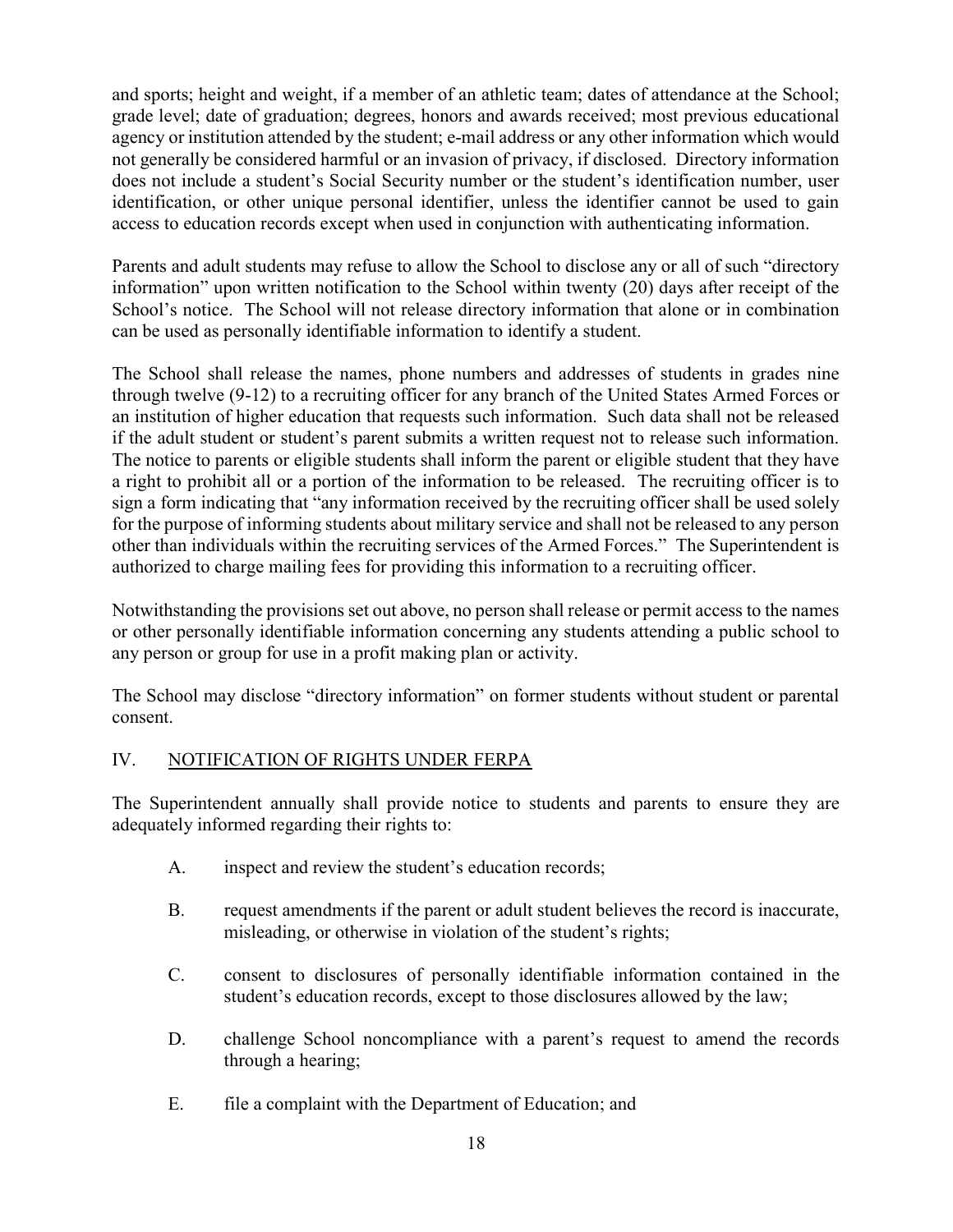and sports; height and weight, if a member of an athletic team; dates of attendance at the School; grade level; date of graduation; degrees, honors and awards received; most previous educational agency or institution attended by the student; e-mail address or any other information which would not generally be considered harmful or an invasion of privacy, if disclosed. Directory information does not include a student's Social Security number or the student's identification number, user identification, or other unique personal identifier, unless the identifier cannot be used to gain access to education records except when used in conjunction with authenticating information.

Parents and adult students may refuse to allow the School to disclose any or all of such "directory information" upon written notification to the School within twenty (20) days after receipt of the School's notice. The School will not release directory information that alone or in combination can be used as personally identifiable information to identify a student.

The School shall release the names, phone numbers and addresses of students in grades nine through twelve (9-12) to a recruiting officer for any branch of the United States Armed Forces or an institution of higher education that requests such information. Such data shall not be released if the adult student or student's parent submits a written request not to release such information. The notice to parents or eligible students shall inform the parent or eligible student that they have a right to prohibit all or a portion of the information to be released. The recruiting officer is to sign a form indicating that "any information received by the recruiting officer shall be used solely for the purpose of informing students about military service and shall not be released to any person other than individuals within the recruiting services of the Armed Forces." The Superintendent is authorized to charge mailing fees for providing this information to a recruiting officer.

Notwithstanding the provisions set out above, no person shall release or permit access to the names or other personally identifiable information concerning any students attending a public school to any person or group for use in a profit making plan or activity.

The School may disclose "directory information" on former students without student or parental consent.

## IV. NOTIFICATION OF RIGHTS UNDER FERPA

The Superintendent annually shall provide notice to students and parents to ensure they are adequately informed regarding their rights to:

- A. inspect and review the student's education records;
- B. request amendments if the parent or adult student believes the record is inaccurate, misleading, or otherwise in violation of the student's rights;
- C. consent to disclosures of personally identifiable information contained in the student's education records, except to those disclosures allowed by the law;
- D. challenge School noncompliance with a parent's request to amend the records through a hearing;
- E. file a complaint with the Department of Education; and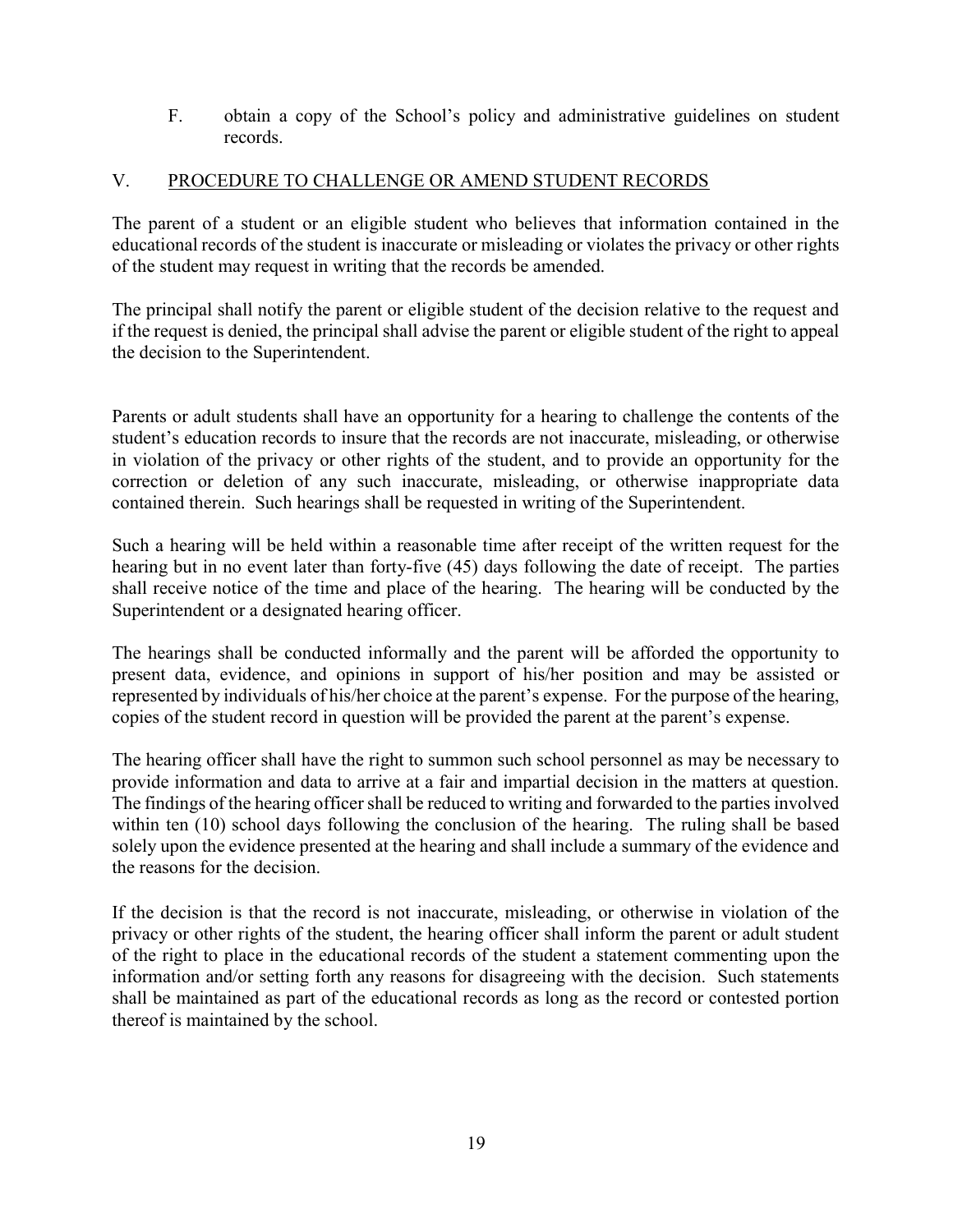F. obtain a copy of the School's policy and administrative guidelines on student records.

## V. PROCEDURE TO CHALLENGE OR AMEND STUDENT RECORDS

The parent of a student or an eligible student who believes that information contained in the educational records of the student is inaccurate or misleading or violates the privacy or other rights of the student may request in writing that the records be amended.

The principal shall notify the parent or eligible student of the decision relative to the request and if the request is denied, the principal shall advise the parent or eligible student of the right to appeal the decision to the Superintendent.

Parents or adult students shall have an opportunity for a hearing to challenge the contents of the student's education records to insure that the records are not inaccurate, misleading, or otherwise in violation of the privacy or other rights of the student, and to provide an opportunity for the correction or deletion of any such inaccurate, misleading, or otherwise inappropriate data contained therein. Such hearings shall be requested in writing of the Superintendent.

Such a hearing will be held within a reasonable time after receipt of the written request for the hearing but in no event later than forty-five (45) days following the date of receipt. The parties shall receive notice of the time and place of the hearing. The hearing will be conducted by the Superintendent or a designated hearing officer.

The hearings shall be conducted informally and the parent will be afforded the opportunity to present data, evidence, and opinions in support of his/her position and may be assisted or represented by individuals of his/her choice at the parent's expense. For the purpose of the hearing, copies of the student record in question will be provided the parent at the parent's expense.

The hearing officer shall have the right to summon such school personnel as may be necessary to provide information and data to arrive at a fair and impartial decision in the matters at question. The findings of the hearing officer shall be reduced to writing and forwarded to the parties involved within ten (10) school days following the conclusion of the hearing. The ruling shall be based solely upon the evidence presented at the hearing and shall include a summary of the evidence and the reasons for the decision.

If the decision is that the record is not inaccurate, misleading, or otherwise in violation of the privacy or other rights of the student, the hearing officer shall inform the parent or adult student of the right to place in the educational records of the student a statement commenting upon the information and/or setting forth any reasons for disagreeing with the decision. Such statements shall be maintained as part of the educational records as long as the record or contested portion thereof is maintained by the school.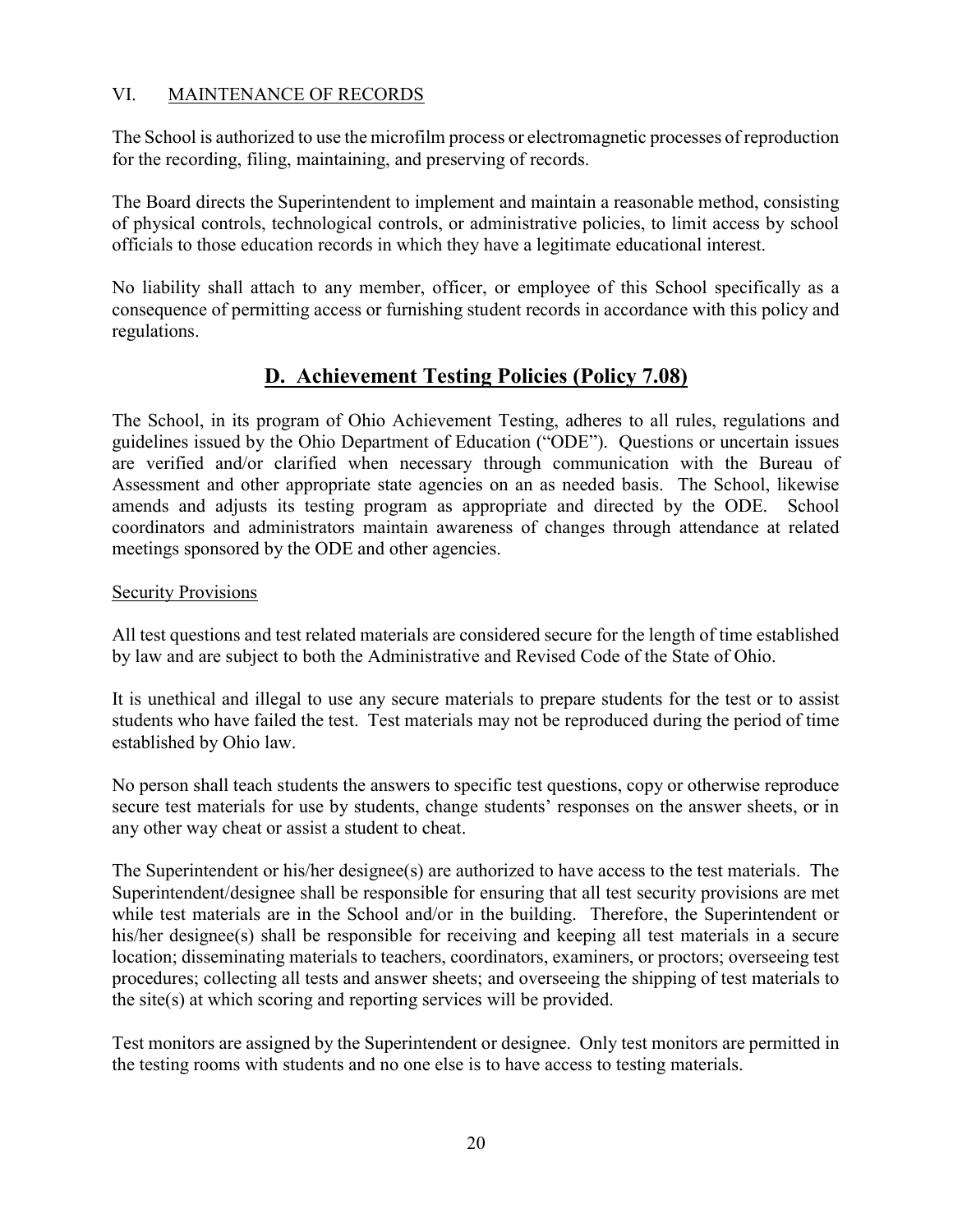## VI. MAINTENANCE OF RECORDS

The School is authorized to use the microfilm process or electromagnetic processes of reproduction for the recording, filing, maintaining, and preserving of records.

The Board directs the Superintendent to implement and maintain a reasonable method, consisting of physical controls, technological controls, or administrative policies, to limit access by school officials to those education records in which they have a legitimate educational interest.

No liability shall attach to any member, officer, or employee of this School specifically as a consequence of permitting access or furnishing student records in accordance with this policy and regulations.

# D. Achievement Testing Policies (Policy 7.08)

The School, in its program of Ohio Achievement Testing, adheres to all rules, regulations and guidelines issued by the Ohio Department of Education ("ODE"). Questions or uncertain issues are verified and/or clarified when necessary through communication with the Bureau of Assessment and other appropriate state agencies on an as needed basis. The School, likewise amends and adjusts its testing program as appropriate and directed by the ODE. School coordinators and administrators maintain awareness of changes through attendance at related meetings sponsored by the ODE and other agencies.

## Security Provisions

All test questions and test related materials are considered secure for the length of time established by law and are subject to both the Administrative and Revised Code of the State of Ohio.

It is unethical and illegal to use any secure materials to prepare students for the test or to assist students who have failed the test. Test materials may not be reproduced during the period of time established by Ohio law.

No person shall teach students the answers to specific test questions, copy or otherwise reproduce secure test materials for use by students, change students' responses on the answer sheets, or in any other way cheat or assist a student to cheat.

The Superintendent or his/her designee(s) are authorized to have access to the test materials. The Superintendent/designee shall be responsible for ensuring that all test security provisions are met while test materials are in the School and/or in the building. Therefore, the Superintendent or his/her designee(s) shall be responsible for receiving and keeping all test materials in a secure location; disseminating materials to teachers, coordinators, examiners, or proctors; overseeing test procedures; collecting all tests and answer sheets; and overseeing the shipping of test materials to the site(s) at which scoring and reporting services will be provided.

Test monitors are assigned by the Superintendent or designee. Only test monitors are permitted in the testing rooms with students and no one else is to have access to testing materials.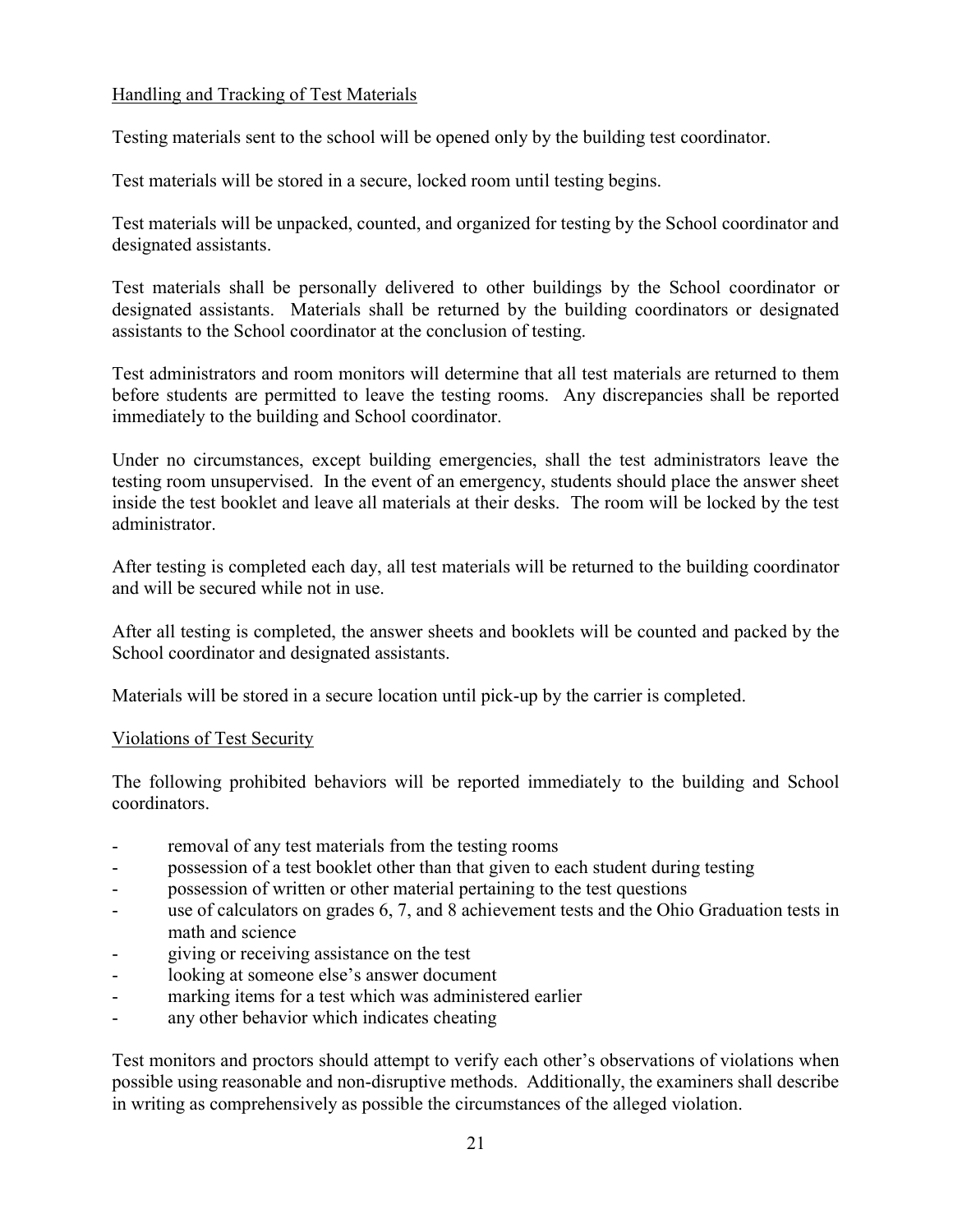## Handling and Tracking of Test Materials

Testing materials sent to the school will be opened only by the building test coordinator.

Test materials will be stored in a secure, locked room until testing begins.

Test materials will be unpacked, counted, and organized for testing by the School coordinator and designated assistants.

Test materials shall be personally delivered to other buildings by the School coordinator or designated assistants. Materials shall be returned by the building coordinators or designated assistants to the School coordinator at the conclusion of testing.

Test administrators and room monitors will determine that all test materials are returned to them before students are permitted to leave the testing rooms. Any discrepancies shall be reported immediately to the building and School coordinator.

Under no circumstances, except building emergencies, shall the test administrators leave the testing room unsupervised. In the event of an emergency, students should place the answer sheet inside the test booklet and leave all materials at their desks. The room will be locked by the test administrator.

After testing is completed each day, all test materials will be returned to the building coordinator and will be secured while not in use.

After all testing is completed, the answer sheets and booklets will be counted and packed by the School coordinator and designated assistants.

Materials will be stored in a secure location until pick-up by the carrier is completed.

### Violations of Test Security

The following prohibited behaviors will be reported immediately to the building and School coordinators.

- removal of any test materials from the testing rooms
- possession of a test booklet other than that given to each student during testing
- possession of written or other material pertaining to the test questions
- use of calculators on grades 6, 7, and 8 achievement tests and the Ohio Graduation tests in math and science
- giving or receiving assistance on the test
- looking at someone else's answer document
- marking items for a test which was administered earlier
- any other behavior which indicates cheating

Test monitors and proctors should attempt to verify each other's observations of violations when possible using reasonable and non-disruptive methods. Additionally, the examiners shall describe in writing as comprehensively as possible the circumstances of the alleged violation.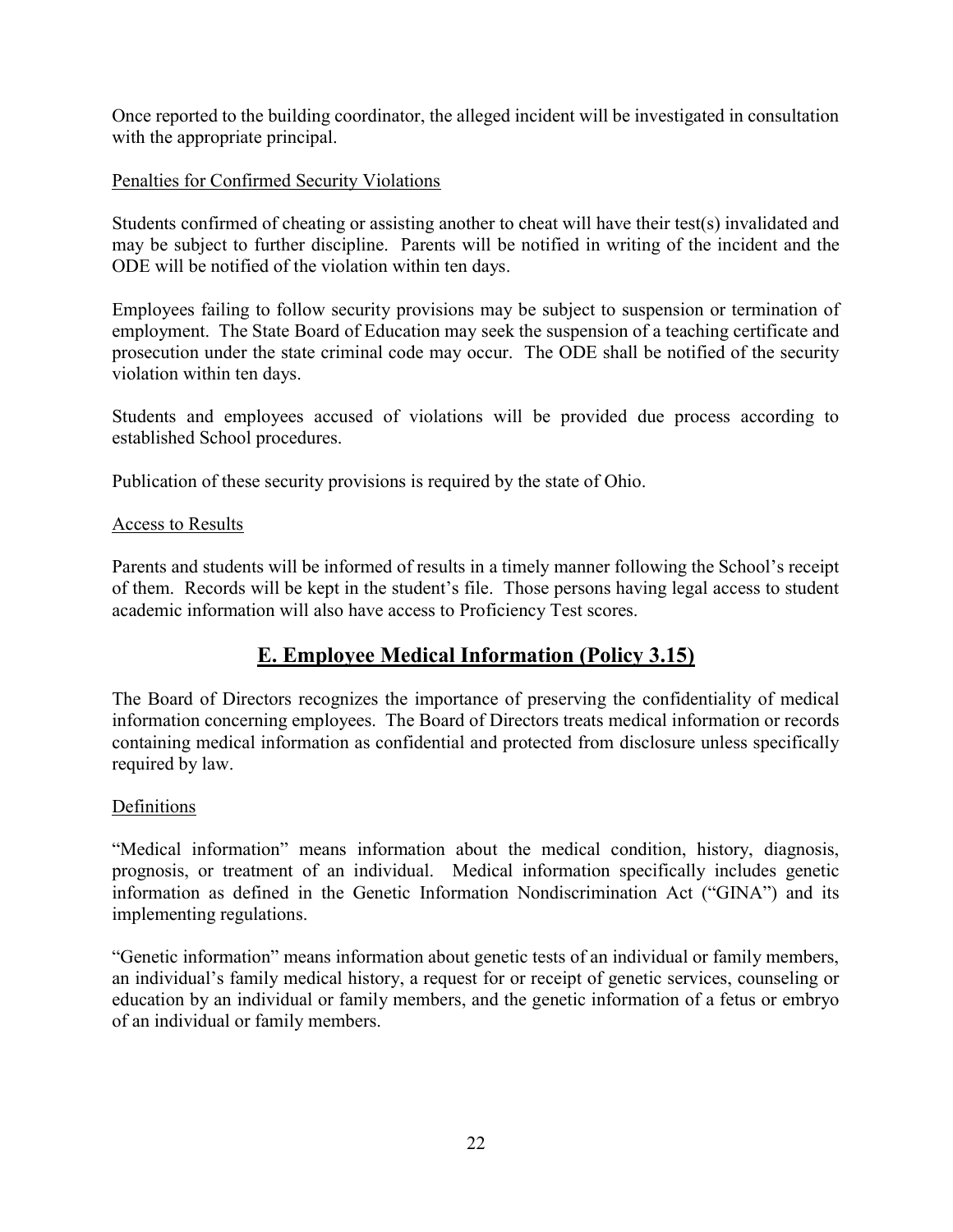Once reported to the building coordinator, the alleged incident will be investigated in consultation with the appropriate principal.

## Penalties for Confirmed Security Violations

Students confirmed of cheating or assisting another to cheat will have their test(s) invalidated and may be subject to further discipline. Parents will be notified in writing of the incident and the ODE will be notified of the violation within ten days.

Employees failing to follow security provisions may be subject to suspension or termination of employment. The State Board of Education may seek the suspension of a teaching certificate and prosecution under the state criminal code may occur. The ODE shall be notified of the security violation within ten days.

Students and employees accused of violations will be provided due process according to established School procedures.

Publication of these security provisions is required by the state of Ohio.

### Access to Results

Parents and students will be informed of results in a timely manner following the School's receipt of them. Records will be kept in the student's file. Those persons having legal access to student academic information will also have access to Proficiency Test scores.

## E. Employee Medical Information (Policy 3.15)

The Board of Directors recognizes the importance of preserving the confidentiality of medical information concerning employees. The Board of Directors treats medical information or records containing medical information as confidential and protected from disclosure unless specifically required by law.

### Definitions

"Medical information" means information about the medical condition, history, diagnosis, prognosis, or treatment of an individual. Medical information specifically includes genetic information as defined in the Genetic Information Nondiscrimination Act ("GINA") and its implementing regulations.

"Genetic information" means information about genetic tests of an individual or family members, an individual's family medical history, a request for or receipt of genetic services, counseling or education by an individual or family members, and the genetic information of a fetus or embryo of an individual or family members.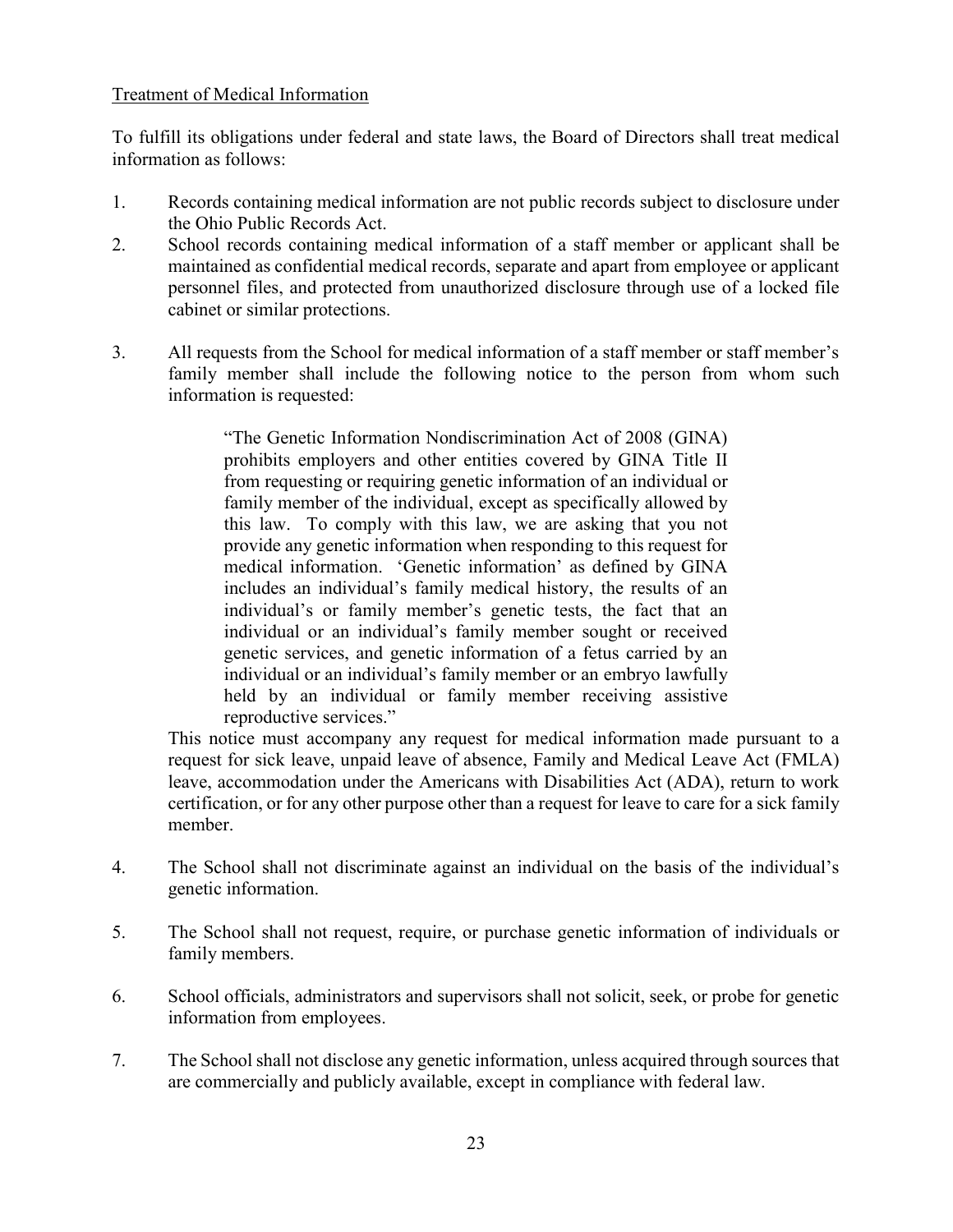## Treatment of Medical Information

To fulfill its obligations under federal and state laws, the Board of Directors shall treat medical information as follows:

- 1. Records containing medical information are not public records subject to disclosure under the Ohio Public Records Act.
- 2. School records containing medical information of a staff member or applicant shall be maintained as confidential medical records, separate and apart from employee or applicant personnel files, and protected from unauthorized disclosure through use of a locked file cabinet or similar protections.
- 3. All requests from the School for medical information of a staff member or staff member's family member shall include the following notice to the person from whom such information is requested:

"The Genetic Information Nondiscrimination Act of 2008 (GINA) prohibits employers and other entities covered by GINA Title II from requesting or requiring genetic information of an individual or family member of the individual, except as specifically allowed by this law. To comply with this law, we are asking that you not provide any genetic information when responding to this request for medical information. 'Genetic information' as defined by GINA includes an individual's family medical history, the results of an individual's or family member's genetic tests, the fact that an individual or an individual's family member sought or received genetic services, and genetic information of a fetus carried by an individual or an individual's family member or an embryo lawfully held by an individual or family member receiving assistive reproductive services."

This notice must accompany any request for medical information made pursuant to a request for sick leave, unpaid leave of absence, Family and Medical Leave Act (FMLA) leave, accommodation under the Americans with Disabilities Act (ADA), return to work certification, or for any other purpose other than a request for leave to care for a sick family member.

- 4. The School shall not discriminate against an individual on the basis of the individual's genetic information.
- 5. The School shall not request, require, or purchase genetic information of individuals or family members.
- 6. School officials, administrators and supervisors shall not solicit, seek, or probe for genetic information from employees.
- 7. The School shall not disclose any genetic information, unless acquired through sources that are commercially and publicly available, except in compliance with federal law.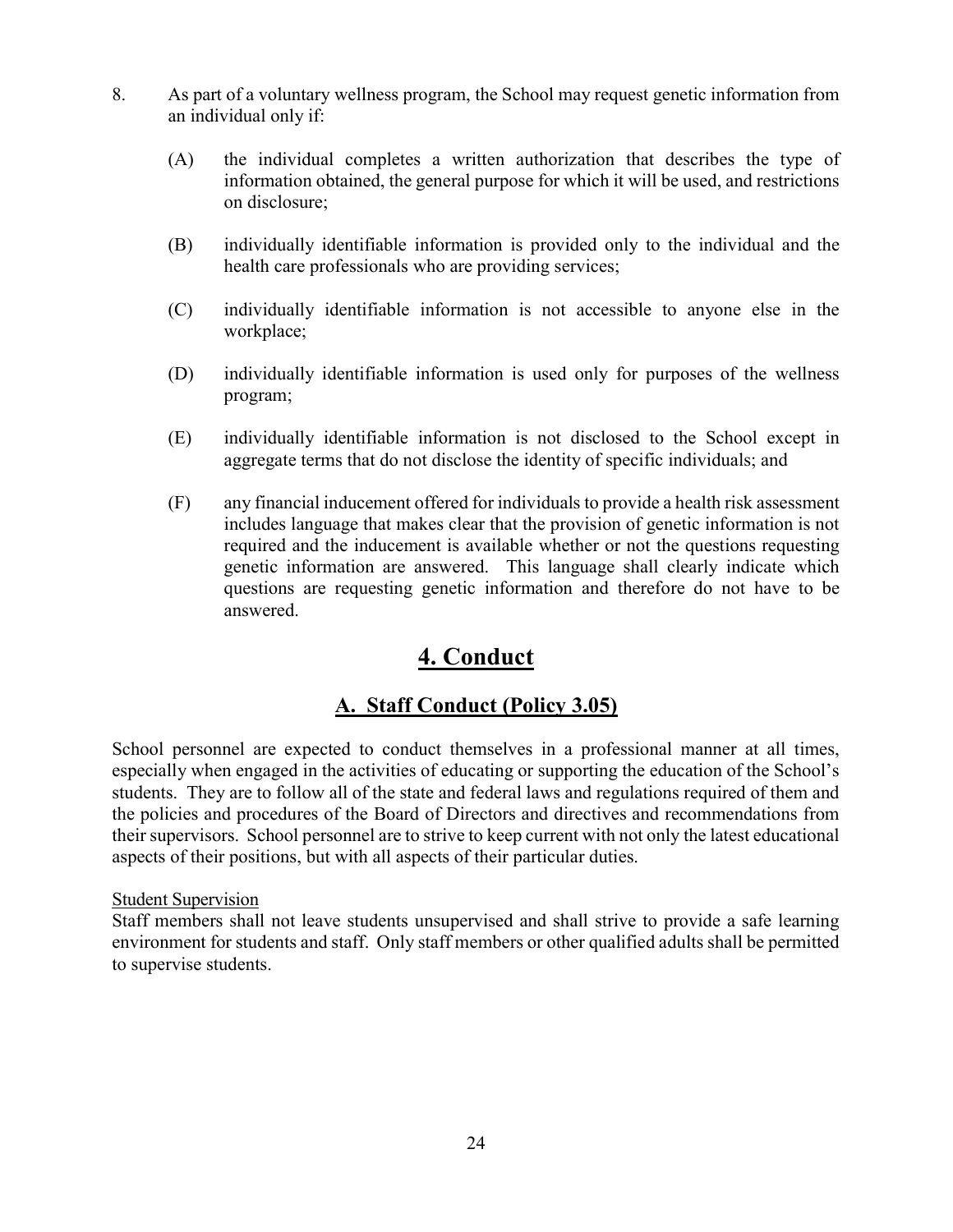- 8. As part of a voluntary wellness program, the School may request genetic information from an individual only if:
	- (A) the individual completes a written authorization that describes the type of information obtained, the general purpose for which it will be used, and restrictions on disclosure;
	- (B) individually identifiable information is provided only to the individual and the health care professionals who are providing services;
	- (C) individually identifiable information is not accessible to anyone else in the workplace;
	- (D) individually identifiable information is used only for purposes of the wellness program;
	- (E) individually identifiable information is not disclosed to the School except in aggregate terms that do not disclose the identity of specific individuals; and
	- (F) any financial inducement offered for individuals to provide a health risk assessment includes language that makes clear that the provision of genetic information is not required and the inducement is available whether or not the questions requesting genetic information are answered. This language shall clearly indicate which questions are requesting genetic information and therefore do not have to be answered.

# 4. Conduct

# A. Staff Conduct (Policy 3.05)

School personnel are expected to conduct themselves in a professional manner at all times, especially when engaged in the activities of educating or supporting the education of the School's students. They are to follow all of the state and federal laws and regulations required of them and the policies and procedures of the Board of Directors and directives and recommendations from their supervisors. School personnel are to strive to keep current with not only the latest educational aspects of their positions, but with all aspects of their particular duties.

## Student Supervision

Staff members shall not leave students unsupervised and shall strive to provide a safe learning environment for students and staff. Only staff members or other qualified adults shall be permitted to supervise students.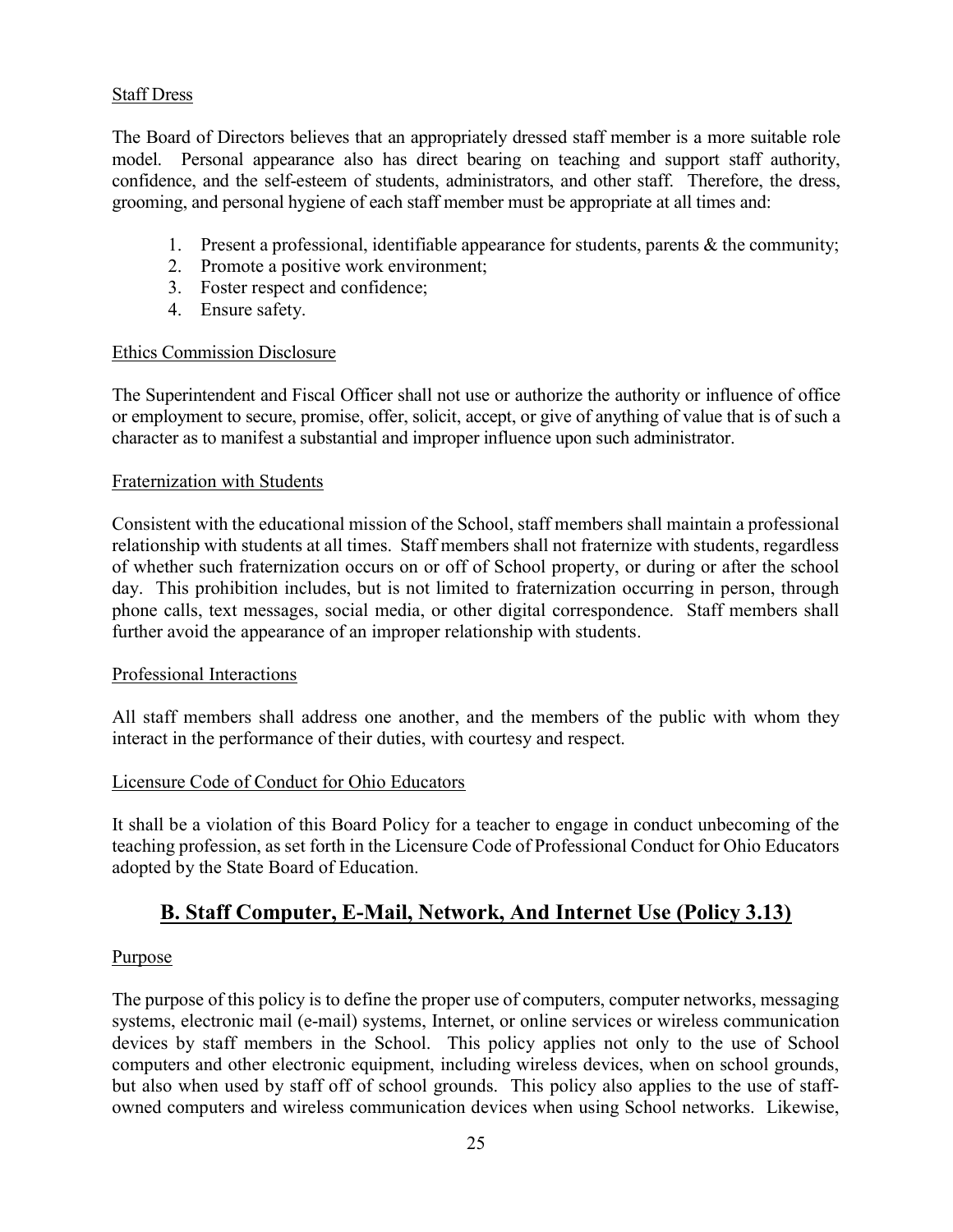## Staff Dress

The Board of Directors believes that an appropriately dressed staff member is a more suitable role model. Personal appearance also has direct bearing on teaching and support staff authority, confidence, and the self-esteem of students, administrators, and other staff. Therefore, the dress, grooming, and personal hygiene of each staff member must be appropriate at all times and:

- 1. Present a professional, identifiable appearance for students, parents & the community;
- 2. Promote a positive work environment;
- 3. Foster respect and confidence;
- 4. Ensure safety.

### Ethics Commission Disclosure

The Superintendent and Fiscal Officer shall not use or authorize the authority or influence of office or employment to secure, promise, offer, solicit, accept, or give of anything of value that is of such a character as to manifest a substantial and improper influence upon such administrator.

### Fraternization with Students

Consistent with the educational mission of the School, staff members shall maintain a professional relationship with students at all times. Staff members shall not fraternize with students, regardless of whether such fraternization occurs on or off of School property, or during or after the school day. This prohibition includes, but is not limited to fraternization occurring in person, through phone calls, text messages, social media, or other digital correspondence. Staff members shall further avoid the appearance of an improper relationship with students.

#### Professional Interactions

All staff members shall address one another, and the members of the public with whom they interact in the performance of their duties, with courtesy and respect.

### Licensure Code of Conduct for Ohio Educators

It shall be a violation of this Board Policy for a teacher to engage in conduct unbecoming of the teaching profession, as set forth in the Licensure Code of Professional Conduct for Ohio Educators adopted by the State Board of Education.

## B. Staff Computer, E-Mail, Network, And Internet Use (Policy 3.13)

### Purpose

The purpose of this policy is to define the proper use of computers, computer networks, messaging systems, electronic mail (e-mail) systems, Internet, or online services or wireless communication devices by staff members in the School. This policy applies not only to the use of School computers and other electronic equipment, including wireless devices, when on school grounds, but also when used by staff off of school grounds. This policy also applies to the use of staffowned computers and wireless communication devices when using School networks. Likewise,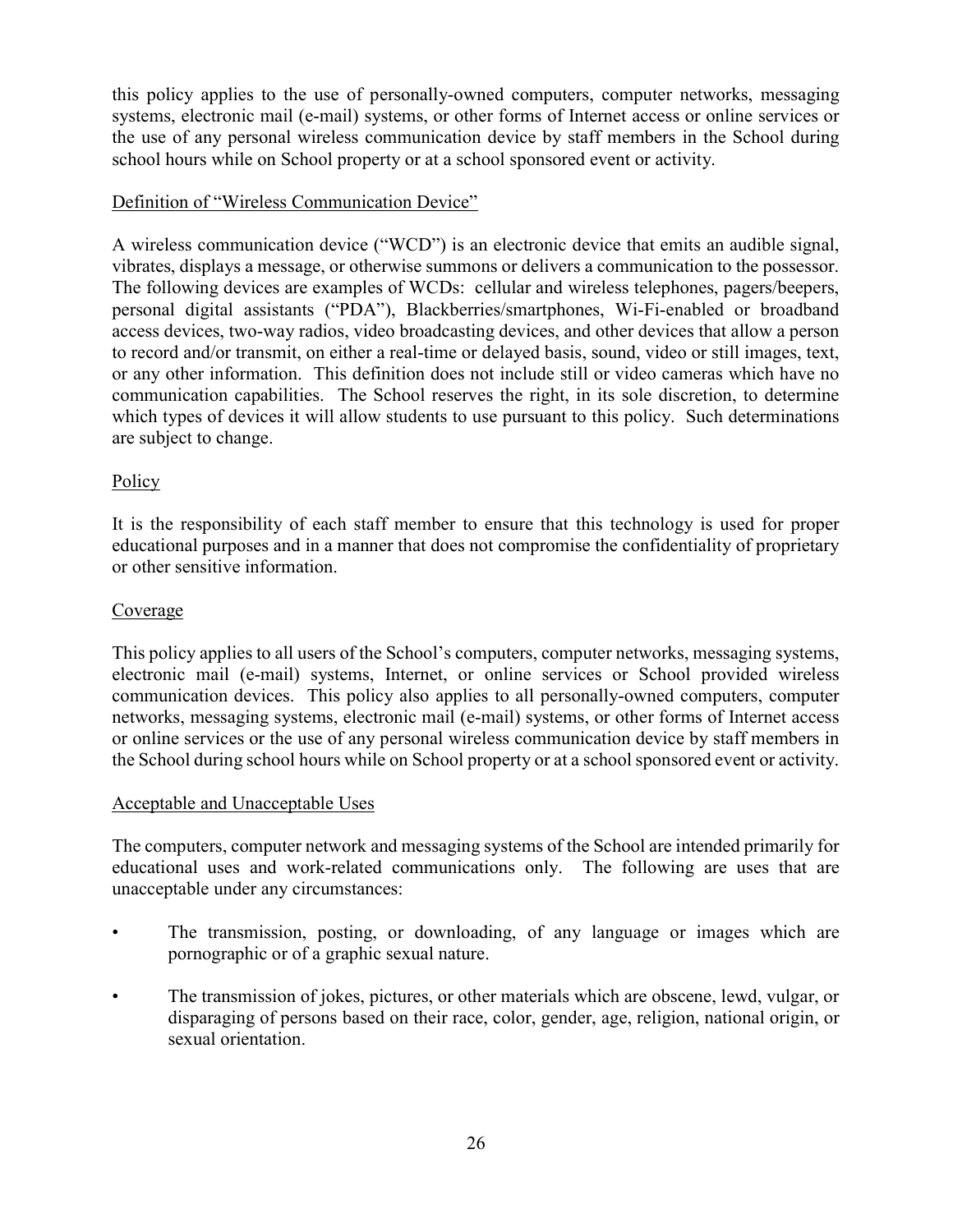this policy applies to the use of personally-owned computers, computer networks, messaging systems, electronic mail (e-mail) systems, or other forms of Internet access or online services or the use of any personal wireless communication device by staff members in the School during school hours while on School property or at a school sponsored event or activity.

## Definition of "Wireless Communication Device"

A wireless communication device ("WCD") is an electronic device that emits an audible signal, vibrates, displays a message, or otherwise summons or delivers a communication to the possessor. The following devices are examples of WCDs: cellular and wireless telephones, pagers/beepers, personal digital assistants ("PDA"), Blackberries/smartphones, Wi-Fi-enabled or broadband access devices, two-way radios, video broadcasting devices, and other devices that allow a person to record and/or transmit, on either a real-time or delayed basis, sound, video or still images, text, or any other information. This definition does not include still or video cameras which have no communication capabilities. The School reserves the right, in its sole discretion, to determine which types of devices it will allow students to use pursuant to this policy. Such determinations are subject to change.

## Policy

It is the responsibility of each staff member to ensure that this technology is used for proper educational purposes and in a manner that does not compromise the confidentiality of proprietary or other sensitive information.

### Coverage

This policy applies to all users of the School's computers, computer networks, messaging systems, electronic mail (e-mail) systems, Internet, or online services or School provided wireless communication devices. This policy also applies to all personally-owned computers, computer networks, messaging systems, electronic mail (e-mail) systems, or other forms of Internet access or online services or the use of any personal wireless communication device by staff members in the School during school hours while on School property or at a school sponsored event or activity.

### Acceptable and Unacceptable Uses

The computers, computer network and messaging systems of the School are intended primarily for educational uses and work-related communications only. The following are uses that are unacceptable under any circumstances:

- The transmission, posting, or downloading, of any language or images which are pornographic or of a graphic sexual nature.
- The transmission of jokes, pictures, or other materials which are obscene, lewd, vulgar, or disparaging of persons based on their race, color, gender, age, religion, national origin, or sexual orientation.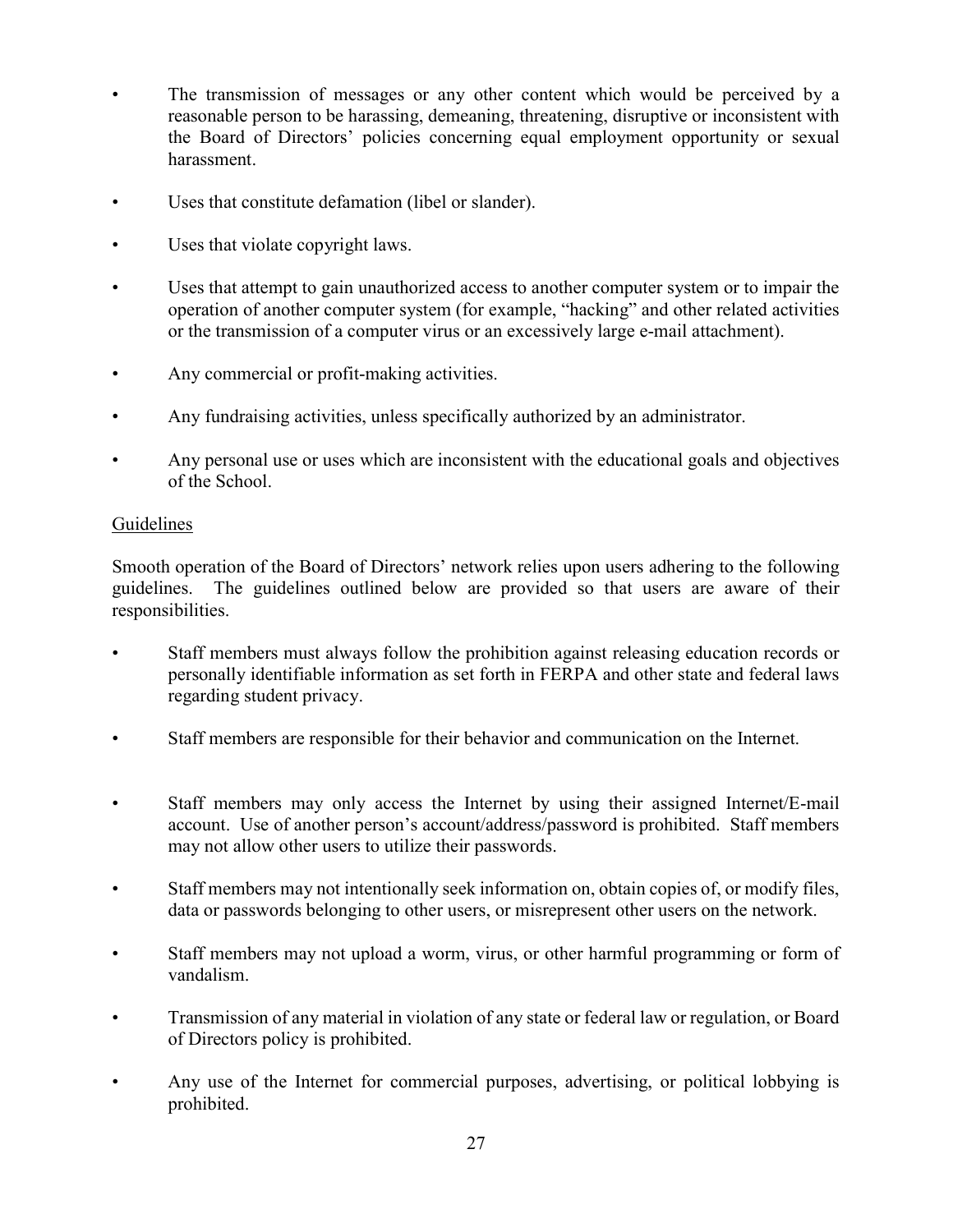- The transmission of messages or any other content which would be perceived by a reasonable person to be harassing, demeaning, threatening, disruptive or inconsistent with the Board of Directors' policies concerning equal employment opportunity or sexual harassment.
- Uses that constitute defamation (libel or slander).
- Uses that violate copyright laws.
- Uses that attempt to gain unauthorized access to another computer system or to impair the operation of another computer system (for example, "hacking" and other related activities or the transmission of a computer virus or an excessively large e-mail attachment).
- Any commercial or profit-making activities.
- Any fundraising activities, unless specifically authorized by an administrator.
- Any personal use or uses which are inconsistent with the educational goals and objectives of the School.

## Guidelines

Smooth operation of the Board of Directors' network relies upon users adhering to the following guidelines. The guidelines outlined below are provided so that users are aware of their responsibilities.

- Staff members must always follow the prohibition against releasing education records or personally identifiable information as set forth in FERPA and other state and federal laws regarding student privacy.
- Staff members are responsible for their behavior and communication on the Internet.
- Staff members may only access the Internet by using their assigned Internet/E-mail account. Use of another person's account/address/password is prohibited. Staff members may not allow other users to utilize their passwords.
- Staff members may not intentionally seek information on, obtain copies of, or modify files, data or passwords belonging to other users, or misrepresent other users on the network.
- Staff members may not upload a worm, virus, or other harmful programming or form of vandalism.
- Transmission of any material in violation of any state or federal law or regulation, or Board of Directors policy is prohibited.
- Any use of the Internet for commercial purposes, advertising, or political lobbying is prohibited.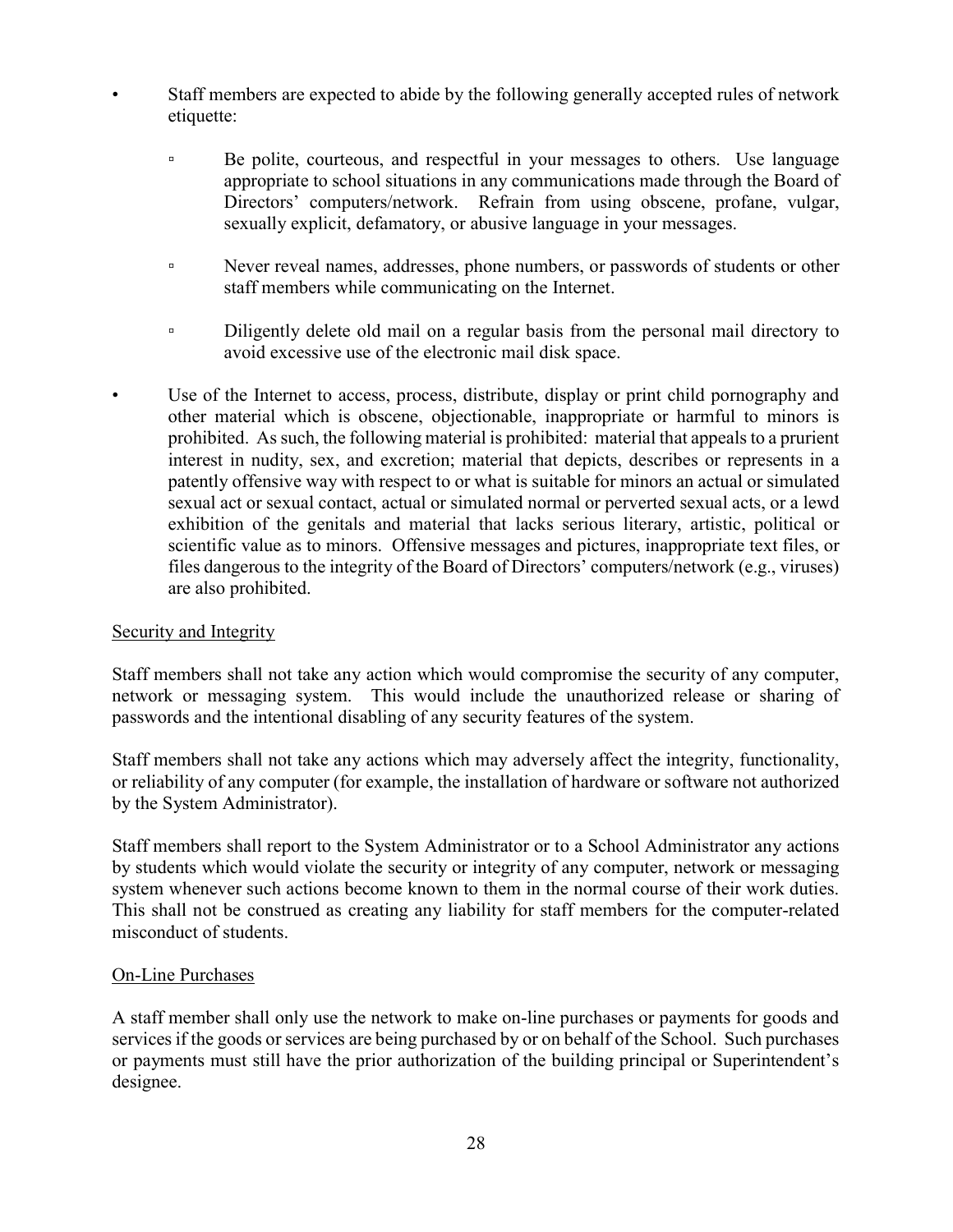- Staff members are expected to abide by the following generally accepted rules of network etiquette:
	- Be polite, courteous, and respectful in your messages to others. Use language appropriate to school situations in any communications made through the Board of Directors' computers/network. Refrain from using obscene, profane, vulgar, sexually explicit, defamatory, or abusive language in your messages.
	- Never reveal names, addresses, phone numbers, or passwords of students or other staff members while communicating on the Internet.
	- <sup>o</sup> Diligently delete old mail on a regular basis from the personal mail directory to avoid excessive use of the electronic mail disk space.
- Use of the Internet to access, process, distribute, display or print child pornography and other material which is obscene, objectionable, inappropriate or harmful to minors is prohibited. As such, the following material is prohibited: material that appeals to a prurient interest in nudity, sex, and excretion; material that depicts, describes or represents in a patently offensive way with respect to or what is suitable for minors an actual or simulated sexual act or sexual contact, actual or simulated normal or perverted sexual acts, or a lewd exhibition of the genitals and material that lacks serious literary, artistic, political or scientific value as to minors. Offensive messages and pictures, inappropriate text files, or files dangerous to the integrity of the Board of Directors' computers/network (e.g., viruses) are also prohibited.

### Security and Integrity

Staff members shall not take any action which would compromise the security of any computer, network or messaging system. This would include the unauthorized release or sharing of passwords and the intentional disabling of any security features of the system.

Staff members shall not take any actions which may adversely affect the integrity, functionality, or reliability of any computer (for example, the installation of hardware or software not authorized by the System Administrator).

Staff members shall report to the System Administrator or to a School Administrator any actions by students which would violate the security or integrity of any computer, network or messaging system whenever such actions become known to them in the normal course of their work duties. This shall not be construed as creating any liability for staff members for the computer-related misconduct of students.

### On-Line Purchases

A staff member shall only use the network to make on-line purchases or payments for goods and services if the goods or services are being purchased by or on behalf of the School. Such purchases or payments must still have the prior authorization of the building principal or Superintendent's designee.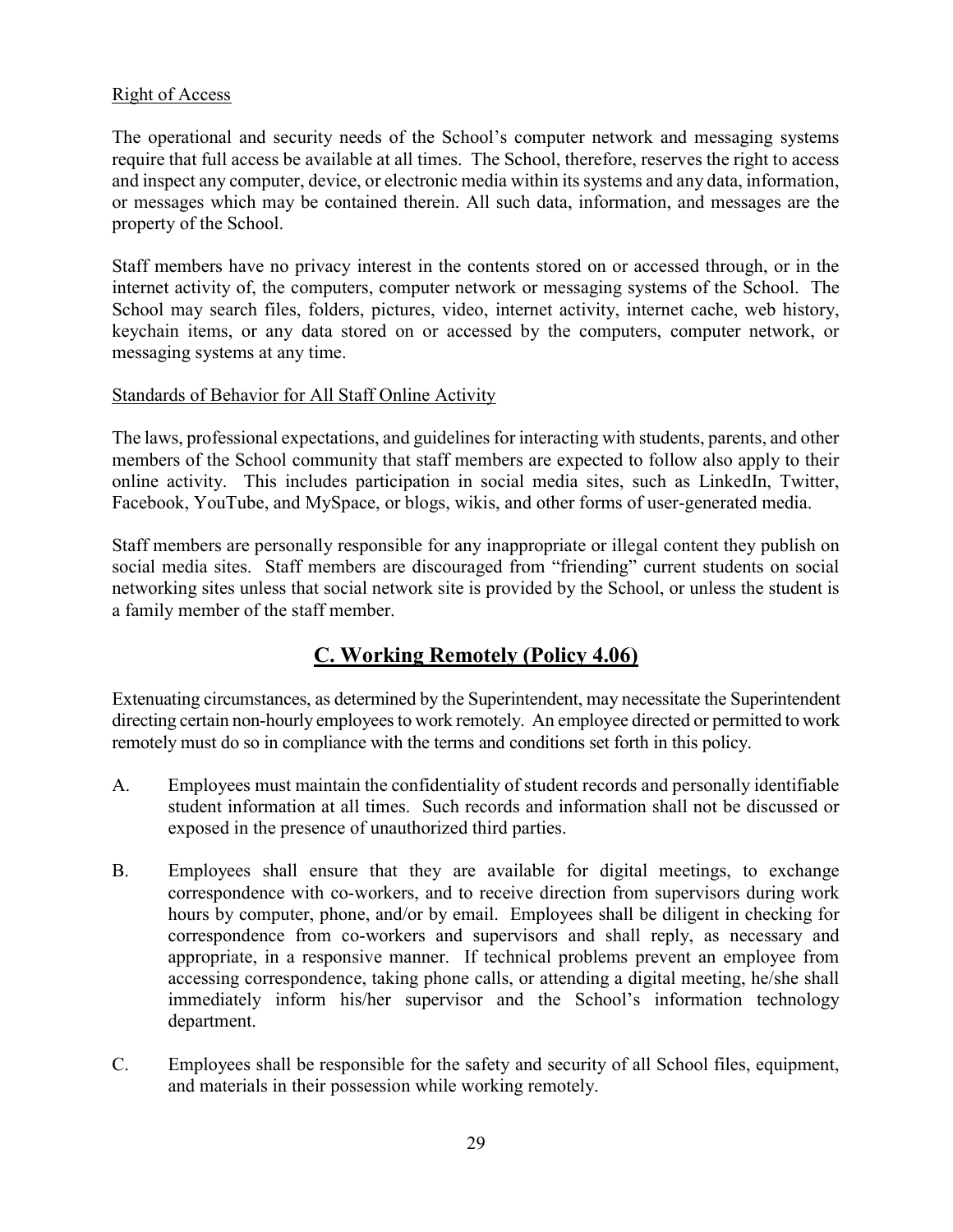## Right of Access

The operational and security needs of the School's computer network and messaging systems require that full access be available at all times. The School, therefore, reserves the right to access and inspect any computer, device, or electronic media within its systems and any data, information, or messages which may be contained therein. All such data, information, and messages are the property of the School.

Staff members have no privacy interest in the contents stored on or accessed through, or in the internet activity of, the computers, computer network or messaging systems of the School. The School may search files, folders, pictures, video, internet activity, internet cache, web history, keychain items, or any data stored on or accessed by the computers, computer network, or messaging systems at any time.

### Standards of Behavior for All Staff Online Activity

The laws, professional expectations, and guidelines for interacting with students, parents, and other members of the School community that staff members are expected to follow also apply to their online activity. This includes participation in social media sites, such as LinkedIn, Twitter, Facebook, YouTube, and MySpace, or blogs, wikis, and other forms of user-generated media.

Staff members are personally responsible for any inappropriate or illegal content they publish on social media sites. Staff members are discouraged from "friending" current students on social networking sites unless that social network site is provided by the School, or unless the student is a family member of the staff member.

# C. Working Remotely (Policy 4.06)

Extenuating circumstances, as determined by the Superintendent, may necessitate the Superintendent directing certain non-hourly employees to work remotely. An employee directed or permitted to work remotely must do so in compliance with the terms and conditions set forth in this policy.

- A. Employees must maintain the confidentiality of student records and personally identifiable student information at all times. Such records and information shall not be discussed or exposed in the presence of unauthorized third parties.
- B. Employees shall ensure that they are available for digital meetings, to exchange correspondence with co-workers, and to receive direction from supervisors during work hours by computer, phone, and/or by email. Employees shall be diligent in checking for correspondence from co-workers and supervisors and shall reply, as necessary and appropriate, in a responsive manner. If technical problems prevent an employee from accessing correspondence, taking phone calls, or attending a digital meeting, he/she shall immediately inform his/her supervisor and the School's information technology department.
- C. Employees shall be responsible for the safety and security of all School files, equipment, and materials in their possession while working remotely.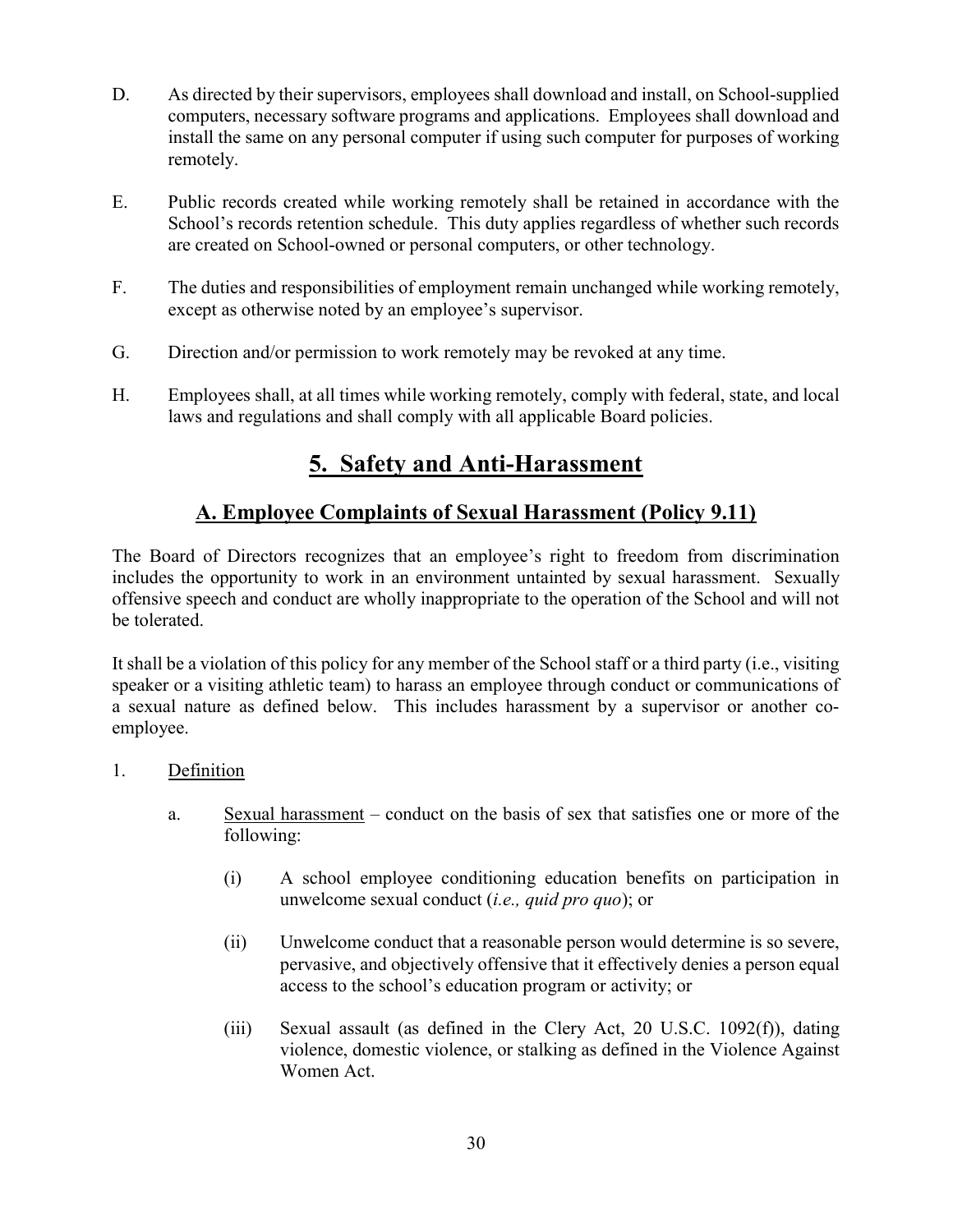- D. As directed by their supervisors, employees shall download and install, on School-supplied computers, necessary software programs and applications. Employees shall download and install the same on any personal computer if using such computer for purposes of working remotely.
- E. Public records created while working remotely shall be retained in accordance with the School's records retention schedule. This duty applies regardless of whether such records are created on School-owned or personal computers, or other technology.
- F. The duties and responsibilities of employment remain unchanged while working remotely, except as otherwise noted by an employee's supervisor.
- G. Direction and/or permission to work remotely may be revoked at any time.
- H. Employees shall, at all times while working remotely, comply with federal, state, and local laws and regulations and shall comply with all applicable Board policies.

# 5. Safety and Anti-Harassment

## A. Employee Complaints of Sexual Harassment (Policy 9.11)

The Board of Directors recognizes that an employee's right to freedom from discrimination includes the opportunity to work in an environment untainted by sexual harassment. Sexually offensive speech and conduct are wholly inappropriate to the operation of the School and will not be tolerated.

It shall be a violation of this policy for any member of the School staff or a third party (i.e., visiting speaker or a visiting athletic team) to harass an employee through conduct or communications of a sexual nature as defined below. This includes harassment by a supervisor or another coemployee.

## 1. Definition

- a. Sexual harassment conduct on the basis of sex that satisfies one or more of the following:
	- (i) A school employee conditioning education benefits on participation in unwelcome sexual conduct (i.e., quid pro quo); or
	- (ii) Unwelcome conduct that a reasonable person would determine is so severe, pervasive, and objectively offensive that it effectively denies a person equal access to the school's education program or activity; or
	- (iii) Sexual assault (as defined in the Clery Act, 20 U.S.C. 1092(f)), dating violence, domestic violence, or stalking as defined in the Violence Against Women Act.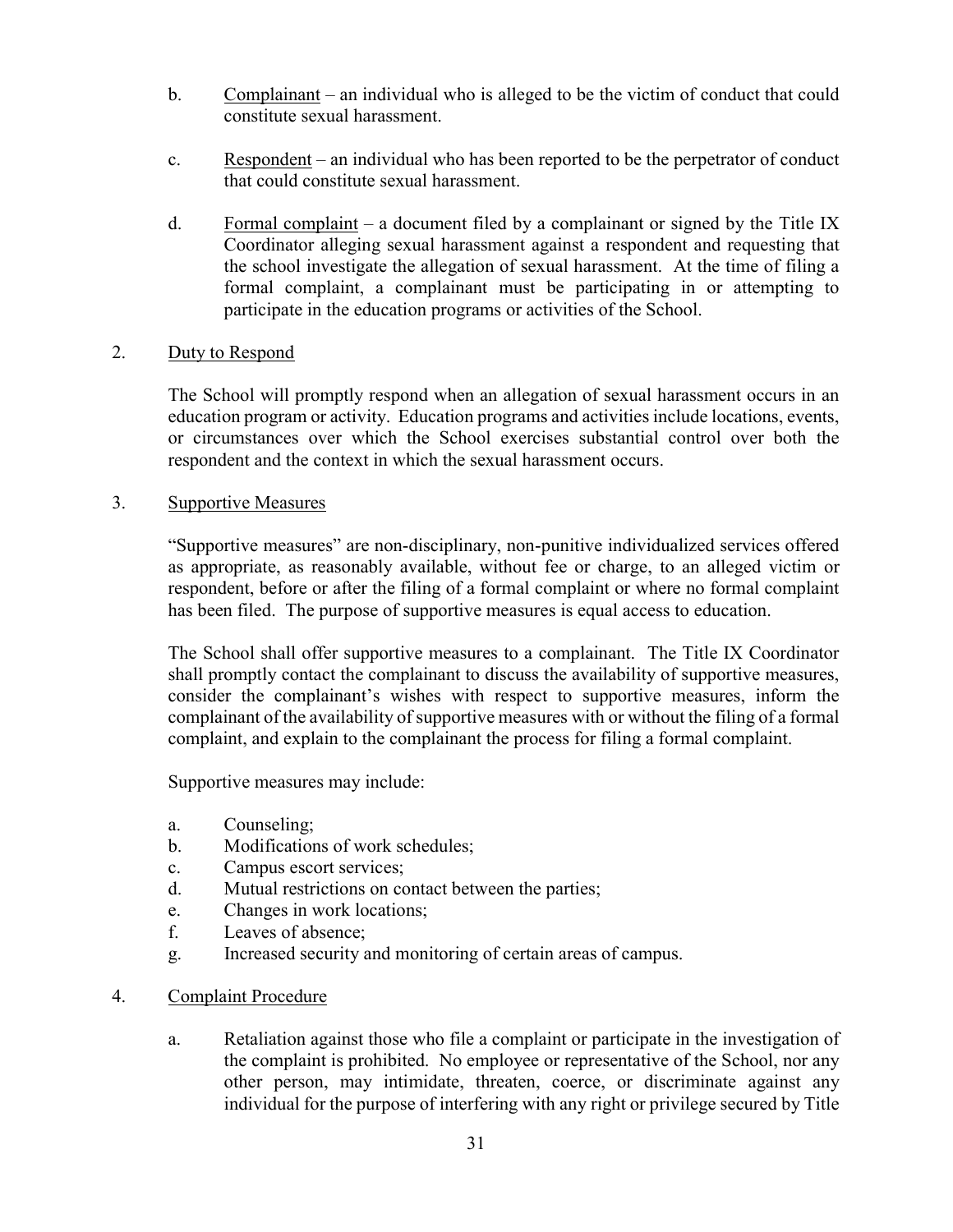- b. Complainant an individual who is alleged to be the victim of conduct that could constitute sexual harassment.
- c. Respondent an individual who has been reported to be the perpetrator of conduct that could constitute sexual harassment.
- d. Formal complaint a document filed by a complainant or signed by the Title IX Coordinator alleging sexual harassment against a respondent and requesting that the school investigate the allegation of sexual harassment. At the time of filing a formal complaint, a complainant must be participating in or attempting to participate in the education programs or activities of the School.

## 2. Duty to Respond

The School will promptly respond when an allegation of sexual harassment occurs in an education program or activity. Education programs and activities include locations, events, or circumstances over which the School exercises substantial control over both the respondent and the context in which the sexual harassment occurs.

## 3. Supportive Measures

"Supportive measures" are non-disciplinary, non-punitive individualized services offered as appropriate, as reasonably available, without fee or charge, to an alleged victim or respondent, before or after the filing of a formal complaint or where no formal complaint has been filed. The purpose of supportive measures is equal access to education.

The School shall offer supportive measures to a complainant. The Title IX Coordinator shall promptly contact the complainant to discuss the availability of supportive measures, consider the complainant's wishes with respect to supportive measures, inform the complainant of the availability of supportive measures with or without the filing of a formal complaint, and explain to the complainant the process for filing a formal complaint.

Supportive measures may include:

- a. Counseling;
- b. Modifications of work schedules;
- c. Campus escort services;
- d. Mutual restrictions on contact between the parties;
- e. Changes in work locations;
- f. Leaves of absence;
- g. Increased security and monitoring of certain areas of campus.
- 4. Complaint Procedure
	- a. Retaliation against those who file a complaint or participate in the investigation of the complaint is prohibited. No employee or representative of the School, nor any other person, may intimidate, threaten, coerce, or discriminate against any individual for the purpose of interfering with any right or privilege secured by Title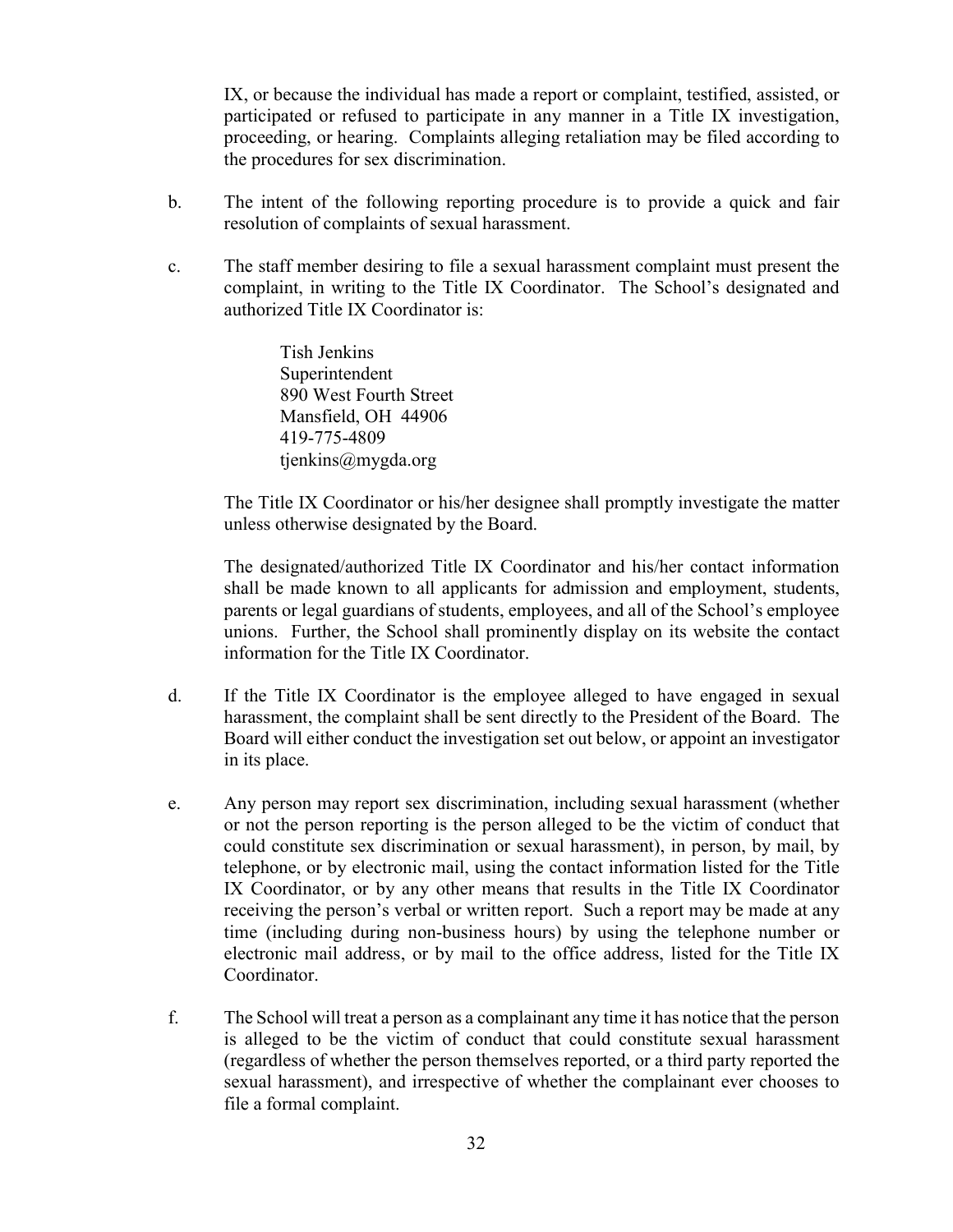IX, or because the individual has made a report or complaint, testified, assisted, or participated or refused to participate in any manner in a Title IX investigation, proceeding, or hearing. Complaints alleging retaliation may be filed according to the procedures for sex discrimination.

- b. The intent of the following reporting procedure is to provide a quick and fair resolution of complaints of sexual harassment.
- c. The staff member desiring to file a sexual harassment complaint must present the complaint, in writing to the Title IX Coordinator. The School's designated and authorized Title IX Coordinator is:

Tish Jenkins Superintendent 890 West Fourth Street Mansfield, OH 44906 419-775-4809 tjenkins@mygda.org

The Title IX Coordinator or his/her designee shall promptly investigate the matter unless otherwise designated by the Board.

The designated/authorized Title IX Coordinator and his/her contact information shall be made known to all applicants for admission and employment, students, parents or legal guardians of students, employees, and all of the School's employee unions. Further, the School shall prominently display on its website the contact information for the Title IX Coordinator.

- d. If the Title IX Coordinator is the employee alleged to have engaged in sexual harassment, the complaint shall be sent directly to the President of the Board. The Board will either conduct the investigation set out below, or appoint an investigator in its place.
- e. Any person may report sex discrimination, including sexual harassment (whether or not the person reporting is the person alleged to be the victim of conduct that could constitute sex discrimination or sexual harassment), in person, by mail, by telephone, or by electronic mail, using the contact information listed for the Title IX Coordinator, or by any other means that results in the Title IX Coordinator receiving the person's verbal or written report. Such a report may be made at any time (including during non-business hours) by using the telephone number or electronic mail address, or by mail to the office address, listed for the Title IX Coordinator.
- f. The School will treat a person as a complainant any time it has notice that the person is alleged to be the victim of conduct that could constitute sexual harassment (regardless of whether the person themselves reported, or a third party reported the sexual harassment), and irrespective of whether the complainant ever chooses to file a formal complaint.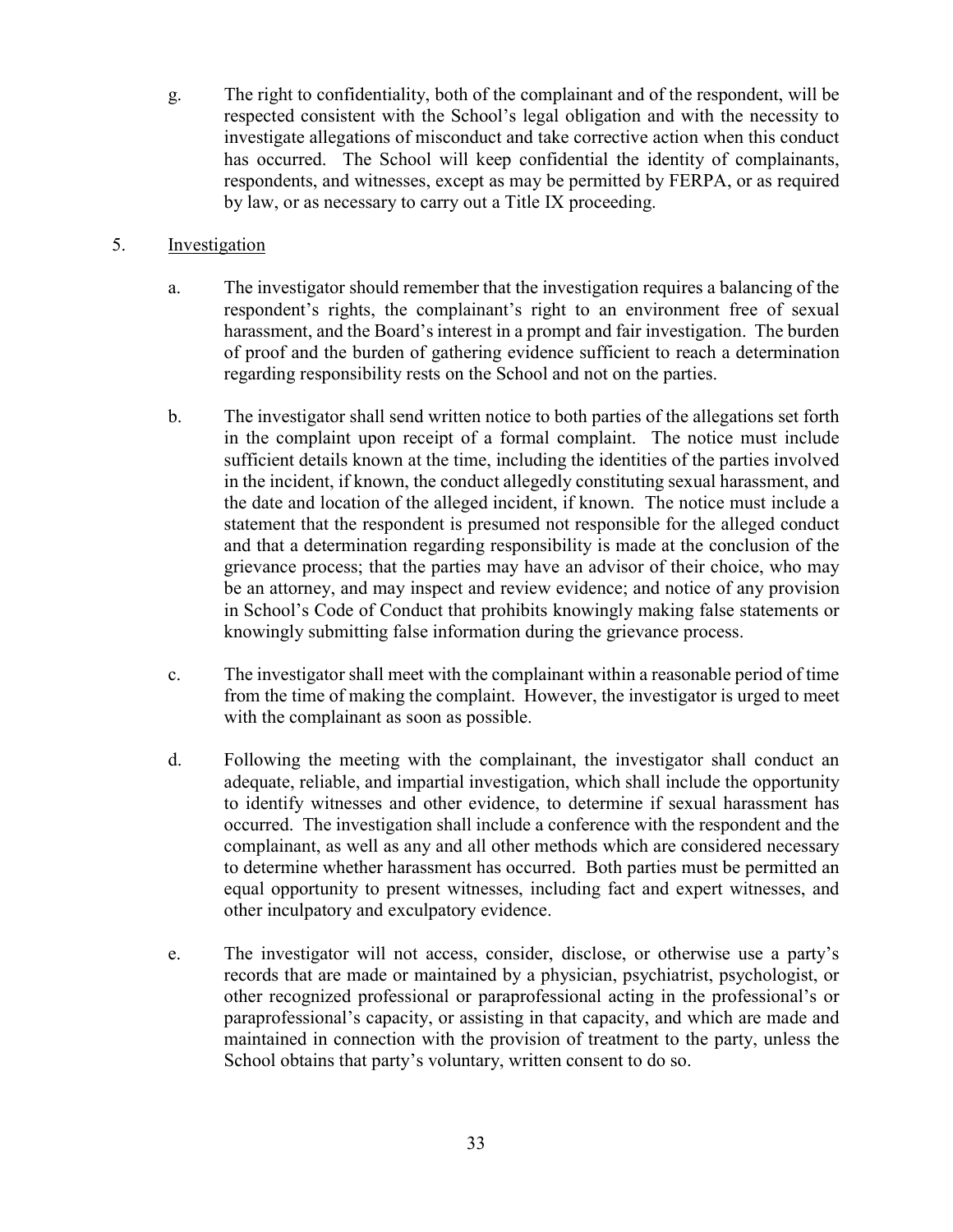g. The right to confidentiality, both of the complainant and of the respondent, will be respected consistent with the School's legal obligation and with the necessity to investigate allegations of misconduct and take corrective action when this conduct has occurred. The School will keep confidential the identity of complainants, respondents, and witnesses, except as may be permitted by FERPA, or as required by law, or as necessary to carry out a Title IX proceeding.

## 5. Investigation

- a. The investigator should remember that the investigation requires a balancing of the respondent's rights, the complainant's right to an environment free of sexual harassment, and the Board's interest in a prompt and fair investigation. The burden of proof and the burden of gathering evidence sufficient to reach a determination regarding responsibility rests on the School and not on the parties.
- b. The investigator shall send written notice to both parties of the allegations set forth in the complaint upon receipt of a formal complaint. The notice must include sufficient details known at the time, including the identities of the parties involved in the incident, if known, the conduct allegedly constituting sexual harassment, and the date and location of the alleged incident, if known. The notice must include a statement that the respondent is presumed not responsible for the alleged conduct and that a determination regarding responsibility is made at the conclusion of the grievance process; that the parties may have an advisor of their choice, who may be an attorney, and may inspect and review evidence; and notice of any provision in School's Code of Conduct that prohibits knowingly making false statements or knowingly submitting false information during the grievance process.
- c. The investigator shall meet with the complainant within a reasonable period of time from the time of making the complaint. However, the investigator is urged to meet with the complainant as soon as possible.
- d. Following the meeting with the complainant, the investigator shall conduct an adequate, reliable, and impartial investigation, which shall include the opportunity to identify witnesses and other evidence, to determine if sexual harassment has occurred. The investigation shall include a conference with the respondent and the complainant, as well as any and all other methods which are considered necessary to determine whether harassment has occurred. Both parties must be permitted an equal opportunity to present witnesses, including fact and expert witnesses, and other inculpatory and exculpatory evidence.
- e. The investigator will not access, consider, disclose, or otherwise use a party's records that are made or maintained by a physician, psychiatrist, psychologist, or other recognized professional or paraprofessional acting in the professional's or paraprofessional's capacity, or assisting in that capacity, and which are made and maintained in connection with the provision of treatment to the party, unless the School obtains that party's voluntary, written consent to do so.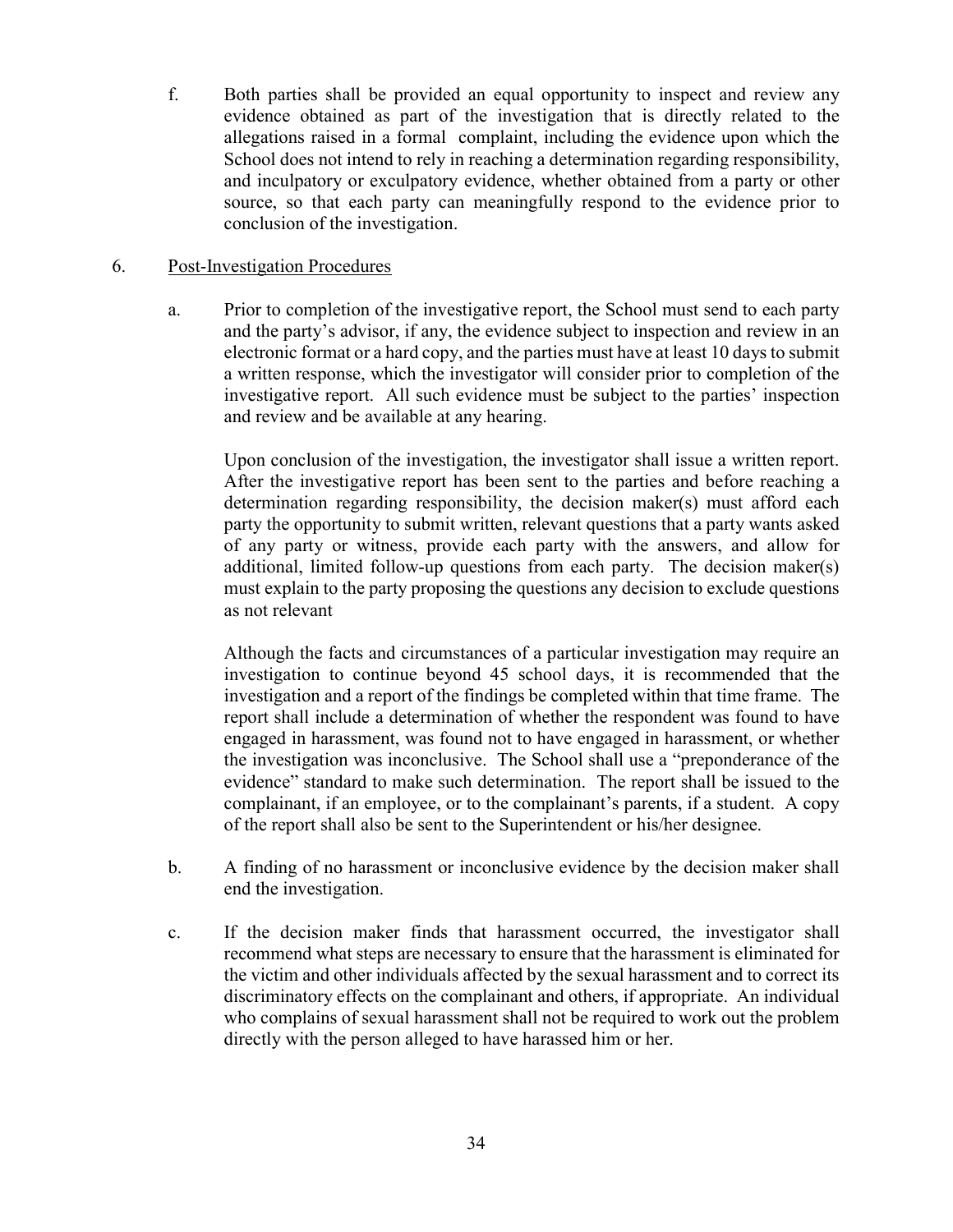f. Both parties shall be provided an equal opportunity to inspect and review any evidence obtained as part of the investigation that is directly related to the allegations raised in a formal complaint, including the evidence upon which the School does not intend to rely in reaching a determination regarding responsibility, and inculpatory or exculpatory evidence, whether obtained from a party or other source, so that each party can meaningfully respond to the evidence prior to conclusion of the investigation.

## 6. Post-Investigation Procedures

a. Prior to completion of the investigative report, the School must send to each party and the party's advisor, if any, the evidence subject to inspection and review in an electronic format or a hard copy, and the parties must have at least 10 days to submit a written response, which the investigator will consider prior to completion of the investigative report. All such evidence must be subject to the parties' inspection and review and be available at any hearing.

Upon conclusion of the investigation, the investigator shall issue a written report. After the investigative report has been sent to the parties and before reaching a determination regarding responsibility, the decision maker(s) must afford each party the opportunity to submit written, relevant questions that a party wants asked of any party or witness, provide each party with the answers, and allow for additional, limited follow-up questions from each party. The decision maker(s) must explain to the party proposing the questions any decision to exclude questions as not relevant

Although the facts and circumstances of a particular investigation may require an investigation to continue beyond 45 school days, it is recommended that the investigation and a report of the findings be completed within that time frame. The report shall include a determination of whether the respondent was found to have engaged in harassment, was found not to have engaged in harassment, or whether the investigation was inconclusive. The School shall use a "preponderance of the evidence" standard to make such determination. The report shall be issued to the complainant, if an employee, or to the complainant's parents, if a student. A copy of the report shall also be sent to the Superintendent or his/her designee.

- b. A finding of no harassment or inconclusive evidence by the decision maker shall end the investigation.
- c. If the decision maker finds that harassment occurred, the investigator shall recommend what steps are necessary to ensure that the harassment is eliminated for the victim and other individuals affected by the sexual harassment and to correct its discriminatory effects on the complainant and others, if appropriate. An individual who complains of sexual harassment shall not be required to work out the problem directly with the person alleged to have harassed him or her.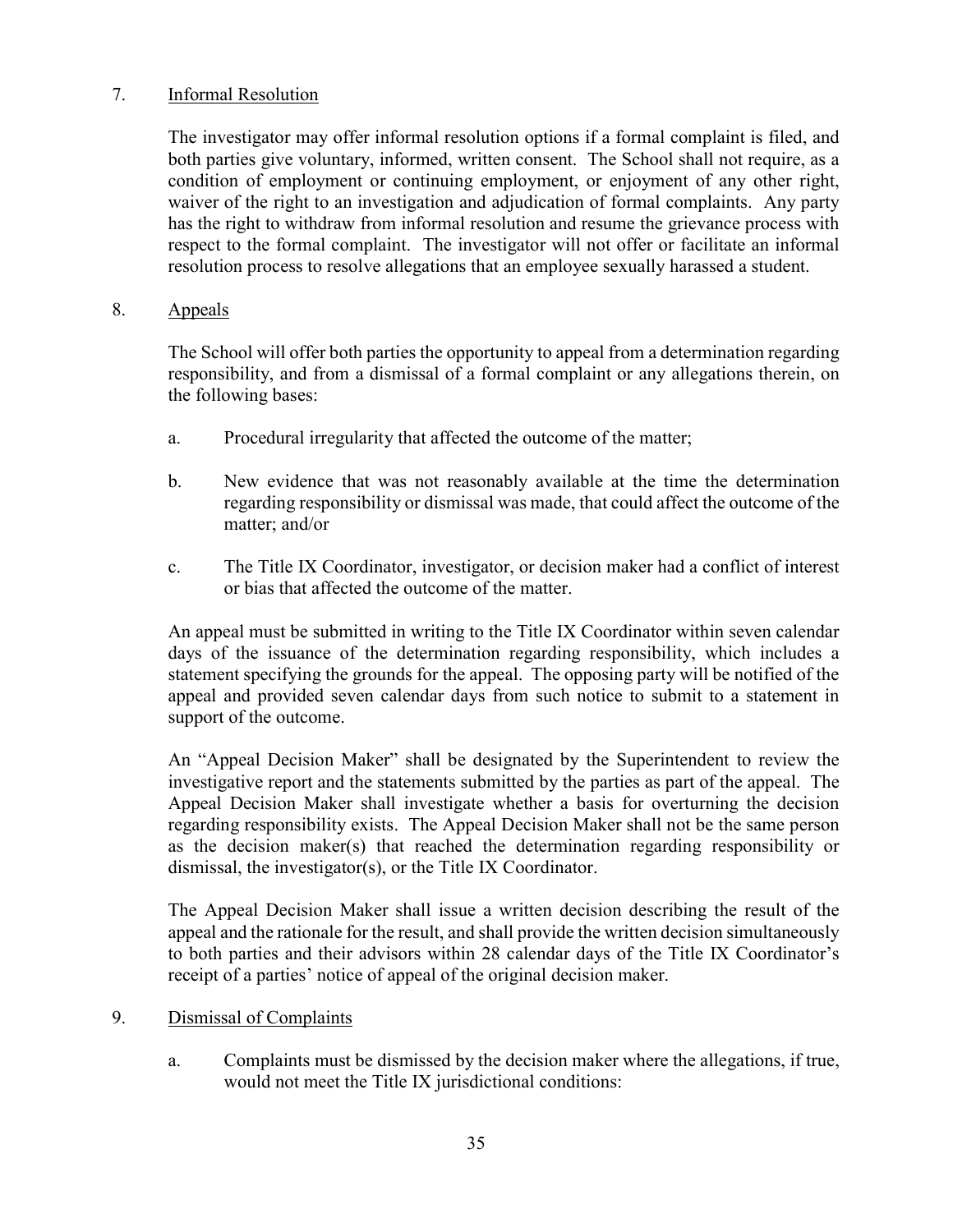## 7. Informal Resolution

The investigator may offer informal resolution options if a formal complaint is filed, and both parties give voluntary, informed, written consent. The School shall not require, as a condition of employment or continuing employment, or enjoyment of any other right, waiver of the right to an investigation and adjudication of formal complaints. Any party has the right to withdraw from informal resolution and resume the grievance process with respect to the formal complaint. The investigator will not offer or facilitate an informal resolution process to resolve allegations that an employee sexually harassed a student.

### 8. Appeals

The School will offer both parties the opportunity to appeal from a determination regarding responsibility, and from a dismissal of a formal complaint or any allegations therein, on the following bases:

- a. Procedural irregularity that affected the outcome of the matter;
- b. New evidence that was not reasonably available at the time the determination regarding responsibility or dismissal was made, that could affect the outcome of the matter; and/or
- c. The Title IX Coordinator, investigator, or decision maker had a conflict of interest or bias that affected the outcome of the matter.

An appeal must be submitted in writing to the Title IX Coordinator within seven calendar days of the issuance of the determination regarding responsibility, which includes a statement specifying the grounds for the appeal. The opposing party will be notified of the appeal and provided seven calendar days from such notice to submit to a statement in support of the outcome.

An "Appeal Decision Maker" shall be designated by the Superintendent to review the investigative report and the statements submitted by the parties as part of the appeal. The Appeal Decision Maker shall investigate whether a basis for overturning the decision regarding responsibility exists. The Appeal Decision Maker shall not be the same person as the decision maker(s) that reached the determination regarding responsibility or dismissal, the investigator(s), or the Title IX Coordinator.

The Appeal Decision Maker shall issue a written decision describing the result of the appeal and the rationale for the result, and shall provide the written decision simultaneously to both parties and their advisors within 28 calendar days of the Title IX Coordinator's receipt of a parties' notice of appeal of the original decision maker.

#### 9. Dismissal of Complaints

a. Complaints must be dismissed by the decision maker where the allegations, if true, would not meet the Title IX jurisdictional conditions: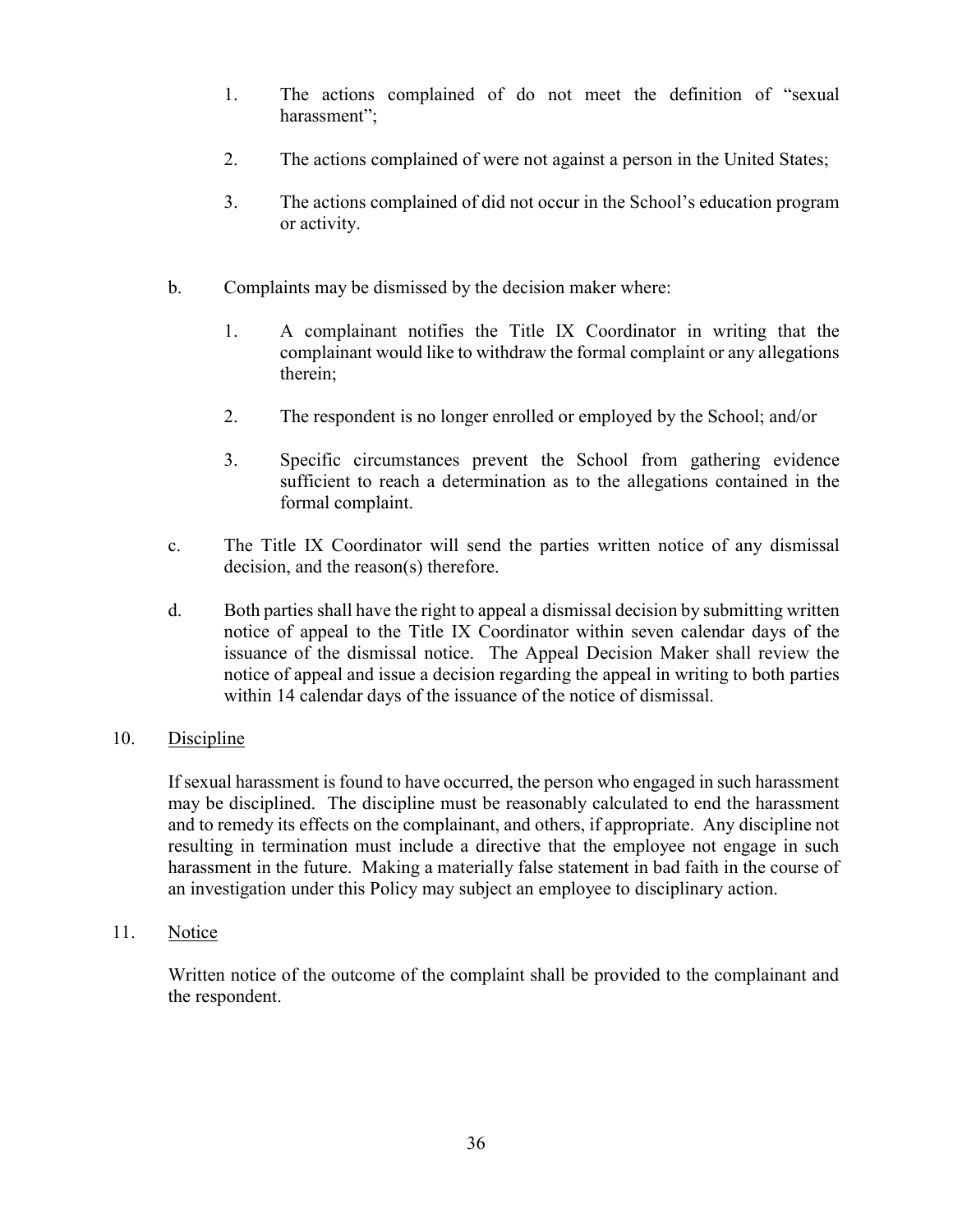- 1. The actions complained of do not meet the definition of "sexual harassment";
- 2. The actions complained of were not against a person in the United States;
- 3. The actions complained of did not occur in the School's education program or activity.
- b. Complaints may be dismissed by the decision maker where:
	- 1. A complainant notifies the Title IX Coordinator in writing that the complainant would like to withdraw the formal complaint or any allegations therein;
	- 2. The respondent is no longer enrolled or employed by the School; and/or
	- 3. Specific circumstances prevent the School from gathering evidence sufficient to reach a determination as to the allegations contained in the formal complaint.
- c. The Title IX Coordinator will send the parties written notice of any dismissal decision, and the reason(s) therefore.
- d. Both parties shall have the right to appeal a dismissal decision by submitting written notice of appeal to the Title IX Coordinator within seven calendar days of the issuance of the dismissal notice. The Appeal Decision Maker shall review the notice of appeal and issue a decision regarding the appeal in writing to both parties within 14 calendar days of the issuance of the notice of dismissal.

#### 10. Discipline

If sexual harassment is found to have occurred, the person who engaged in such harassment may be disciplined. The discipline must be reasonably calculated to end the harassment and to remedy its effects on the complainant, and others, if appropriate. Any discipline not resulting in termination must include a directive that the employee not engage in such harassment in the future. Making a materially false statement in bad faith in the course of an investigation under this Policy may subject an employee to disciplinary action.

11. Notice

Written notice of the outcome of the complaint shall be provided to the complainant and the respondent.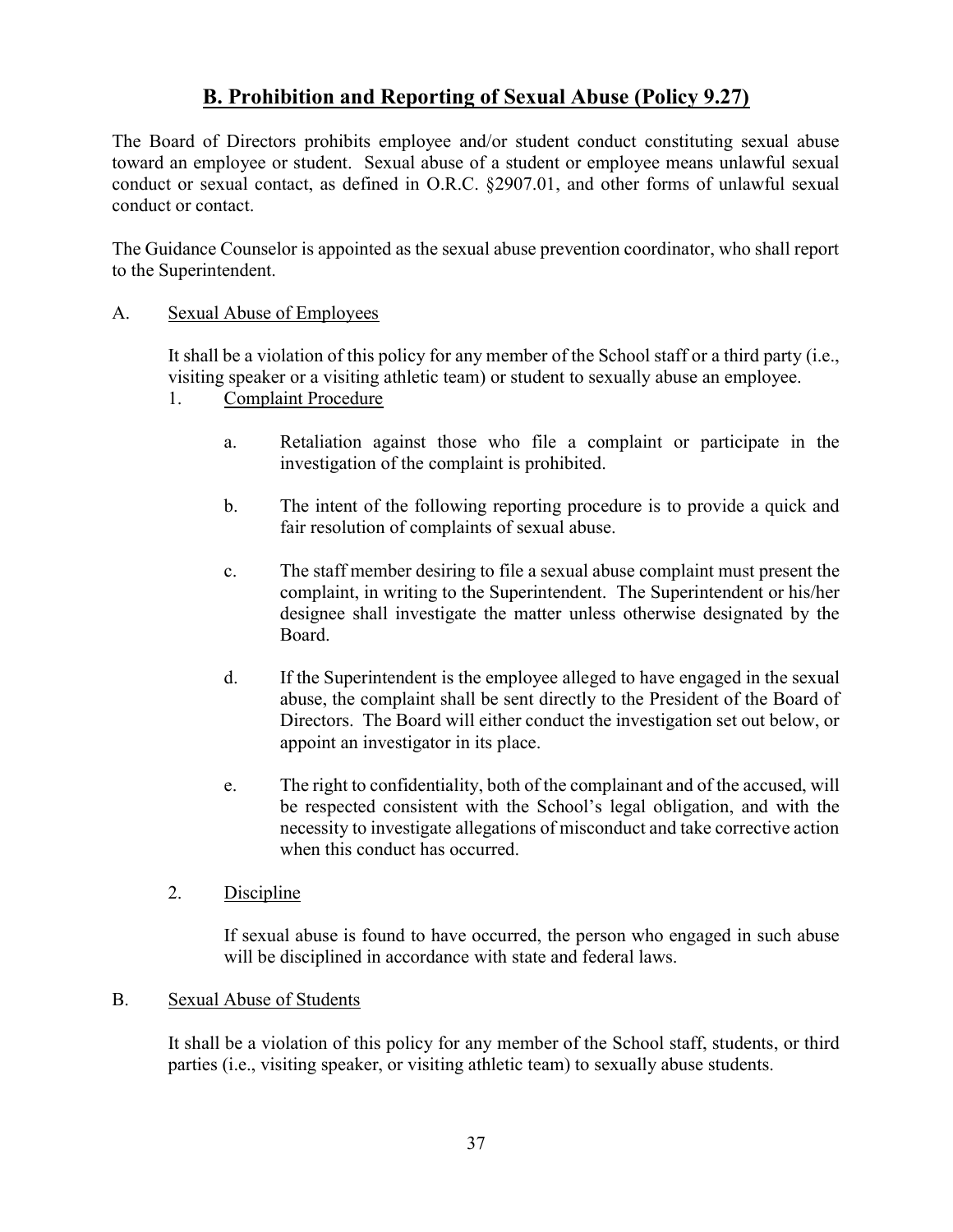# B. Prohibition and Reporting of Sexual Abuse (Policy 9.27)

The Board of Directors prohibits employee and/or student conduct constituting sexual abuse toward an employee or student. Sexual abuse of a student or employee means unlawful sexual conduct or sexual contact, as defined in O.R.C. §2907.01, and other forms of unlawful sexual conduct or contact.

The Guidance Counselor is appointed as the sexual abuse prevention coordinator, who shall report to the Superintendent.

### A. Sexual Abuse of Employees

It shall be a violation of this policy for any member of the School staff or a third party (i.e., visiting speaker or a visiting athletic team) or student to sexually abuse an employee.

- 1. Complaint Procedure
	- a. Retaliation against those who file a complaint or participate in the investigation of the complaint is prohibited.
	- b. The intent of the following reporting procedure is to provide a quick and fair resolution of complaints of sexual abuse.
	- c. The staff member desiring to file a sexual abuse complaint must present the complaint, in writing to the Superintendent. The Superintendent or his/her designee shall investigate the matter unless otherwise designated by the Board.
	- d. If the Superintendent is the employee alleged to have engaged in the sexual abuse, the complaint shall be sent directly to the President of the Board of Directors. The Board will either conduct the investigation set out below, or appoint an investigator in its place.
	- e. The right to confidentiality, both of the complainant and of the accused, will be respected consistent with the School's legal obligation, and with the necessity to investigate allegations of misconduct and take corrective action when this conduct has occurred.
- 2. Discipline

If sexual abuse is found to have occurred, the person who engaged in such abuse will be disciplined in accordance with state and federal laws.

#### B. Sexual Abuse of Students

It shall be a violation of this policy for any member of the School staff, students, or third parties (i.e., visiting speaker, or visiting athletic team) to sexually abuse students.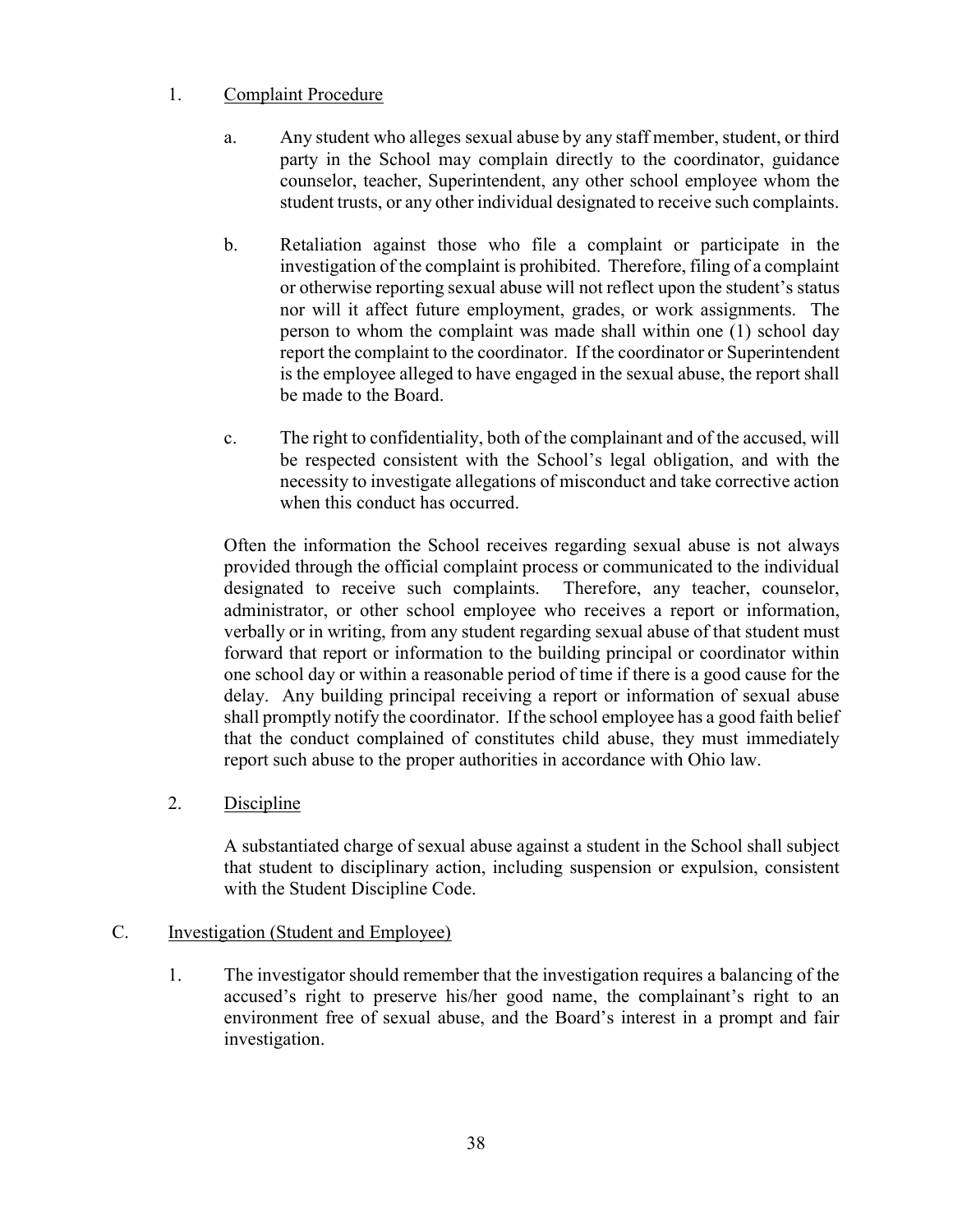## 1. Complaint Procedure

- a. Any student who alleges sexual abuse by any staff member, student, or third party in the School may complain directly to the coordinator, guidance counselor, teacher, Superintendent, any other school employee whom the student trusts, or any other individual designated to receive such complaints.
- b. Retaliation against those who file a complaint or participate in the investigation of the complaint is prohibited. Therefore, filing of a complaint or otherwise reporting sexual abuse will not reflect upon the student's status nor will it affect future employment, grades, or work assignments. The person to whom the complaint was made shall within one (1) school day report the complaint to the coordinator. If the coordinator or Superintendent is the employee alleged to have engaged in the sexual abuse, the report shall be made to the Board.
- c. The right to confidentiality, both of the complainant and of the accused, will be respected consistent with the School's legal obligation, and with the necessity to investigate allegations of misconduct and take corrective action when this conduct has occurred.

Often the information the School receives regarding sexual abuse is not always provided through the official complaint process or communicated to the individual designated to receive such complaints. Therefore, any teacher, counselor, administrator, or other school employee who receives a report or information, verbally or in writing, from any student regarding sexual abuse of that student must forward that report or information to the building principal or coordinator within one school day or within a reasonable period of time if there is a good cause for the delay. Any building principal receiving a report or information of sexual abuse shall promptly notify the coordinator. If the school employee has a good faith belief that the conduct complained of constitutes child abuse, they must immediately report such abuse to the proper authorities in accordance with Ohio law.

2. Discipline

A substantiated charge of sexual abuse against a student in the School shall subject that student to disciplinary action, including suspension or expulsion, consistent with the Student Discipline Code.

## C. Investigation (Student and Employee)

1. The investigator should remember that the investigation requires a balancing of the accused's right to preserve his/her good name, the complainant's right to an environment free of sexual abuse, and the Board's interest in a prompt and fair investigation.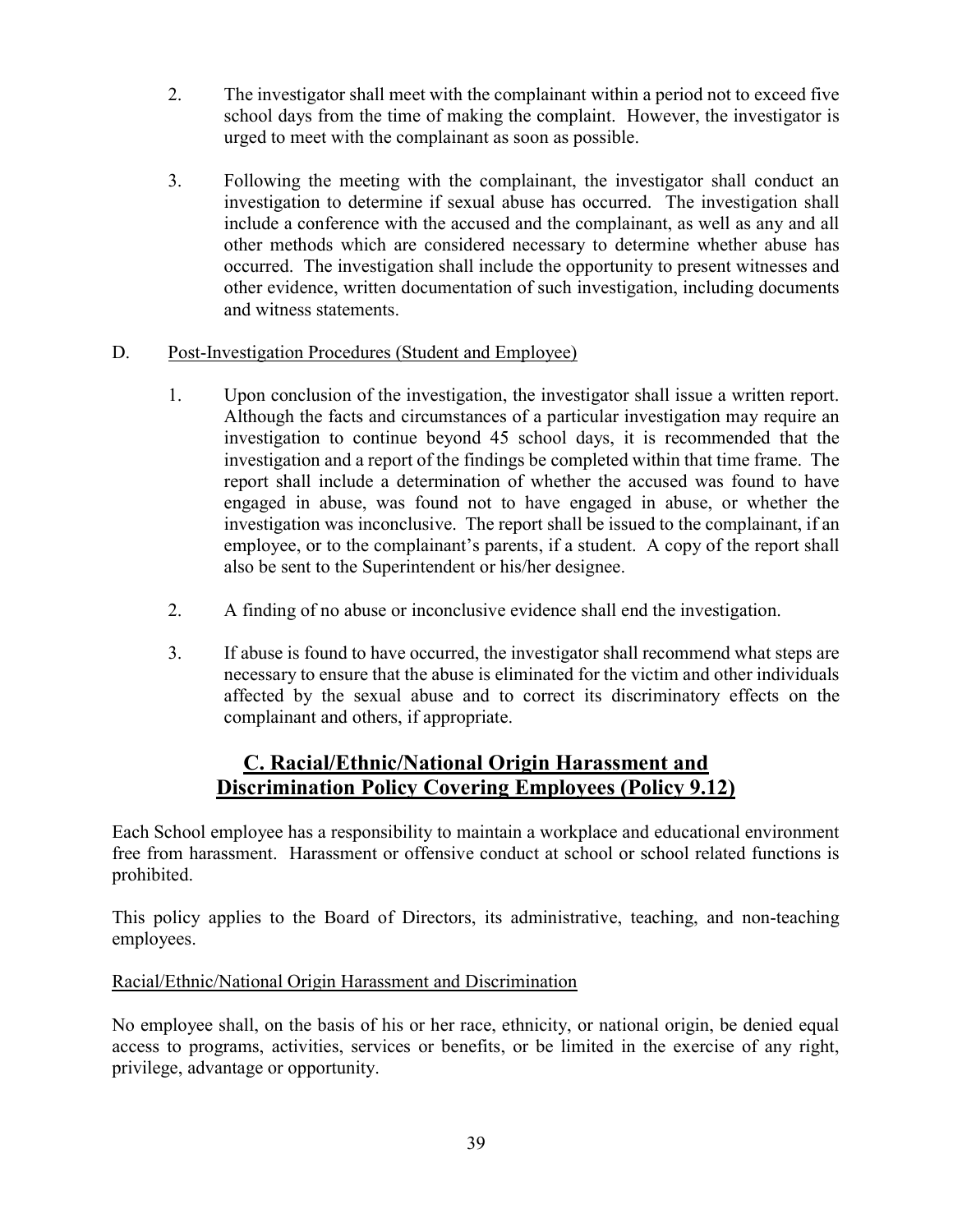- 2. The investigator shall meet with the complainant within a period not to exceed five school days from the time of making the complaint. However, the investigator is urged to meet with the complainant as soon as possible.
- 3. Following the meeting with the complainant, the investigator shall conduct an investigation to determine if sexual abuse has occurred. The investigation shall include a conference with the accused and the complainant, as well as any and all other methods which are considered necessary to determine whether abuse has occurred. The investigation shall include the opportunity to present witnesses and other evidence, written documentation of such investigation, including documents and witness statements.

## D. Post-Investigation Procedures (Student and Employee)

- 1. Upon conclusion of the investigation, the investigator shall issue a written report. Although the facts and circumstances of a particular investigation may require an investigation to continue beyond 45 school days, it is recommended that the investigation and a report of the findings be completed within that time frame. The report shall include a determination of whether the accused was found to have engaged in abuse, was found not to have engaged in abuse, or whether the investigation was inconclusive. The report shall be issued to the complainant, if an employee, or to the complainant's parents, if a student. A copy of the report shall also be sent to the Superintendent or his/her designee.
- 2. A finding of no abuse or inconclusive evidence shall end the investigation.
- 3. If abuse is found to have occurred, the investigator shall recommend what steps are necessary to ensure that the abuse is eliminated for the victim and other individuals affected by the sexual abuse and to correct its discriminatory effects on the complainant and others, if appropriate.

## C. Racial/Ethnic/National Origin Harassment and Discrimination Policy Covering Employees (Policy 9.12)

Each School employee has a responsibility to maintain a workplace and educational environment free from harassment. Harassment or offensive conduct at school or school related functions is prohibited.

This policy applies to the Board of Directors, its administrative, teaching, and non-teaching employees.

## Racial/Ethnic/National Origin Harassment and Discrimination

No employee shall, on the basis of his or her race, ethnicity, or national origin, be denied equal access to programs, activities, services or benefits, or be limited in the exercise of any right, privilege, advantage or opportunity.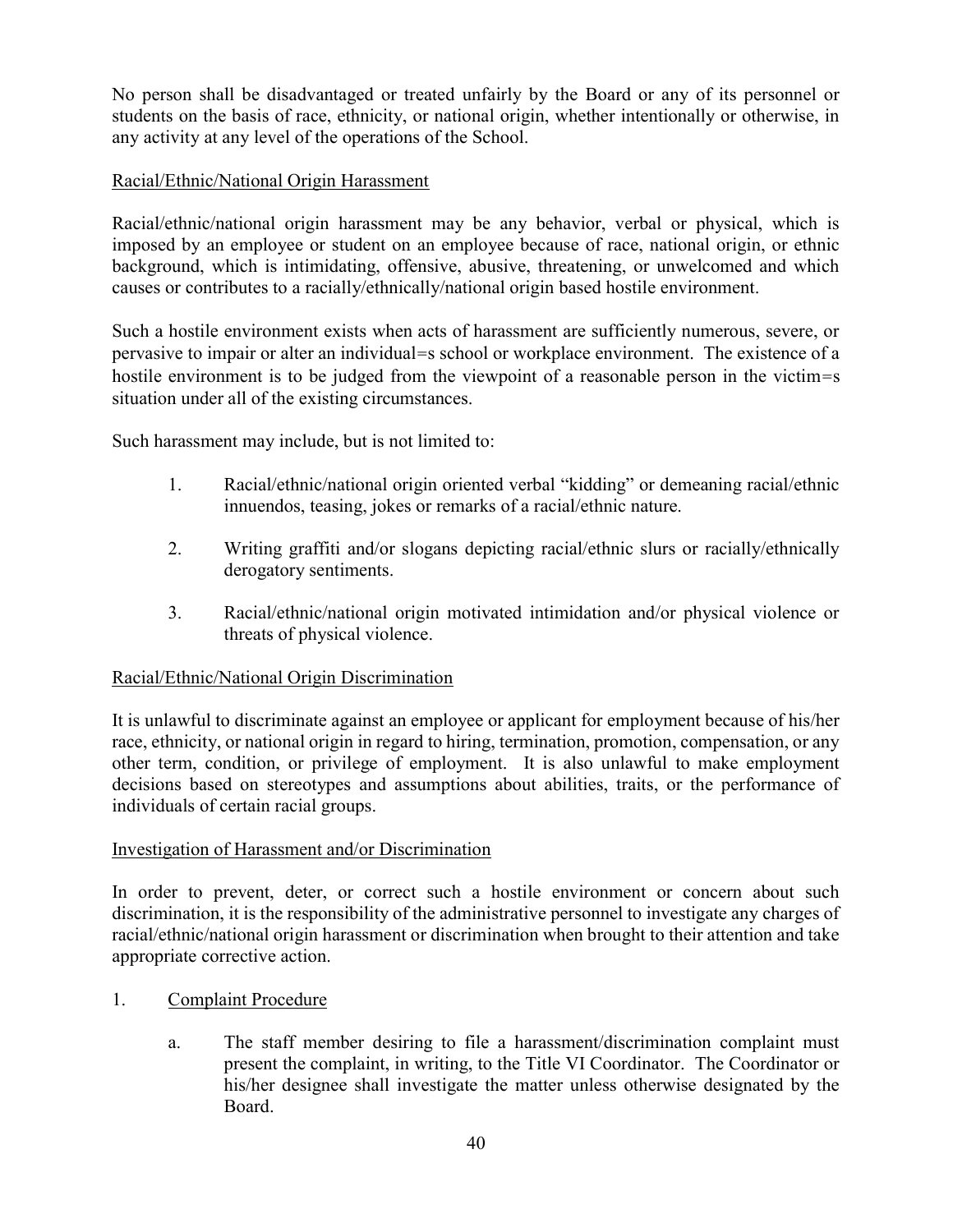No person shall be disadvantaged or treated unfairly by the Board or any of its personnel or students on the basis of race, ethnicity, or national origin, whether intentionally or otherwise, in any activity at any level of the operations of the School.

## Racial/Ethnic/National Origin Harassment

Racial/ethnic/national origin harassment may be any behavior, verbal or physical, which is imposed by an employee or student on an employee because of race, national origin, or ethnic background, which is intimidating, offensive, abusive, threatening, or unwelcomed and which causes or contributes to a racially/ethnically/national origin based hostile environment.

Such a hostile environment exists when acts of harassment are sufficiently numerous, severe, or pervasive to impair or alter an individual=s school or workplace environment. The existence of a hostile environment is to be judged from the viewpoint of a reasonable person in the victim=s situation under all of the existing circumstances.

Such harassment may include, but is not limited to:

- 1. Racial/ethnic/national origin oriented verbal "kidding" or demeaning racial/ethnic innuendos, teasing, jokes or remarks of a racial/ethnic nature.
- 2. Writing graffiti and/or slogans depicting racial/ethnic slurs or racially/ethnically derogatory sentiments.
- 3. Racial/ethnic/national origin motivated intimidation and/or physical violence or threats of physical violence.

## Racial/Ethnic/National Origin Discrimination

It is unlawful to discriminate against an employee or applicant for employment because of his/her race, ethnicity, or national origin in regard to hiring, termination, promotion, compensation, or any other term, condition, or privilege of employment. It is also unlawful to make employment decisions based on stereotypes and assumptions about abilities, traits, or the performance of individuals of certain racial groups.

## Investigation of Harassment and/or Discrimination

In order to prevent, deter, or correct such a hostile environment or concern about such discrimination, it is the responsibility of the administrative personnel to investigate any charges of racial/ethnic/national origin harassment or discrimination when brought to their attention and take appropriate corrective action.

- 1. Complaint Procedure
	- a. The staff member desiring to file a harassment/discrimination complaint must present the complaint, in writing, to the Title VI Coordinator. The Coordinator or his/her designee shall investigate the matter unless otherwise designated by the Board.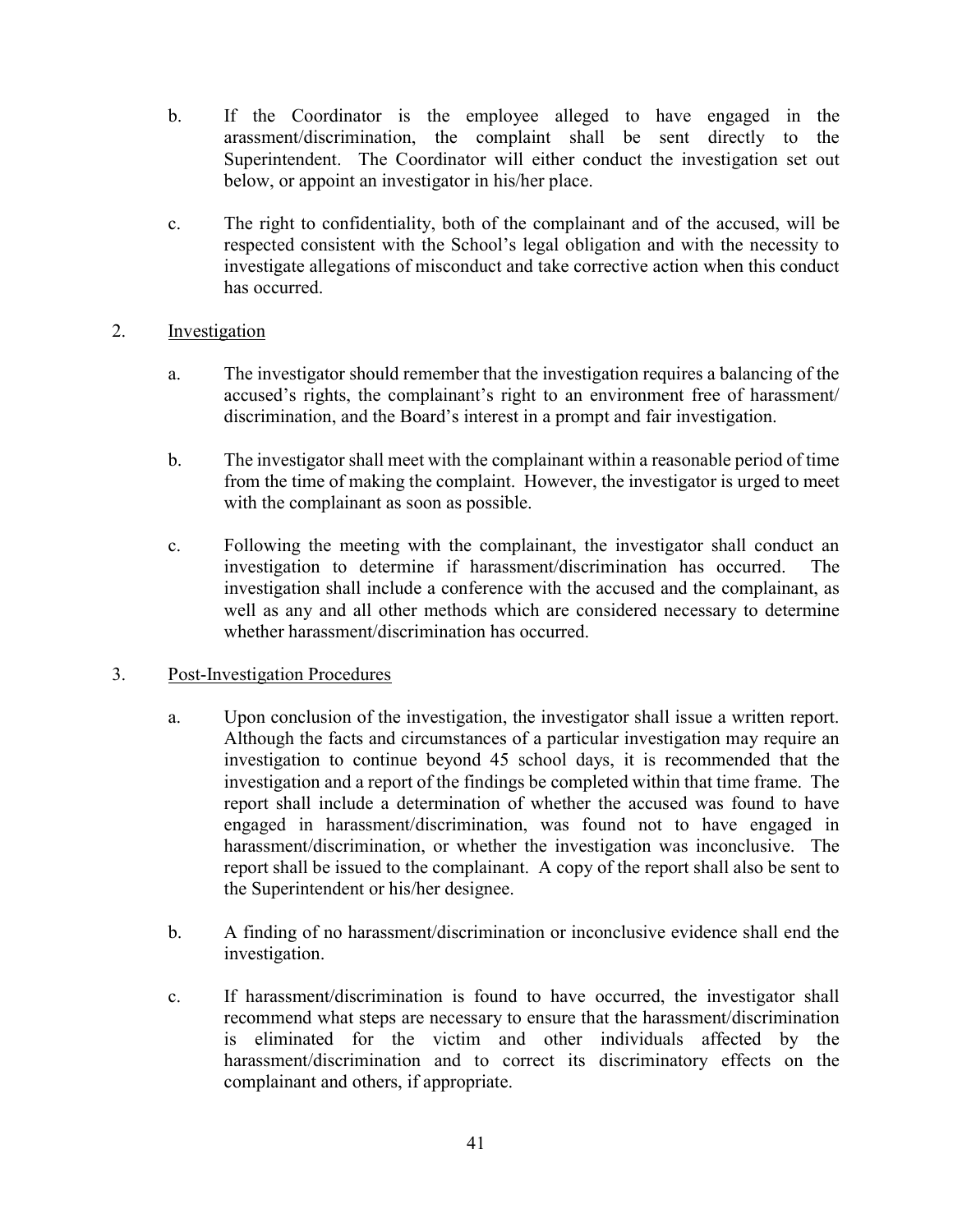- b. If the Coordinator is the employee alleged to have engaged in the arassment/discrimination, the complaint shall be sent directly to the Superintendent. The Coordinator will either conduct the investigation set out below, or appoint an investigator in his/her place.
- c. The right to confidentiality, both of the complainant and of the accused, will be respected consistent with the School's legal obligation and with the necessity to investigate allegations of misconduct and take corrective action when this conduct has occurred.

### 2. Investigation

- a. The investigator should remember that the investigation requires a balancing of the accused's rights, the complainant's right to an environment free of harassment/ discrimination, and the Board's interest in a prompt and fair investigation.
- b. The investigator shall meet with the complainant within a reasonable period of time from the time of making the complaint. However, the investigator is urged to meet with the complainant as soon as possible.
- c. Following the meeting with the complainant, the investigator shall conduct an investigation to determine if harassment/discrimination has occurred. The investigation shall include a conference with the accused and the complainant, as well as any and all other methods which are considered necessary to determine whether harassment/discrimination has occurred.

#### 3. Post-Investigation Procedures

- a. Upon conclusion of the investigation, the investigator shall issue a written report. Although the facts and circumstances of a particular investigation may require an investigation to continue beyond 45 school days, it is recommended that the investigation and a report of the findings be completed within that time frame. The report shall include a determination of whether the accused was found to have engaged in harassment/discrimination, was found not to have engaged in harassment/discrimination, or whether the investigation was inconclusive. The report shall be issued to the complainant. A copy of the report shall also be sent to the Superintendent or his/her designee.
- b. A finding of no harassment/discrimination or inconclusive evidence shall end the investigation.
- c. If harassment/discrimination is found to have occurred, the investigator shall recommend what steps are necessary to ensure that the harassment/discrimination is eliminated for the victim and other individuals affected by the harassment/discrimination and to correct its discriminatory effects on the complainant and others, if appropriate.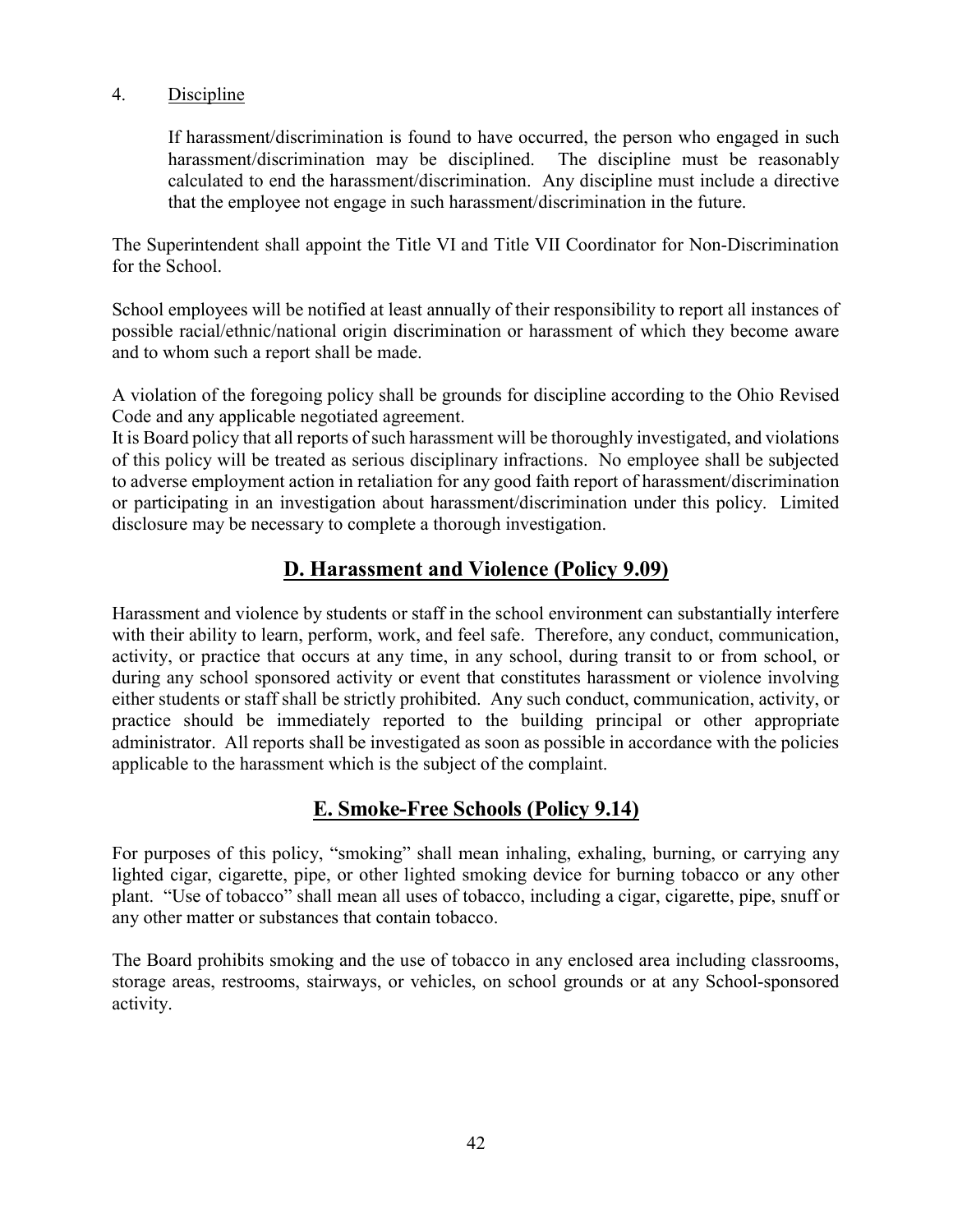### 4. Discipline

If harassment/discrimination is found to have occurred, the person who engaged in such harassment/discrimination may be disciplined. The discipline must be reasonably calculated to end the harassment/discrimination. Any discipline must include a directive that the employee not engage in such harassment/discrimination in the future.

The Superintendent shall appoint the Title VI and Title VII Coordinator for Non-Discrimination for the School.

School employees will be notified at least annually of their responsibility to report all instances of possible racial/ethnic/national origin discrimination or harassment of which they become aware and to whom such a report shall be made.

A violation of the foregoing policy shall be grounds for discipline according to the Ohio Revised Code and any applicable negotiated agreement.

It is Board policy that all reports of such harassment will be thoroughly investigated, and violations of this policy will be treated as serious disciplinary infractions. No employee shall be subjected to adverse employment action in retaliation for any good faith report of harassment/discrimination or participating in an investigation about harassment/discrimination under this policy. Limited disclosure may be necessary to complete a thorough investigation.

## D. Harassment and Violence (Policy 9.09)

Harassment and violence by students or staff in the school environment can substantially interfere with their ability to learn, perform, work, and feel safe. Therefore, any conduct, communication, activity, or practice that occurs at any time, in any school, during transit to or from school, or during any school sponsored activity or event that constitutes harassment or violence involving either students or staff shall be strictly prohibited. Any such conduct, communication, activity, or practice should be immediately reported to the building principal or other appropriate administrator. All reports shall be investigated as soon as possible in accordance with the policies applicable to the harassment which is the subject of the complaint.

## E. Smoke-Free Schools (Policy 9.14)

For purposes of this policy, "smoking" shall mean inhaling, exhaling, burning, or carrying any lighted cigar, cigarette, pipe, or other lighted smoking device for burning tobacco or any other plant. "Use of tobacco" shall mean all uses of tobacco, including a cigar, cigarette, pipe, snuff or any other matter or substances that contain tobacco.

The Board prohibits smoking and the use of tobacco in any enclosed area including classrooms, storage areas, restrooms, stairways, or vehicles, on school grounds or at any School-sponsored activity.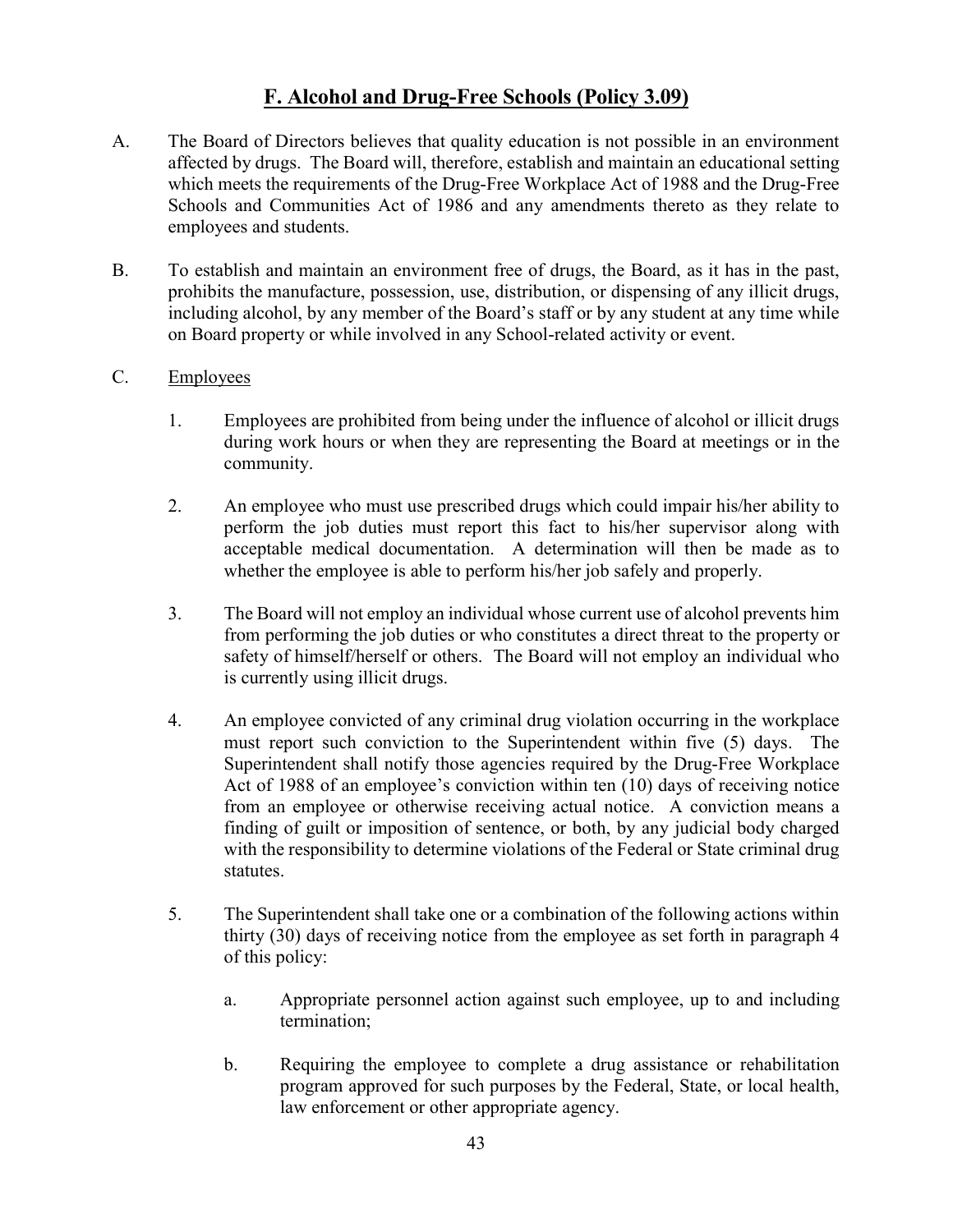# F. Alcohol and Drug-Free Schools (Policy 3.09)

- A. The Board of Directors believes that quality education is not possible in an environment affected by drugs. The Board will, therefore, establish and maintain an educational setting which meets the requirements of the Drug-Free Workplace Act of 1988 and the Drug-Free Schools and Communities Act of 1986 and any amendments thereto as they relate to employees and students.
- B. To establish and maintain an environment free of drugs, the Board, as it has in the past, prohibits the manufacture, possession, use, distribution, or dispensing of any illicit drugs, including alcohol, by any member of the Board's staff or by any student at any time while on Board property or while involved in any School-related activity or event.

#### C. Employees

- 1. Employees are prohibited from being under the influence of alcohol or illicit drugs during work hours or when they are representing the Board at meetings or in the community.
- 2. An employee who must use prescribed drugs which could impair his/her ability to perform the job duties must report this fact to his/her supervisor along with acceptable medical documentation. A determination will then be made as to whether the employee is able to perform his/her job safely and properly.
- 3. The Board will not employ an individual whose current use of alcohol prevents him from performing the job duties or who constitutes a direct threat to the property or safety of himself/herself or others. The Board will not employ an individual who is currently using illicit drugs.
- 4. An employee convicted of any criminal drug violation occurring in the workplace must report such conviction to the Superintendent within five (5) days. The Superintendent shall notify those agencies required by the Drug-Free Workplace Act of 1988 of an employee's conviction within ten (10) days of receiving notice from an employee or otherwise receiving actual notice. A conviction means a finding of guilt or imposition of sentence, or both, by any judicial body charged with the responsibility to determine violations of the Federal or State criminal drug statutes.
- 5. The Superintendent shall take one or a combination of the following actions within thirty (30) days of receiving notice from the employee as set forth in paragraph 4 of this policy:
	- a. Appropriate personnel action against such employee, up to and including termination;
	- b. Requiring the employee to complete a drug assistance or rehabilitation program approved for such purposes by the Federal, State, or local health, law enforcement or other appropriate agency.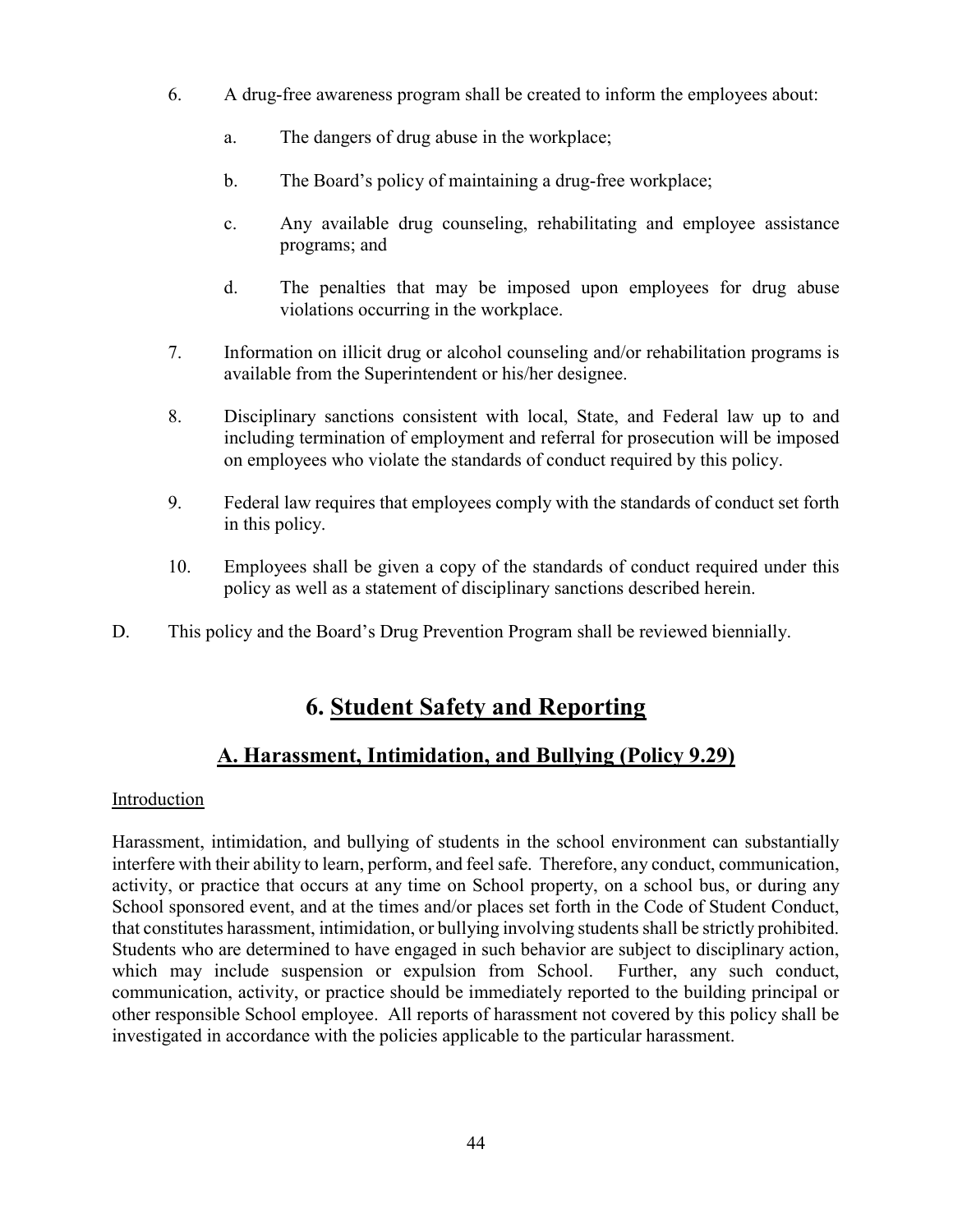- 6. A drug-free awareness program shall be created to inform the employees about:
	- a. The dangers of drug abuse in the workplace;
	- b. The Board's policy of maintaining a drug-free workplace;
	- c. Any available drug counseling, rehabilitating and employee assistance programs; and
	- d. The penalties that may be imposed upon employees for drug abuse violations occurring in the workplace.
- 7. Information on illicit drug or alcohol counseling and/or rehabilitation programs is available from the Superintendent or his/her designee.
- 8. Disciplinary sanctions consistent with local, State, and Federal law up to and including termination of employment and referral for prosecution will be imposed on employees who violate the standards of conduct required by this policy.
- 9. Federal law requires that employees comply with the standards of conduct set forth in this policy.
- 10. Employees shall be given a copy of the standards of conduct required under this policy as well as a statement of disciplinary sanctions described herein.
- D. This policy and the Board's Drug Prevention Program shall be reviewed biennially.

# 6. Student Safety and Reporting

# A. Harassment, Intimidation, and Bullying (Policy 9.29)

## Introduction

Harassment, intimidation, and bullying of students in the school environment can substantially interfere with their ability to learn, perform, and feel safe. Therefore, any conduct, communication, activity, or practice that occurs at any time on School property, on a school bus, or during any School sponsored event, and at the times and/or places set forth in the Code of Student Conduct, that constitutes harassment, intimidation, or bullying involving students shall be strictly prohibited. Students who are determined to have engaged in such behavior are subject to disciplinary action, which may include suspension or expulsion from School. Further, any such conduct, communication, activity, or practice should be immediately reported to the building principal or other responsible School employee. All reports of harassment not covered by this policy shall be investigated in accordance with the policies applicable to the particular harassment.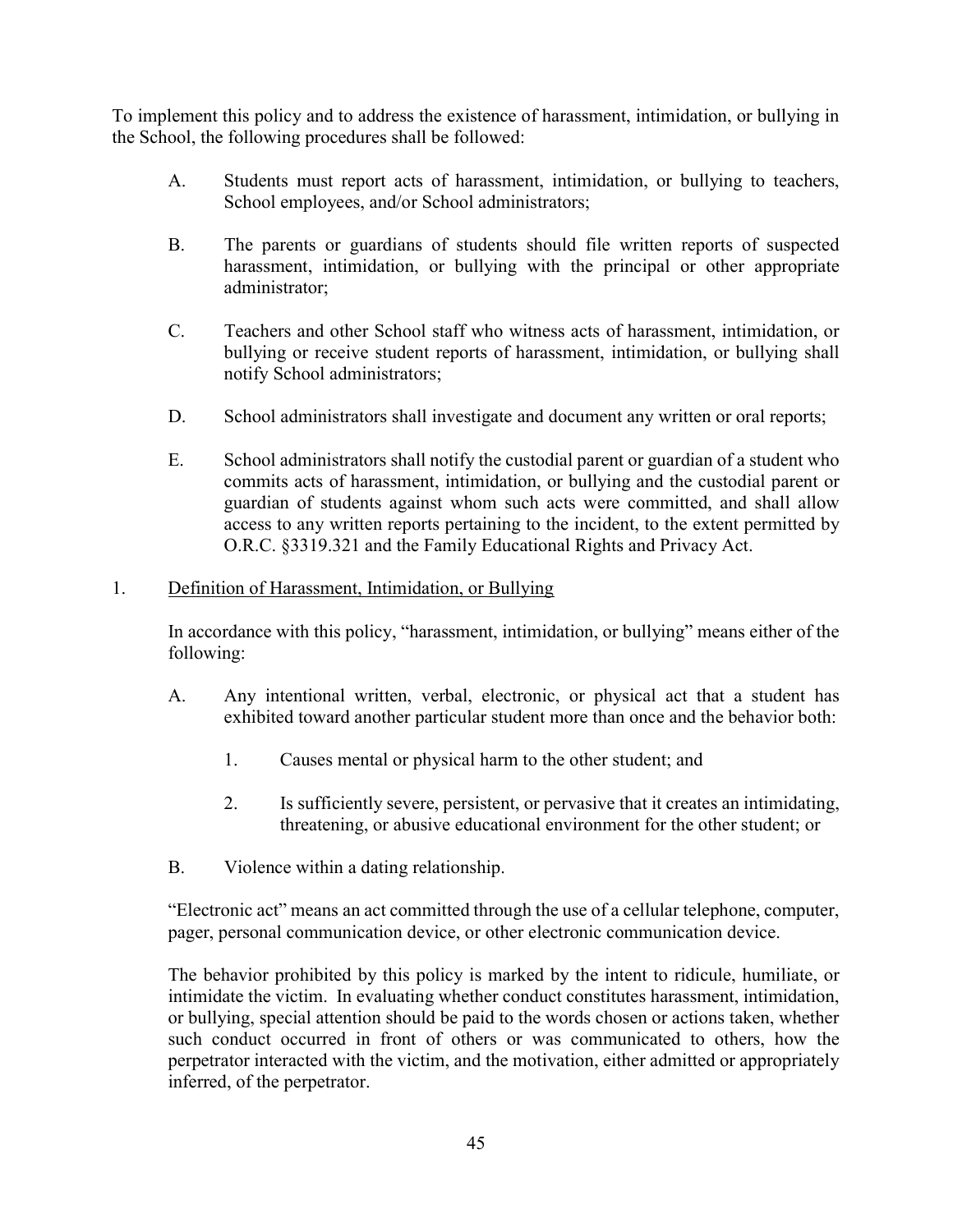To implement this policy and to address the existence of harassment, intimidation, or bullying in the School, the following procedures shall be followed:

- A. Students must report acts of harassment, intimidation, or bullying to teachers, School employees, and/or School administrators;
- B. The parents or guardians of students should file written reports of suspected harassment, intimidation, or bullying with the principal or other appropriate administrator;
- C. Teachers and other School staff who witness acts of harassment, intimidation, or bullying or receive student reports of harassment, intimidation, or bullying shall notify School administrators;
- D. School administrators shall investigate and document any written or oral reports;
- E. School administrators shall notify the custodial parent or guardian of a student who commits acts of harassment, intimidation, or bullying and the custodial parent or guardian of students against whom such acts were committed, and shall allow access to any written reports pertaining to the incident, to the extent permitted by O.R.C. §3319.321 and the Family Educational Rights and Privacy Act.

## 1. Definition of Harassment, Intimidation, or Bullying

In accordance with this policy, "harassment, intimidation, or bullying" means either of the following:

- A. Any intentional written, verbal, electronic, or physical act that a student has exhibited toward another particular student more than once and the behavior both:
	- 1. Causes mental or physical harm to the other student; and
	- 2. Is sufficiently severe, persistent, or pervasive that it creates an intimidating, threatening, or abusive educational environment for the other student; or
- B. Violence within a dating relationship.

"Electronic act" means an act committed through the use of a cellular telephone, computer, pager, personal communication device, or other electronic communication device.

The behavior prohibited by this policy is marked by the intent to ridicule, humiliate, or intimidate the victim. In evaluating whether conduct constitutes harassment, intimidation, or bullying, special attention should be paid to the words chosen or actions taken, whether such conduct occurred in front of others or was communicated to others, how the perpetrator interacted with the victim, and the motivation, either admitted or appropriately inferred, of the perpetrator.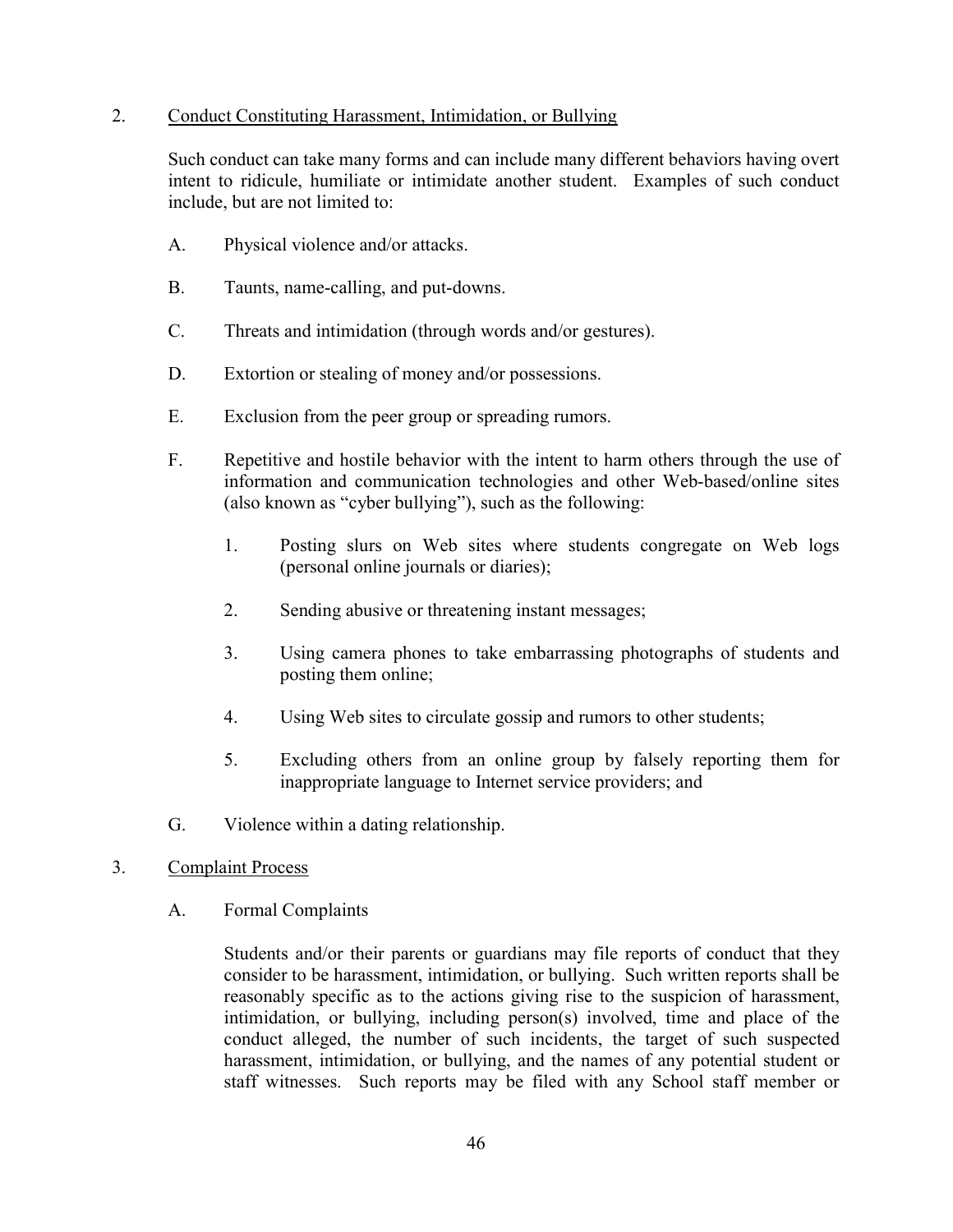#### 2. Conduct Constituting Harassment, Intimidation, or Bullying

Such conduct can take many forms and can include many different behaviors having overt intent to ridicule, humiliate or intimidate another student. Examples of such conduct include, but are not limited to:

- A. Physical violence and/or attacks.
- B. Taunts, name-calling, and put-downs.
- C. Threats and intimidation (through words and/or gestures).
- D. Extortion or stealing of money and/or possessions.
- E. Exclusion from the peer group or spreading rumors.
- F. Repetitive and hostile behavior with the intent to harm others through the use of information and communication technologies and other Web-based/online sites (also known as "cyber bullying"), such as the following:
	- 1. Posting slurs on Web sites where students congregate on Web logs (personal online journals or diaries);
	- 2. Sending abusive or threatening instant messages;
	- 3. Using camera phones to take embarrassing photographs of students and posting them online;
	- 4. Using Web sites to circulate gossip and rumors to other students;
	- 5. Excluding others from an online group by falsely reporting them for inappropriate language to Internet service providers; and
- G. Violence within a dating relationship.
- 3. Complaint Process
	- A. Formal Complaints

Students and/or their parents or guardians may file reports of conduct that they consider to be harassment, intimidation, or bullying. Such written reports shall be reasonably specific as to the actions giving rise to the suspicion of harassment, intimidation, or bullying, including person(s) involved, time and place of the conduct alleged, the number of such incidents, the target of such suspected harassment, intimidation, or bullying, and the names of any potential student or staff witnesses. Such reports may be filed with any School staff member or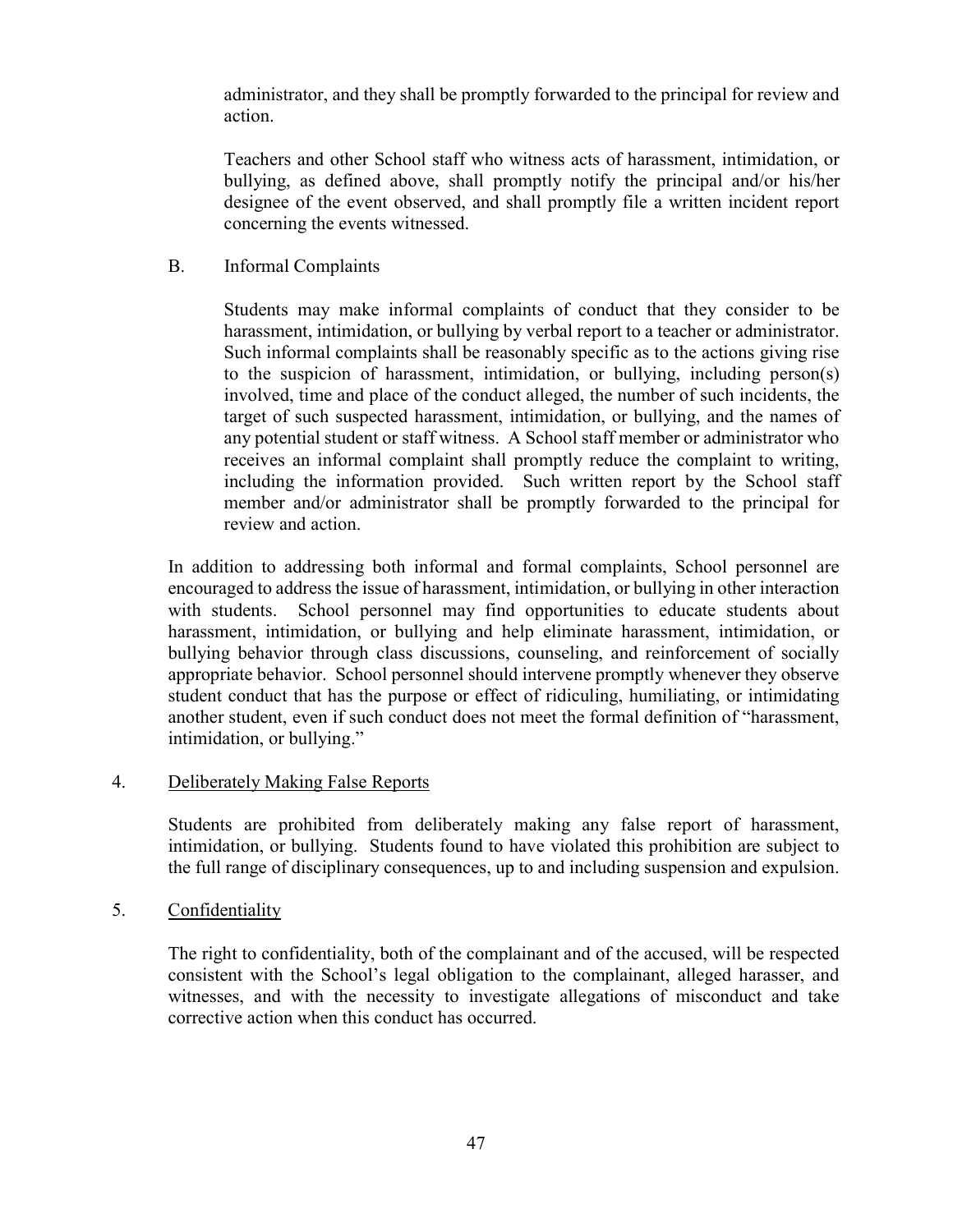administrator, and they shall be promptly forwarded to the principal for review and action.

Teachers and other School staff who witness acts of harassment, intimidation, or bullying, as defined above, shall promptly notify the principal and/or his/her designee of the event observed, and shall promptly file a written incident report concerning the events witnessed.

B. Informal Complaints

Students may make informal complaints of conduct that they consider to be harassment, intimidation, or bullying by verbal report to a teacher or administrator. Such informal complaints shall be reasonably specific as to the actions giving rise to the suspicion of harassment, intimidation, or bullying, including person(s) involved, time and place of the conduct alleged, the number of such incidents, the target of such suspected harassment, intimidation, or bullying, and the names of any potential student or staff witness. A School staff member or administrator who receives an informal complaint shall promptly reduce the complaint to writing, including the information provided. Such written report by the School staff member and/or administrator shall be promptly forwarded to the principal for review and action.

In addition to addressing both informal and formal complaints, School personnel are encouraged to address the issue of harassment, intimidation, or bullying in other interaction with students. School personnel may find opportunities to educate students about harassment, intimidation, or bullying and help eliminate harassment, intimidation, or bullying behavior through class discussions, counseling, and reinforcement of socially appropriate behavior. School personnel should intervene promptly whenever they observe student conduct that has the purpose or effect of ridiculing, humiliating, or intimidating another student, even if such conduct does not meet the formal definition of "harassment, intimidation, or bullying."

## 4. Deliberately Making False Reports

Students are prohibited from deliberately making any false report of harassment, intimidation, or bullying. Students found to have violated this prohibition are subject to the full range of disciplinary consequences, up to and including suspension and expulsion.

5. Confidentiality

The right to confidentiality, both of the complainant and of the accused, will be respected consistent with the School's legal obligation to the complainant, alleged harasser, and witnesses, and with the necessity to investigate allegations of misconduct and take corrective action when this conduct has occurred.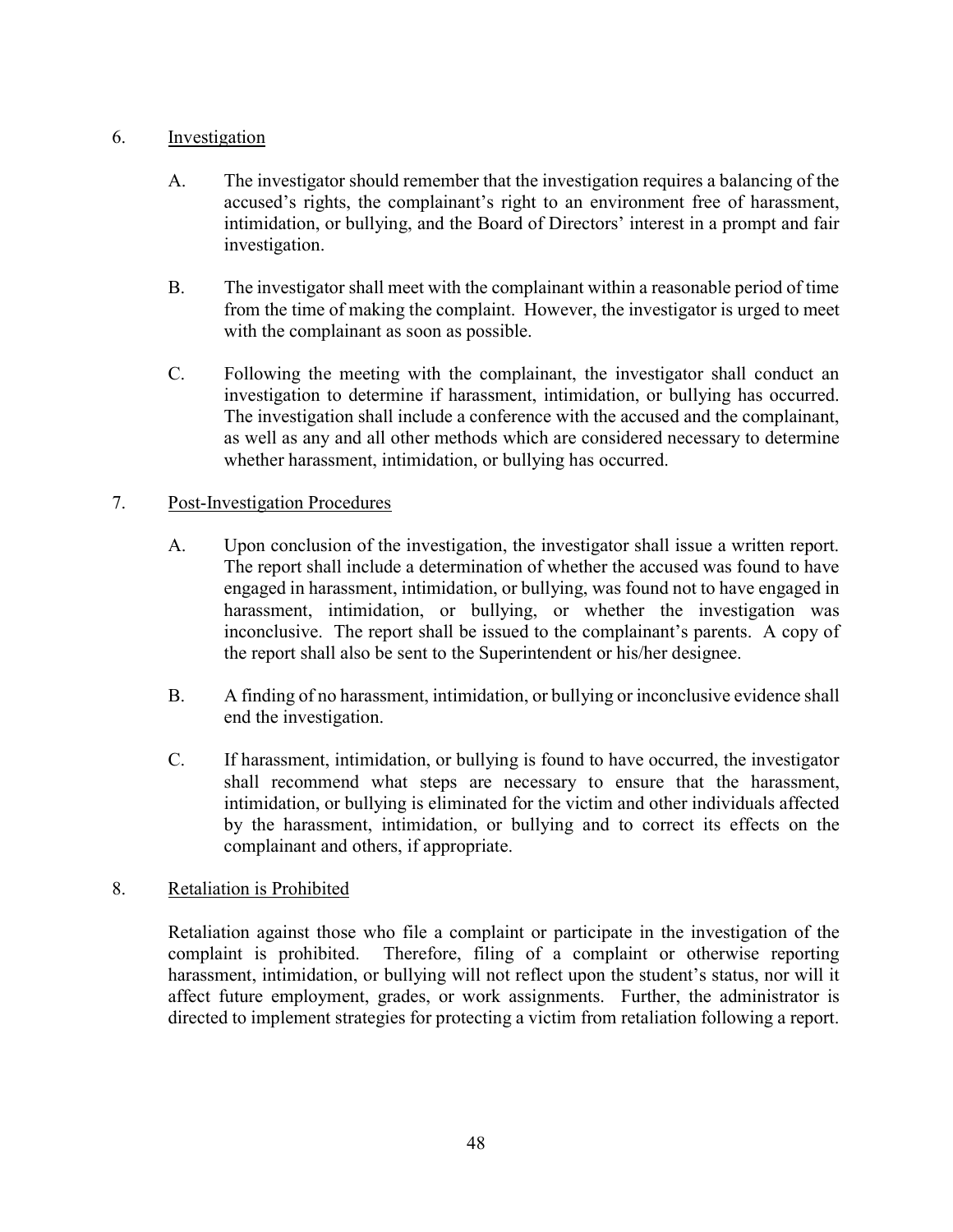## 6. Investigation

- A. The investigator should remember that the investigation requires a balancing of the accused's rights, the complainant's right to an environment free of harassment, intimidation, or bullying, and the Board of Directors' interest in a prompt and fair investigation.
- B. The investigator shall meet with the complainant within a reasonable period of time from the time of making the complaint. However, the investigator is urged to meet with the complainant as soon as possible.
- C. Following the meeting with the complainant, the investigator shall conduct an investigation to determine if harassment, intimidation, or bullying has occurred. The investigation shall include a conference with the accused and the complainant, as well as any and all other methods which are considered necessary to determine whether harassment, intimidation, or bullying has occurred.

### 7. Post-Investigation Procedures

- A. Upon conclusion of the investigation, the investigator shall issue a written report. The report shall include a determination of whether the accused was found to have engaged in harassment, intimidation, or bullying, was found not to have engaged in harassment, intimidation, or bullying, or whether the investigation was inconclusive. The report shall be issued to the complainant's parents. A copy of the report shall also be sent to the Superintendent or his/her designee.
- B. A finding of no harassment, intimidation, or bullying or inconclusive evidence shall end the investigation.
- C. If harassment, intimidation, or bullying is found to have occurred, the investigator shall recommend what steps are necessary to ensure that the harassment, intimidation, or bullying is eliminated for the victim and other individuals affected by the harassment, intimidation, or bullying and to correct its effects on the complainant and others, if appropriate.

#### 8. Retaliation is Prohibited

Retaliation against those who file a complaint or participate in the investigation of the complaint is prohibited. Therefore, filing of a complaint or otherwise reporting harassment, intimidation, or bullying will not reflect upon the student's status, nor will it affect future employment, grades, or work assignments. Further, the administrator is directed to implement strategies for protecting a victim from retaliation following a report.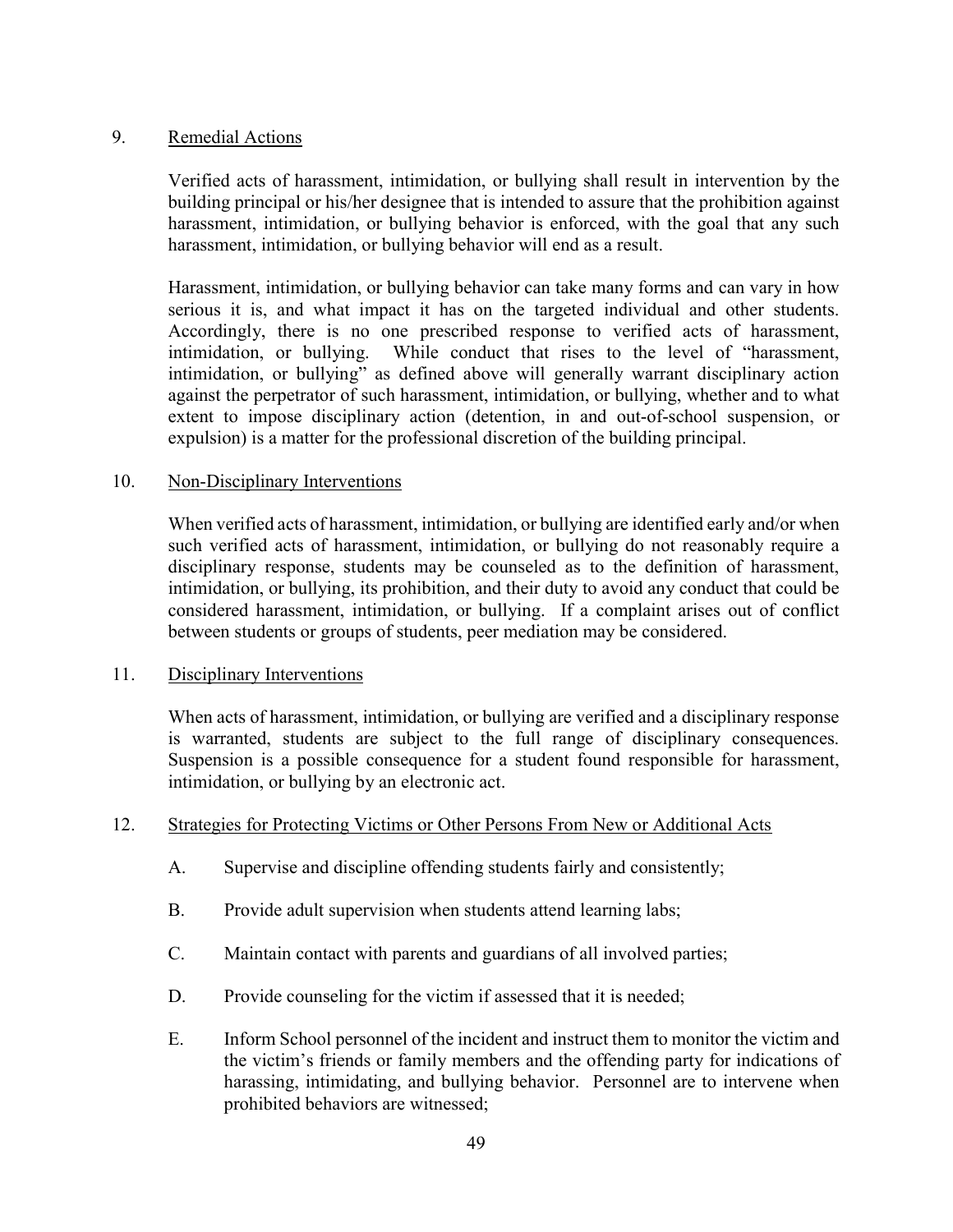#### 9. Remedial Actions

Verified acts of harassment, intimidation, or bullying shall result in intervention by the building principal or his/her designee that is intended to assure that the prohibition against harassment, intimidation, or bullying behavior is enforced, with the goal that any such harassment, intimidation, or bullying behavior will end as a result.

Harassment, intimidation, or bullying behavior can take many forms and can vary in how serious it is, and what impact it has on the targeted individual and other students. Accordingly, there is no one prescribed response to verified acts of harassment, intimidation, or bullying. While conduct that rises to the level of "harassment, intimidation, or bullying" as defined above will generally warrant disciplinary action against the perpetrator of such harassment, intimidation, or bullying, whether and to what extent to impose disciplinary action (detention, in and out-of-school suspension, or expulsion) is a matter for the professional discretion of the building principal.

#### 10. Non-Disciplinary Interventions

When verified acts of harassment, intimidation, or bullying are identified early and/or when such verified acts of harassment, intimidation, or bullying do not reasonably require a disciplinary response, students may be counseled as to the definition of harassment, intimidation, or bullying, its prohibition, and their duty to avoid any conduct that could be considered harassment, intimidation, or bullying. If a complaint arises out of conflict between students or groups of students, peer mediation may be considered.

#### 11. Disciplinary Interventions

When acts of harassment, intimidation, or bullying are verified and a disciplinary response is warranted, students are subject to the full range of disciplinary consequences. Suspension is a possible consequence for a student found responsible for harassment, intimidation, or bullying by an electronic act.

#### 12. Strategies for Protecting Victims or Other Persons From New or Additional Acts

- A. Supervise and discipline offending students fairly and consistently;
- B. Provide adult supervision when students attend learning labs;
- C. Maintain contact with parents and guardians of all involved parties;
- D. Provide counseling for the victim if assessed that it is needed;
- E. Inform School personnel of the incident and instruct them to monitor the victim and the victim's friends or family members and the offending party for indications of harassing, intimidating, and bullying behavior. Personnel are to intervene when prohibited behaviors are witnessed;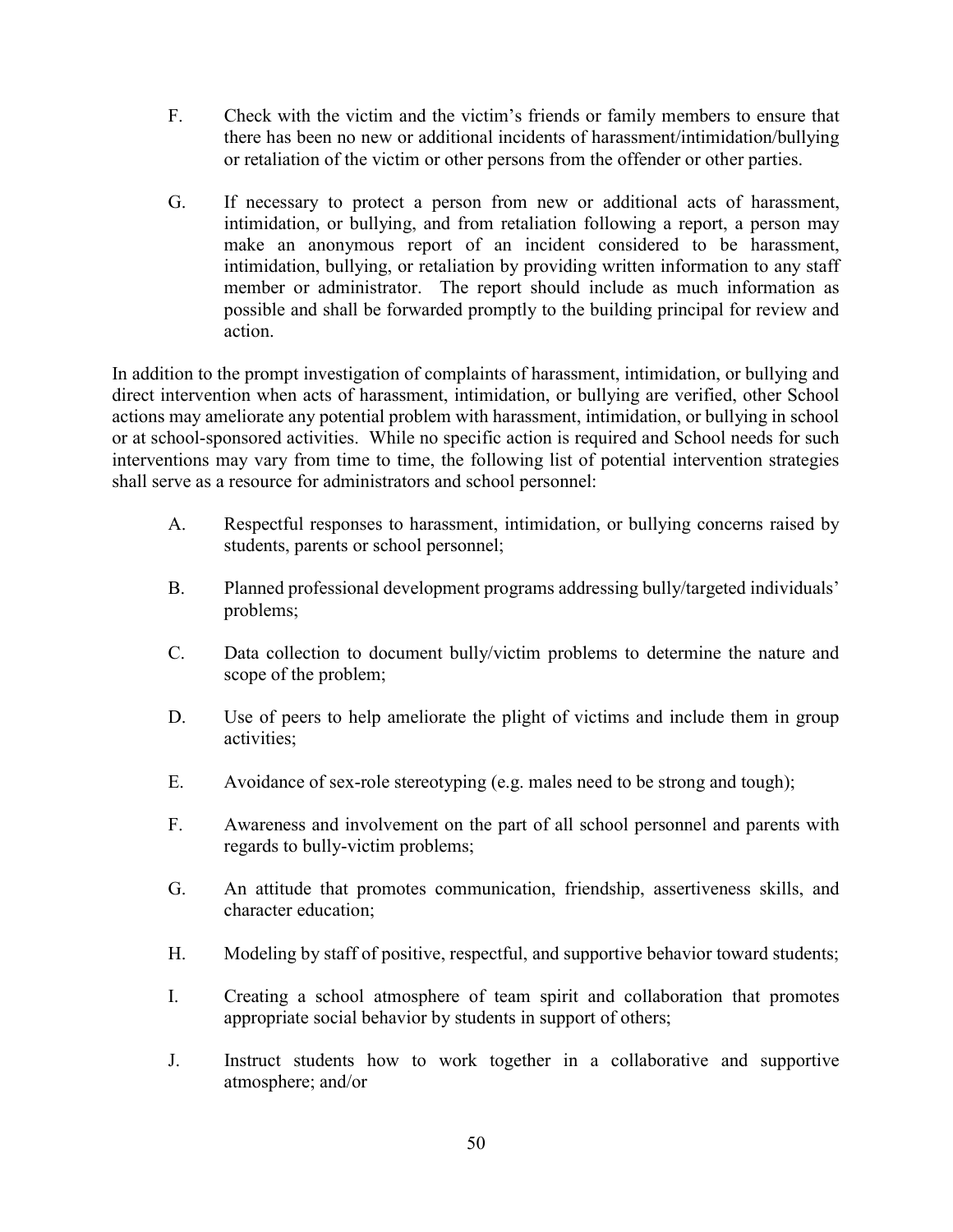- F. Check with the victim and the victim's friends or family members to ensure that there has been no new or additional incidents of harassment/intimidation/bullying or retaliation of the victim or other persons from the offender or other parties.
- G. If necessary to protect a person from new or additional acts of harassment, intimidation, or bullying, and from retaliation following a report, a person may make an anonymous report of an incident considered to be harassment, intimidation, bullying, or retaliation by providing written information to any staff member or administrator. The report should include as much information as possible and shall be forwarded promptly to the building principal for review and action.

In addition to the prompt investigation of complaints of harassment, intimidation, or bullying and direct intervention when acts of harassment, intimidation, or bullying are verified, other School actions may ameliorate any potential problem with harassment, intimidation, or bullying in school or at school-sponsored activities. While no specific action is required and School needs for such interventions may vary from time to time, the following list of potential intervention strategies shall serve as a resource for administrators and school personnel:

- A. Respectful responses to harassment, intimidation, or bullying concerns raised by students, parents or school personnel;
- B. Planned professional development programs addressing bully/targeted individuals' problems;
- C. Data collection to document bully/victim problems to determine the nature and scope of the problem;
- D. Use of peers to help ameliorate the plight of victims and include them in group activities;
- E. Avoidance of sex-role stereotyping (e.g. males need to be strong and tough);
- F. Awareness and involvement on the part of all school personnel and parents with regards to bully-victim problems;
- G. An attitude that promotes communication, friendship, assertiveness skills, and character education;
- H. Modeling by staff of positive, respectful, and supportive behavior toward students;
- I. Creating a school atmosphere of team spirit and collaboration that promotes appropriate social behavior by students in support of others;
- J. Instruct students how to work together in a collaborative and supportive atmosphere; and/or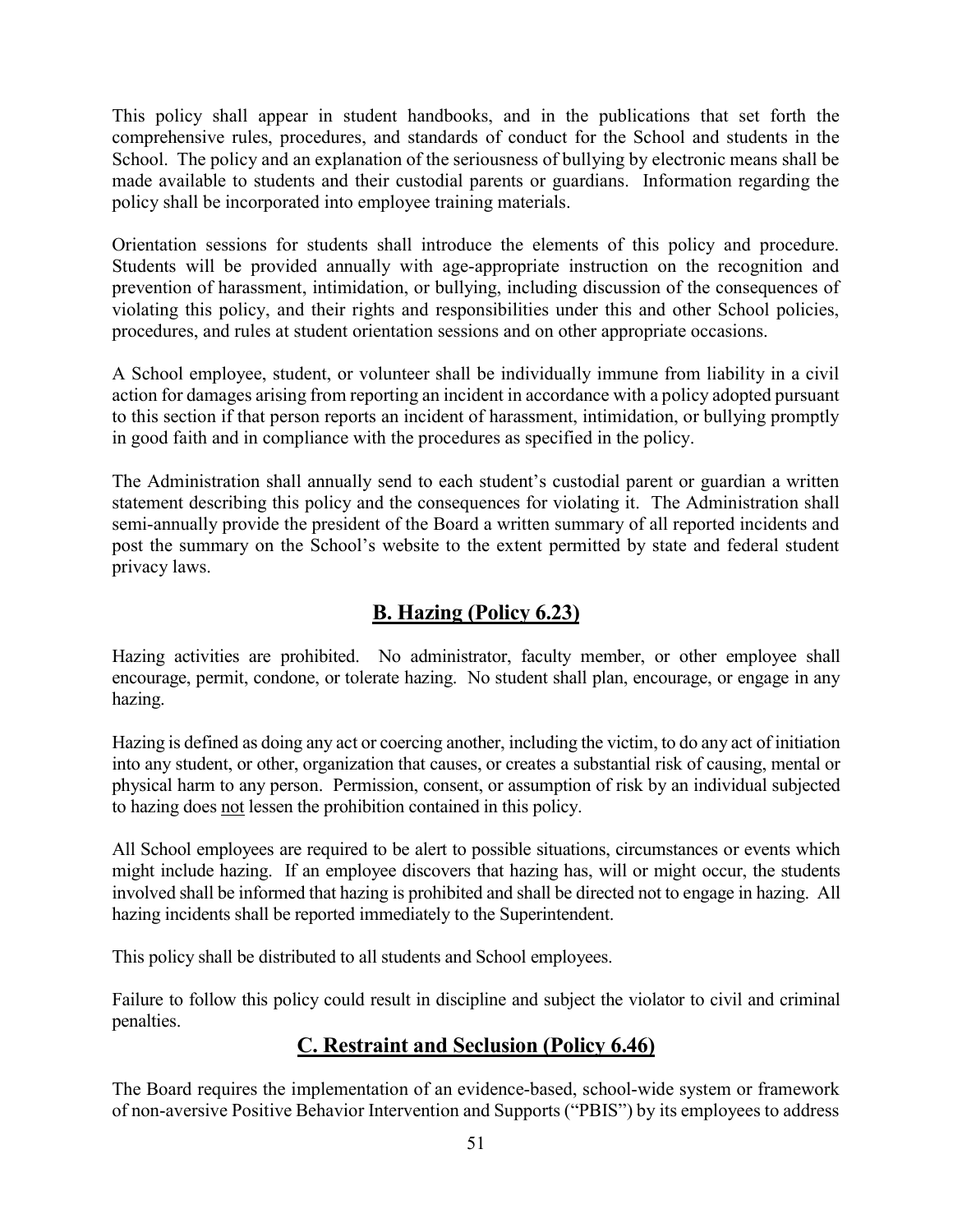This policy shall appear in student handbooks, and in the publications that set forth the comprehensive rules, procedures, and standards of conduct for the School and students in the School. The policy and an explanation of the seriousness of bullying by electronic means shall be made available to students and their custodial parents or guardians. Information regarding the policy shall be incorporated into employee training materials.

Orientation sessions for students shall introduce the elements of this policy and procedure. Students will be provided annually with age-appropriate instruction on the recognition and prevention of harassment, intimidation, or bullying, including discussion of the consequences of violating this policy, and their rights and responsibilities under this and other School policies, procedures, and rules at student orientation sessions and on other appropriate occasions.

A School employee, student, or volunteer shall be individually immune from liability in a civil action for damages arising from reporting an incident in accordance with a policy adopted pursuant to this section if that person reports an incident of harassment, intimidation, or bullying promptly in good faith and in compliance with the procedures as specified in the policy.

The Administration shall annually send to each student's custodial parent or guardian a written statement describing this policy and the consequences for violating it. The Administration shall semi-annually provide the president of the Board a written summary of all reported incidents and post the summary on the School's website to the extent permitted by state and federal student privacy laws.

# B. Hazing (Policy 6.23)

Hazing activities are prohibited. No administrator, faculty member, or other employee shall encourage, permit, condone, or tolerate hazing. No student shall plan, encourage, or engage in any hazing.

Hazing is defined as doing any act or coercing another, including the victim, to do any act of initiation into any student, or other, organization that causes, or creates a substantial risk of causing, mental or physical harm to any person. Permission, consent, or assumption of risk by an individual subjected to hazing does not lessen the prohibition contained in this policy.

All School employees are required to be alert to possible situations, circumstances or events which might include hazing. If an employee discovers that hazing has, will or might occur, the students involved shall be informed that hazing is prohibited and shall be directed not to engage in hazing. All hazing incidents shall be reported immediately to the Superintendent.

This policy shall be distributed to all students and School employees.

Failure to follow this policy could result in discipline and subject the violator to civil and criminal penalties.

# C. Restraint and Seclusion (Policy 6.46)

The Board requires the implementation of an evidence-based, school-wide system or framework of non-aversive Positive Behavior Intervention and Supports ("PBIS") by its employees to address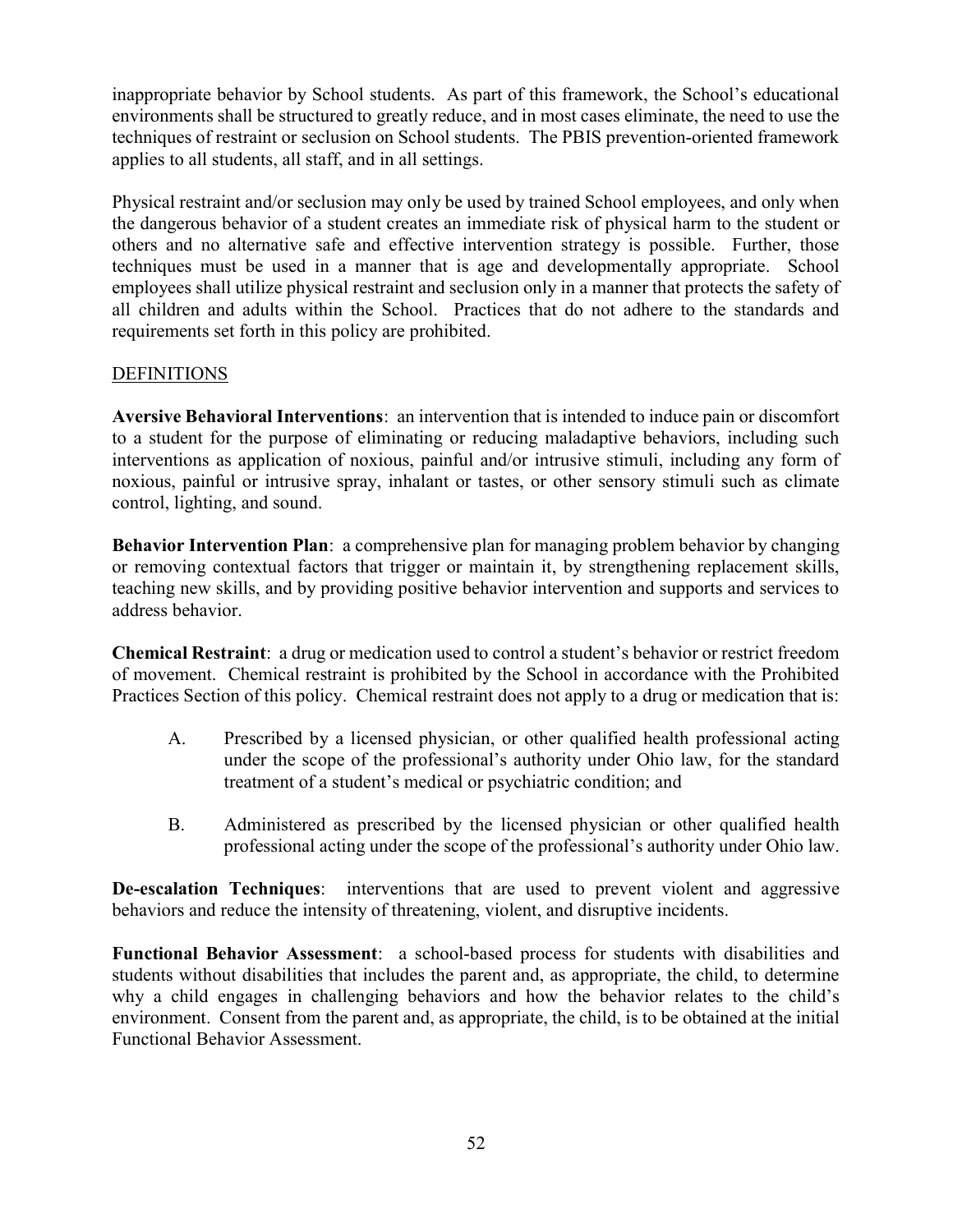inappropriate behavior by School students. As part of this framework, the School's educational environments shall be structured to greatly reduce, and in most cases eliminate, the need to use the techniques of restraint or seclusion on School students. The PBIS prevention-oriented framework applies to all students, all staff, and in all settings.

Physical restraint and/or seclusion may only be used by trained School employees, and only when the dangerous behavior of a student creates an immediate risk of physical harm to the student or others and no alternative safe and effective intervention strategy is possible. Further, those techniques must be used in a manner that is age and developmentally appropriate. School employees shall utilize physical restraint and seclusion only in a manner that protects the safety of all children and adults within the School. Practices that do not adhere to the standards and requirements set forth in this policy are prohibited.

## DEFINITIONS

Aversive Behavioral Interventions: an intervention that is intended to induce pain or discomfort to a student for the purpose of eliminating or reducing maladaptive behaviors, including such interventions as application of noxious, painful and/or intrusive stimuli, including any form of noxious, painful or intrusive spray, inhalant or tastes, or other sensory stimuli such as climate control, lighting, and sound.

Behavior Intervention Plan: a comprehensive plan for managing problem behavior by changing or removing contextual factors that trigger or maintain it, by strengthening replacement skills, teaching new skills, and by providing positive behavior intervention and supports and services to address behavior.

Chemical Restraint: a drug or medication used to control a student's behavior or restrict freedom of movement. Chemical restraint is prohibited by the School in accordance with the Prohibited Practices Section of this policy. Chemical restraint does not apply to a drug or medication that is:

- A. Prescribed by a licensed physician, or other qualified health professional acting under the scope of the professional's authority under Ohio law, for the standard treatment of a student's medical or psychiatric condition; and
- B. Administered as prescribed by the licensed physician or other qualified health professional acting under the scope of the professional's authority under Ohio law.

De-escalation Techniques: interventions that are used to prevent violent and aggressive behaviors and reduce the intensity of threatening, violent, and disruptive incidents.

Functional Behavior Assessment: a school-based process for students with disabilities and students without disabilities that includes the parent and, as appropriate, the child, to determine why a child engages in challenging behaviors and how the behavior relates to the child's environment. Consent from the parent and, as appropriate, the child, is to be obtained at the initial Functional Behavior Assessment.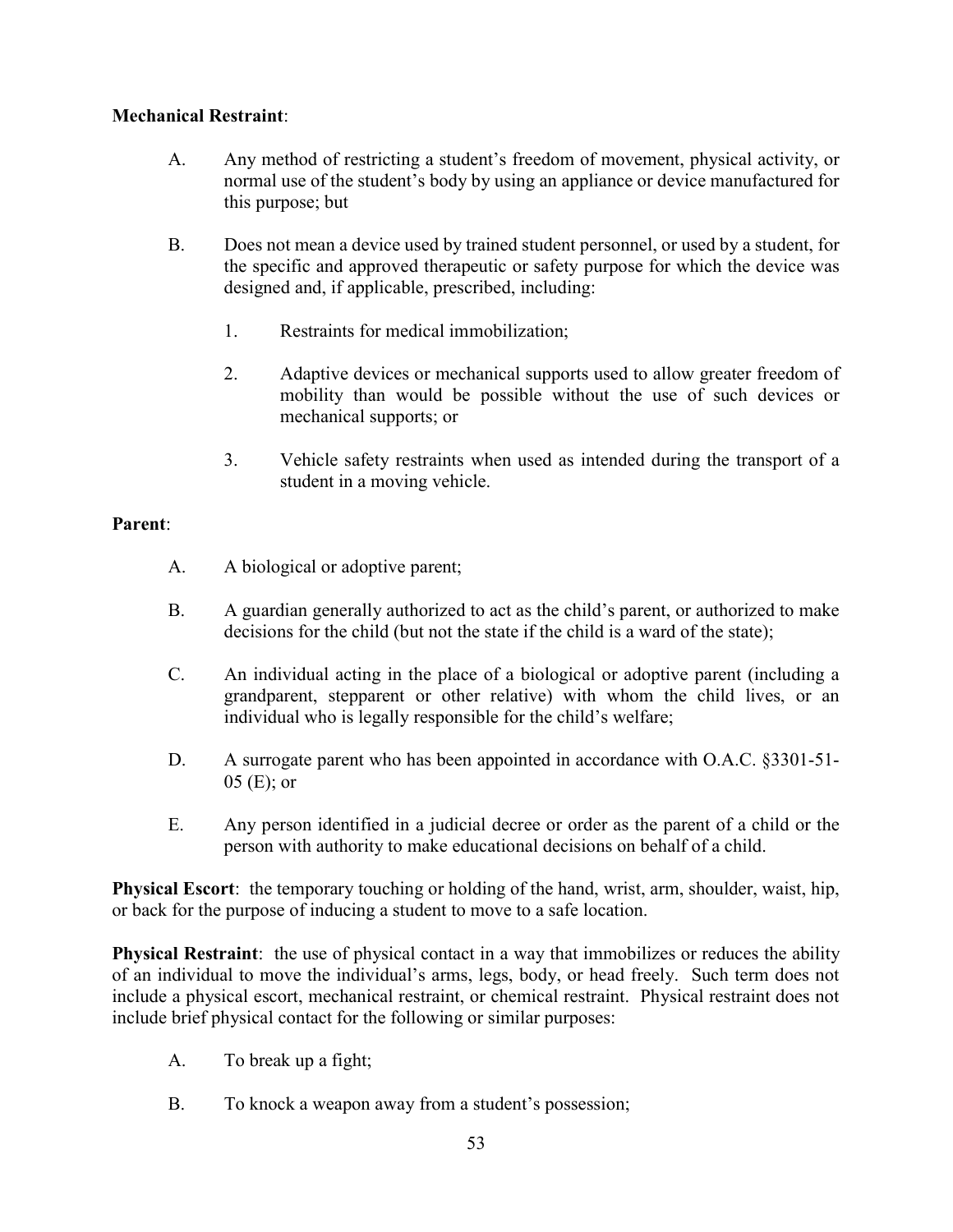## Mechanical Restraint:

- A. Any method of restricting a student's freedom of movement, physical activity, or normal use of the student's body by using an appliance or device manufactured for this purpose; but
- B. Does not mean a device used by trained student personnel, or used by a student, for the specific and approved therapeutic or safety purpose for which the device was designed and, if applicable, prescribed, including:
	- 1. Restraints for medical immobilization;
	- 2. Adaptive devices or mechanical supports used to allow greater freedom of mobility than would be possible without the use of such devices or mechanical supports; or
	- 3. Vehicle safety restraints when used as intended during the transport of a student in a moving vehicle.

### Parent:

- A. A biological or adoptive parent;
- B. A guardian generally authorized to act as the child's parent, or authorized to make decisions for the child (but not the state if the child is a ward of the state);
- C. An individual acting in the place of a biological or adoptive parent (including a grandparent, stepparent or other relative) with whom the child lives, or an individual who is legally responsible for the child's welfare;
- D. A surrogate parent who has been appointed in accordance with O.A.C. §3301-51-05 (E); or
- E. Any person identified in a judicial decree or order as the parent of a child or the person with authority to make educational decisions on behalf of a child.

Physical Escort: the temporary touching or holding of the hand, wrist, arm, shoulder, waist, hip, or back for the purpose of inducing a student to move to a safe location.

Physical Restraint: the use of physical contact in a way that immobilizes or reduces the ability of an individual to move the individual's arms, legs, body, or head freely. Such term does not include a physical escort, mechanical restraint, or chemical restraint. Physical restraint does not include brief physical contact for the following or similar purposes:

- A. To break up a fight;
- B. To knock a weapon away from a student's possession;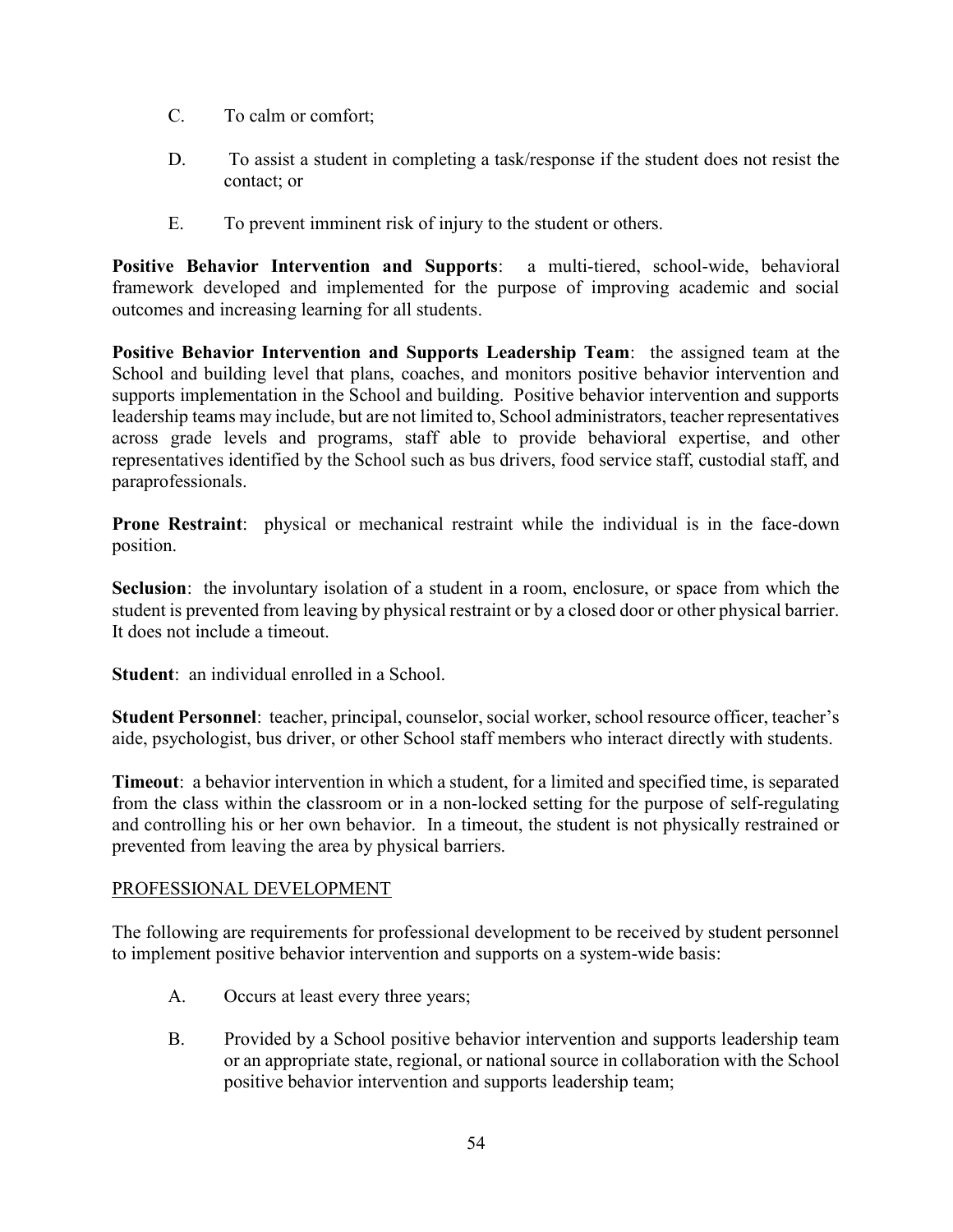- C. To calm or comfort;
- D. To assist a student in completing a task/response if the student does not resist the contact; or
- E. To prevent imminent risk of injury to the student or others.

Positive Behavior Intervention and Supports: a multi-tiered, school-wide, behavioral framework developed and implemented for the purpose of improving academic and social outcomes and increasing learning for all students.

Positive Behavior Intervention and Supports Leadership Team: the assigned team at the School and building level that plans, coaches, and monitors positive behavior intervention and supports implementation in the School and building. Positive behavior intervention and supports leadership teams may include, but are not limited to, School administrators, teacher representatives across grade levels and programs, staff able to provide behavioral expertise, and other representatives identified by the School such as bus drivers, food service staff, custodial staff, and paraprofessionals.

Prone Restraint: physical or mechanical restraint while the individual is in the face-down position.

Seclusion: the involuntary isolation of a student in a room, enclosure, or space from which the student is prevented from leaving by physical restraint or by a closed door or other physical barrier. It does not include a timeout.

Student: an individual enrolled in a School.

Student Personnel: teacher, principal, counselor, social worker, school resource officer, teacher's aide, psychologist, bus driver, or other School staff members who interact directly with students.

Timeout: a behavior intervention in which a student, for a limited and specified time, is separated from the class within the classroom or in a non-locked setting for the purpose of self-regulating and controlling his or her own behavior. In a timeout, the student is not physically restrained or prevented from leaving the area by physical barriers.

## PROFESSIONAL DEVELOPMENT

The following are requirements for professional development to be received by student personnel to implement positive behavior intervention and supports on a system-wide basis:

- A. Occurs at least every three years;
- B. Provided by a School positive behavior intervention and supports leadership team or an appropriate state, regional, or national source in collaboration with the School positive behavior intervention and supports leadership team;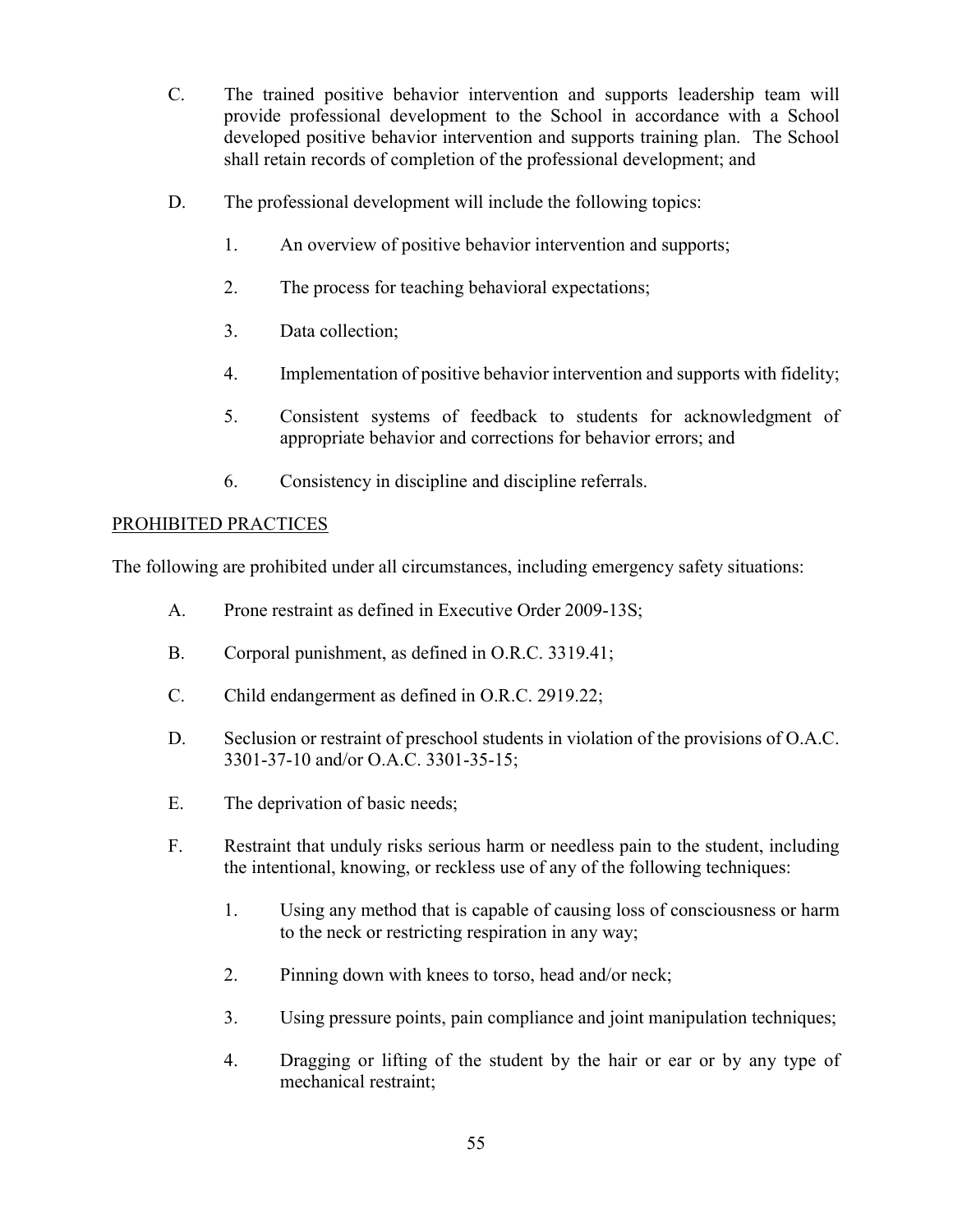- C. The trained positive behavior intervention and supports leadership team will provide professional development to the School in accordance with a School developed positive behavior intervention and supports training plan. The School shall retain records of completion of the professional development; and
- D. The professional development will include the following topics:
	- 1. An overview of positive behavior intervention and supports;
	- 2. The process for teaching behavioral expectations;
	- 3. Data collection;
	- 4. Implementation of positive behavior intervention and supports with fidelity;
	- 5. Consistent systems of feedback to students for acknowledgment of appropriate behavior and corrections for behavior errors; and
	- 6. Consistency in discipline and discipline referrals.

#### PROHIBITED PRACTICES

The following are prohibited under all circumstances, including emergency safety situations:

- A. Prone restraint as defined in Executive Order 2009-13S;
- B. Corporal punishment, as defined in O.R.C. 3319.41;
- C. Child endangerment as defined in O.R.C. 2919.22;
- D. Seclusion or restraint of preschool students in violation of the provisions of O.A.C. 3301-37-10 and/or O.A.C. 3301-35-15;
- E. The deprivation of basic needs;
- F. Restraint that unduly risks serious harm or needless pain to the student, including the intentional, knowing, or reckless use of any of the following techniques:
	- 1. Using any method that is capable of causing loss of consciousness or harm to the neck or restricting respiration in any way;
	- 2. Pinning down with knees to torso, head and/or neck;
	- 3. Using pressure points, pain compliance and joint manipulation techniques;
	- 4. Dragging or lifting of the student by the hair or ear or by any type of mechanical restraint;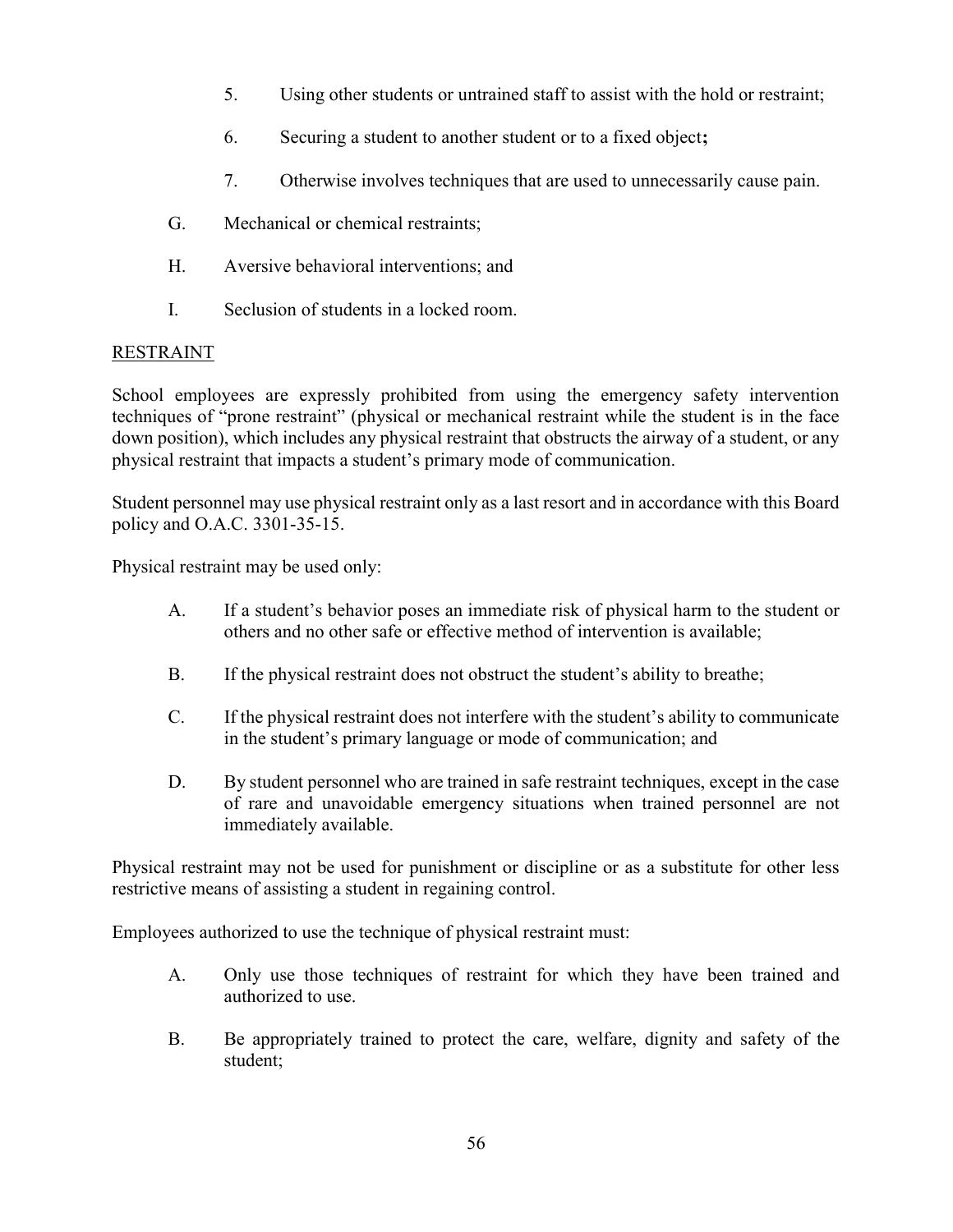- 5. Using other students or untrained staff to assist with the hold or restraint;
- 6. Securing a student to another student or to a fixed object;
- 7. Otherwise involves techniques that are used to unnecessarily cause pain.
- G. Mechanical or chemical restraints;
- H. Aversive behavioral interventions; and
- I. Seclusion of students in a locked room.

## RESTRAINT

School employees are expressly prohibited from using the emergency safety intervention techniques of "prone restraint" (physical or mechanical restraint while the student is in the face down position), which includes any physical restraint that obstructs the airway of a student, or any physical restraint that impacts a student's primary mode of communication.

Student personnel may use physical restraint only as a last resort and in accordance with this Board policy and O.A.C. 3301-35-15.

Physical restraint may be used only:

- A. If a student's behavior poses an immediate risk of physical harm to the student or others and no other safe or effective method of intervention is available;
- B. If the physical restraint does not obstruct the student's ability to breathe;
- C. If the physical restraint does not interfere with the student's ability to communicate in the student's primary language or mode of communication; and
- D. By student personnel who are trained in safe restraint techniques, except in the case of rare and unavoidable emergency situations when trained personnel are not immediately available.

Physical restraint may not be used for punishment or discipline or as a substitute for other less restrictive means of assisting a student in regaining control.

Employees authorized to use the technique of physical restraint must:

- A. Only use those techniques of restraint for which they have been trained and authorized to use.
- B. Be appropriately trained to protect the care, welfare, dignity and safety of the student;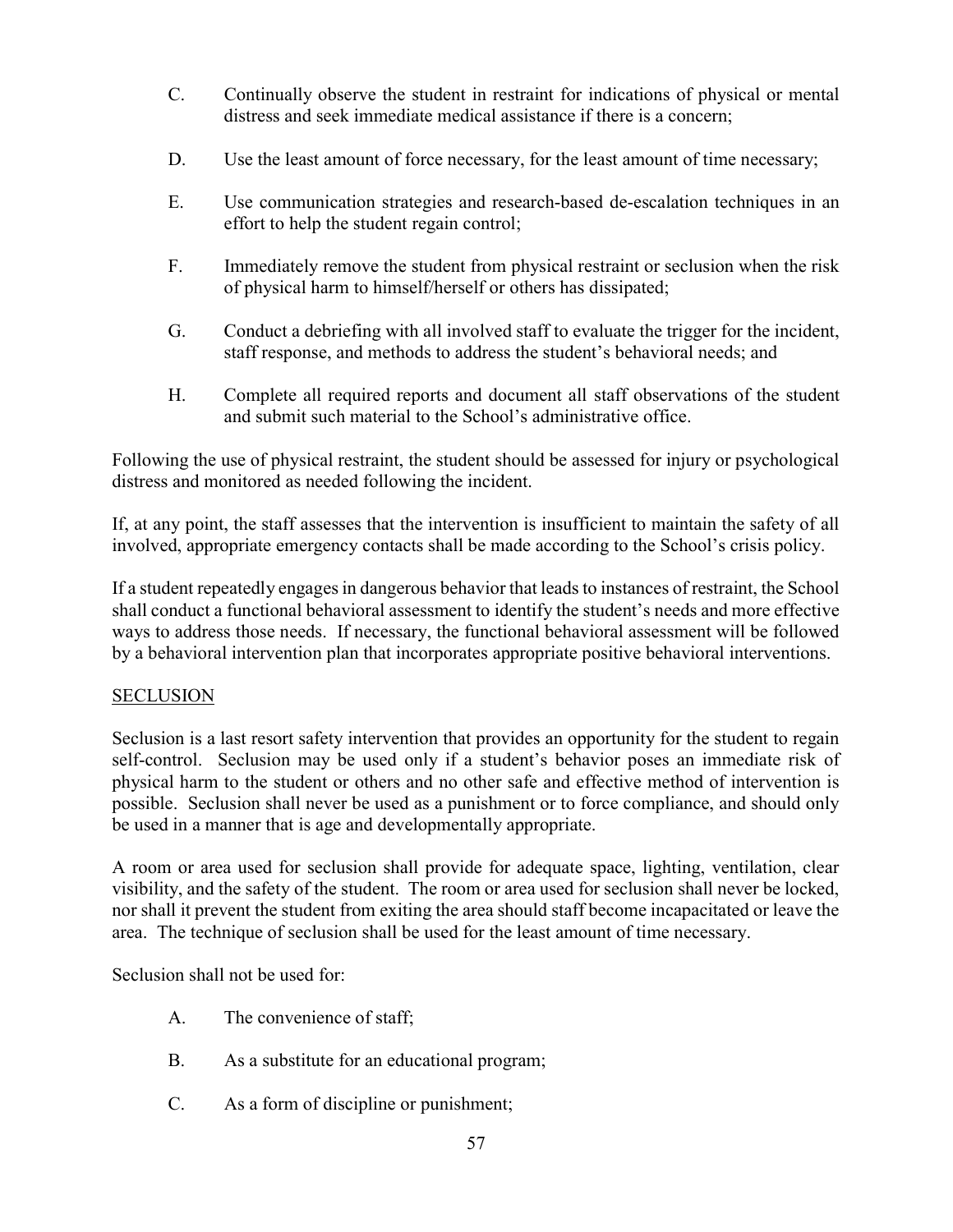- C. Continually observe the student in restraint for indications of physical or mental distress and seek immediate medical assistance if there is a concern;
- D. Use the least amount of force necessary, for the least amount of time necessary;
- E. Use communication strategies and research-based de-escalation techniques in an effort to help the student regain control;
- F. Immediately remove the student from physical restraint or seclusion when the risk of physical harm to himself/herself or others has dissipated;
- G. Conduct a debriefing with all involved staff to evaluate the trigger for the incident, staff response, and methods to address the student's behavioral needs; and
- H. Complete all required reports and document all staff observations of the student and submit such material to the School's administrative office.

Following the use of physical restraint, the student should be assessed for injury or psychological distress and monitored as needed following the incident.

If, at any point, the staff assesses that the intervention is insufficient to maintain the safety of all involved, appropriate emergency contacts shall be made according to the School's crisis policy.

If a student repeatedly engages in dangerous behavior that leads to instances of restraint, the School shall conduct a functional behavioral assessment to identify the student's needs and more effective ways to address those needs. If necessary, the functional behavioral assessment will be followed by a behavioral intervention plan that incorporates appropriate positive behavioral interventions.

## **SECLUSION**

Seclusion is a last resort safety intervention that provides an opportunity for the student to regain self-control. Seclusion may be used only if a student's behavior poses an immediate risk of physical harm to the student or others and no other safe and effective method of intervention is possible. Seclusion shall never be used as a punishment or to force compliance, and should only be used in a manner that is age and developmentally appropriate.

A room or area used for seclusion shall provide for adequate space, lighting, ventilation, clear visibility, and the safety of the student. The room or area used for seclusion shall never be locked, nor shall it prevent the student from exiting the area should staff become incapacitated or leave the area. The technique of seclusion shall be used for the least amount of time necessary.

Seclusion shall not be used for:

- A. The convenience of staff;
- B. As a substitute for an educational program;
- C. As a form of discipline or punishment;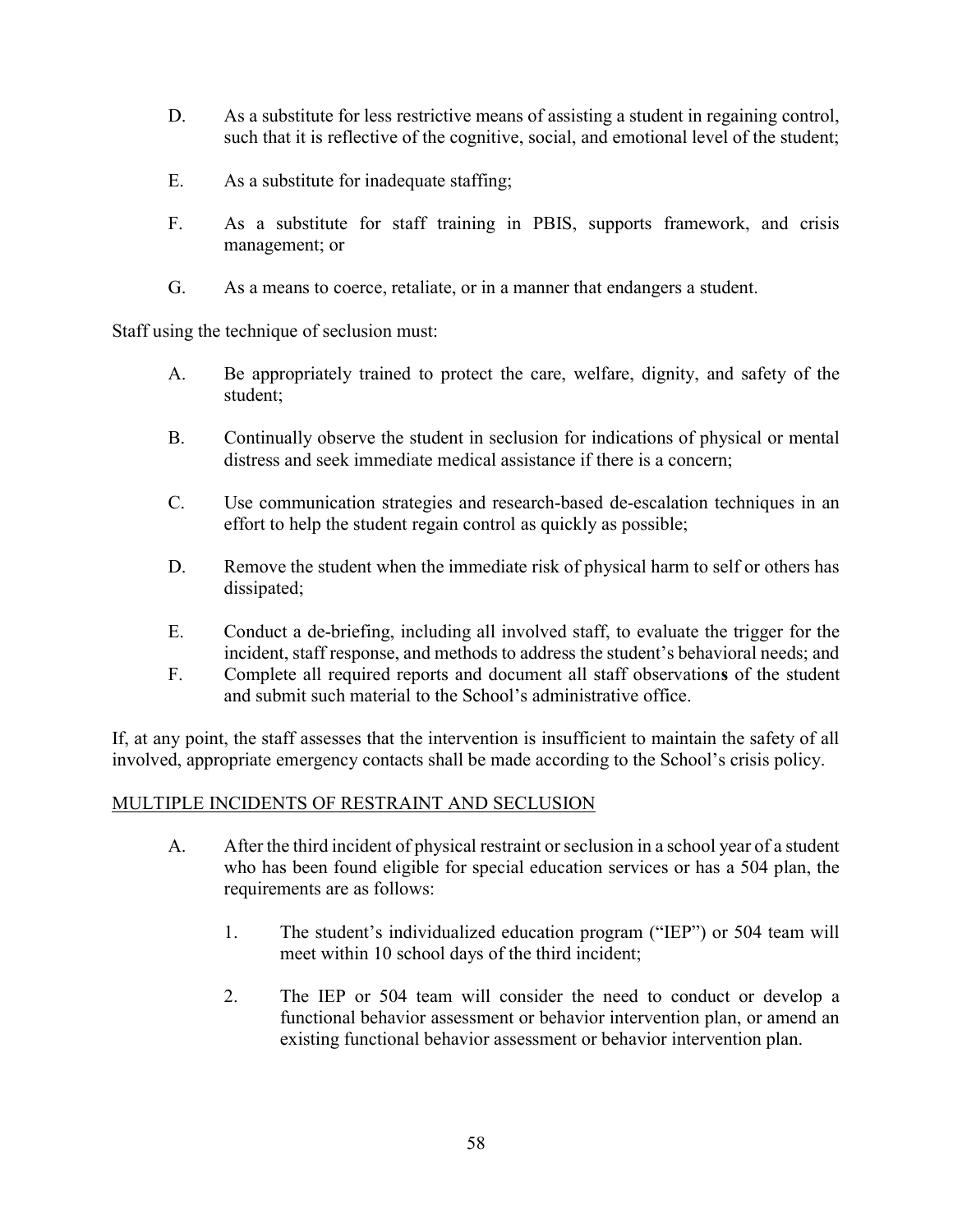- D. As a substitute for less restrictive means of assisting a student in regaining control, such that it is reflective of the cognitive, social, and emotional level of the student;
- E. As a substitute for inadequate staffing;
- F. As a substitute for staff training in PBIS, supports framework, and crisis management; or
- G. As a means to coerce, retaliate, or in a manner that endangers a student.

Staff using the technique of seclusion must:

- A. Be appropriately trained to protect the care, welfare, dignity, and safety of the student;
- B. Continually observe the student in seclusion for indications of physical or mental distress and seek immediate medical assistance if there is a concern;
- C. Use communication strategies and research-based de-escalation techniques in an effort to help the student regain control as quickly as possible;
- D. Remove the student when the immediate risk of physical harm to self or others has dissipated;
- E. Conduct a de-briefing, including all involved staff, to evaluate the trigger for the incident, staff response, and methods to address the student's behavioral needs; and
- F. Complete all required reports and document all staff observations of the student and submit such material to the School's administrative office.

If, at any point, the staff assesses that the intervention is insufficient to maintain the safety of all involved, appropriate emergency contacts shall be made according to the School's crisis policy.

#### MULTIPLE INCIDENTS OF RESTRAINT AND SECLUSION

- A. After the third incident of physical restraint or seclusion in a school year of a student who has been found eligible for special education services or has a 504 plan, the requirements are as follows:
	- 1. The student's individualized education program ("IEP") or 504 team will meet within 10 school days of the third incident;
	- 2. The IEP or 504 team will consider the need to conduct or develop a functional behavior assessment or behavior intervention plan, or amend an existing functional behavior assessment or behavior intervention plan.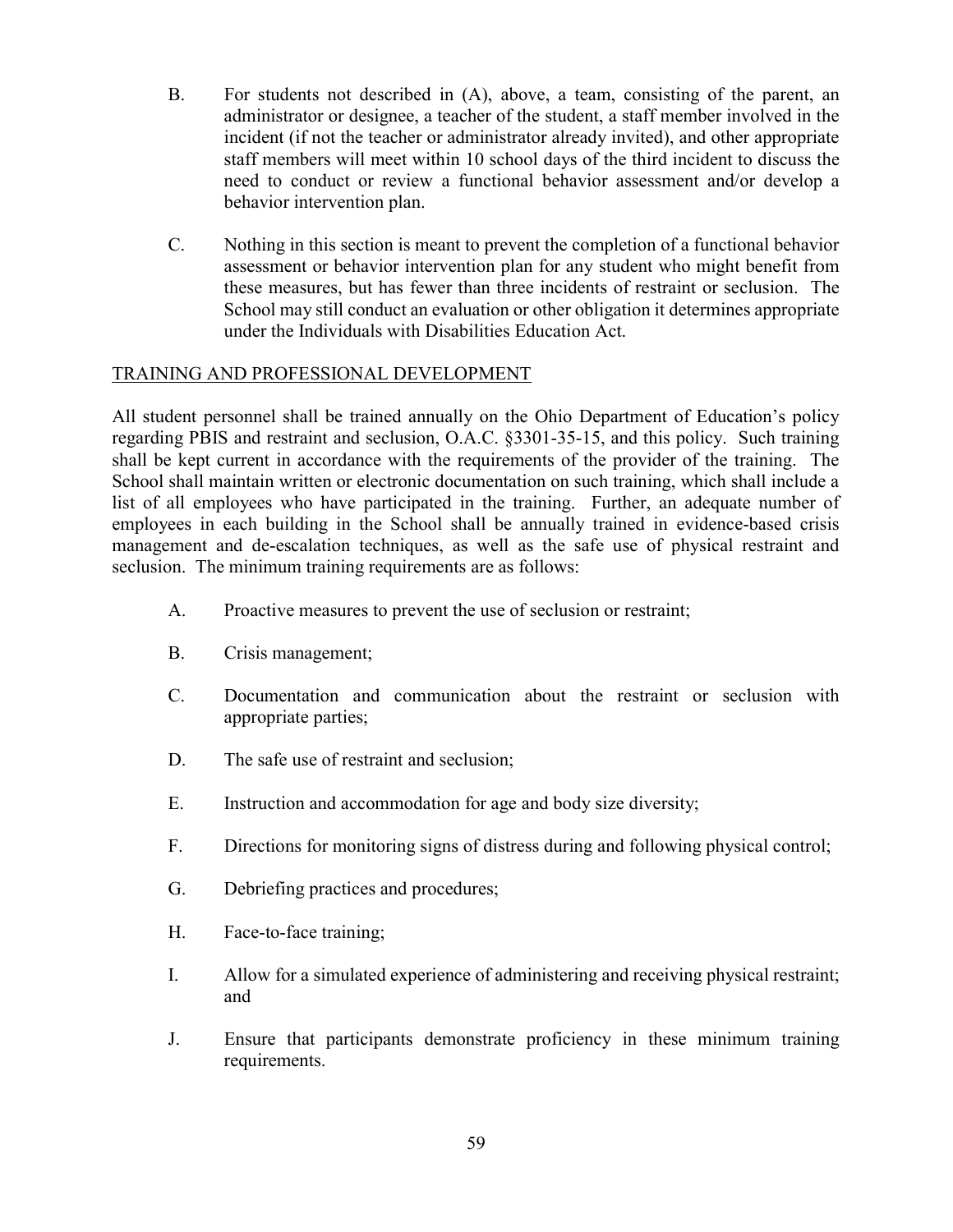- B. For students not described in (A), above, a team, consisting of the parent, an administrator or designee, a teacher of the student, a staff member involved in the incident (if not the teacher or administrator already invited), and other appropriate staff members will meet within 10 school days of the third incident to discuss the need to conduct or review a functional behavior assessment and/or develop a behavior intervention plan.
- C. Nothing in this section is meant to prevent the completion of a functional behavior assessment or behavior intervention plan for any student who might benefit from these measures, but has fewer than three incidents of restraint or seclusion. The School may still conduct an evaluation or other obligation it determines appropriate under the Individuals with Disabilities Education Act.

## TRAINING AND PROFESSIONAL DEVELOPMENT

All student personnel shall be trained annually on the Ohio Department of Education's policy regarding PBIS and restraint and seclusion, O.A.C. §3301-35-15, and this policy. Such training shall be kept current in accordance with the requirements of the provider of the training. The School shall maintain written or electronic documentation on such training, which shall include a list of all employees who have participated in the training. Further, an adequate number of employees in each building in the School shall be annually trained in evidence-based crisis management and de-escalation techniques, as well as the safe use of physical restraint and seclusion. The minimum training requirements are as follows:

- A. Proactive measures to prevent the use of seclusion or restraint;
- B. Crisis management;
- C. Documentation and communication about the restraint or seclusion with appropriate parties;
- D. The safe use of restraint and seclusion;
- E. Instruction and accommodation for age and body size diversity;
- F. Directions for monitoring signs of distress during and following physical control;
- G. Debriefing practices and procedures;
- H. Face-to-face training;
- I. Allow for a simulated experience of administering and receiving physical restraint; and
- J. Ensure that participants demonstrate proficiency in these minimum training requirements.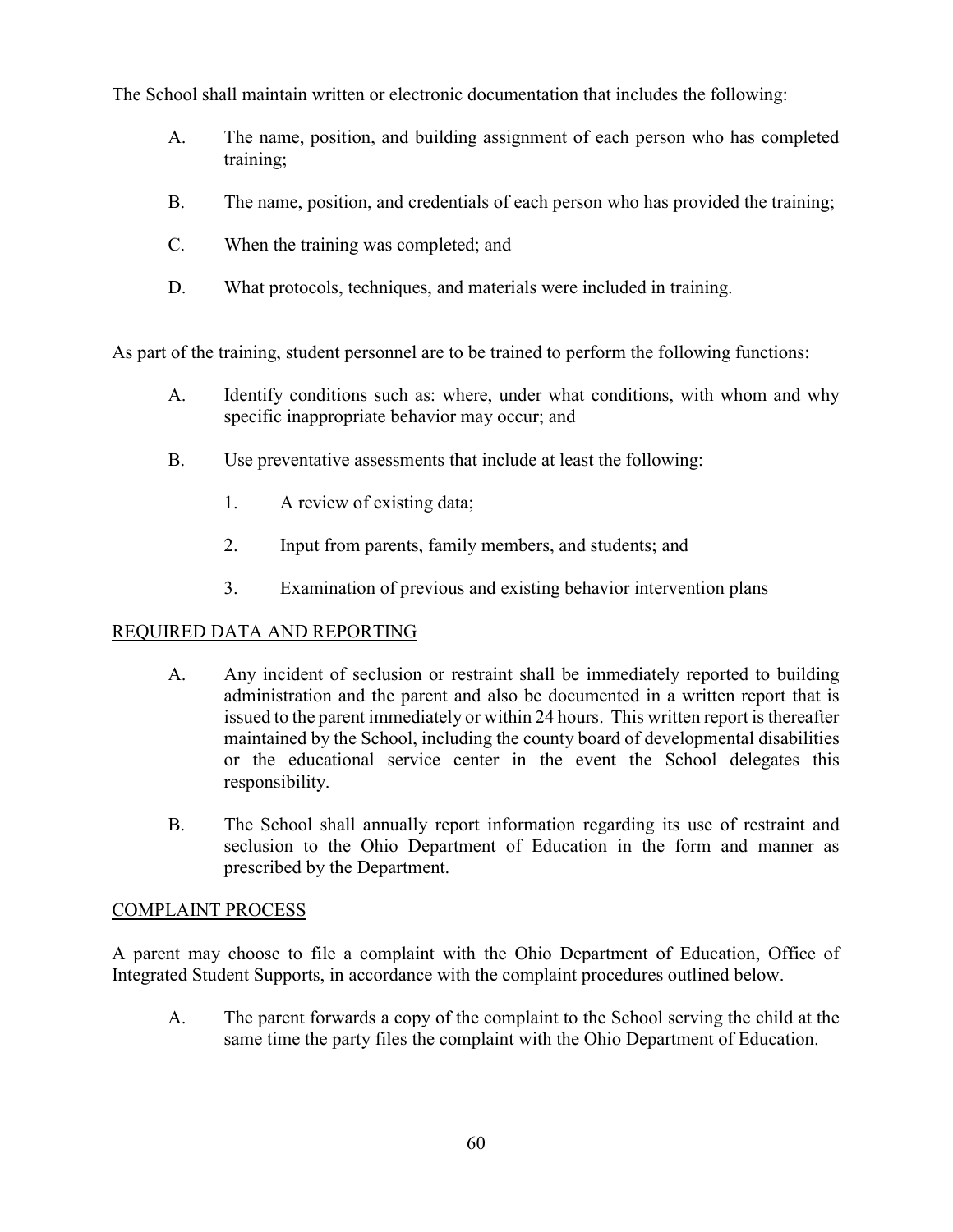The School shall maintain written or electronic documentation that includes the following:

- A. The name, position, and building assignment of each person who has completed training;
- B. The name, position, and credentials of each person who has provided the training;
- C. When the training was completed; and
- D. What protocols, techniques, and materials were included in training.

As part of the training, student personnel are to be trained to perform the following functions:

- A. Identify conditions such as: where, under what conditions, with whom and why specific inappropriate behavior may occur; and
- B. Use preventative assessments that include at least the following:
	- 1. A review of existing data;
	- 2. Input from parents, family members, and students; and
	- 3. Examination of previous and existing behavior intervention plans

## REQUIRED DATA AND REPORTING

- A. Any incident of seclusion or restraint shall be immediately reported to building administration and the parent and also be documented in a written report that is issued to the parent immediately or within 24 hours. This written report is thereafter maintained by the School, including the county board of developmental disabilities or the educational service center in the event the School delegates this responsibility.
- B. The School shall annually report information regarding its use of restraint and seclusion to the Ohio Department of Education in the form and manner as prescribed by the Department.

## COMPLAINT PROCESS

A parent may choose to file a complaint with the Ohio Department of Education, Office of Integrated Student Supports, in accordance with the complaint procedures outlined below.

A. The parent forwards a copy of the complaint to the School serving the child at the same time the party files the complaint with the Ohio Department of Education.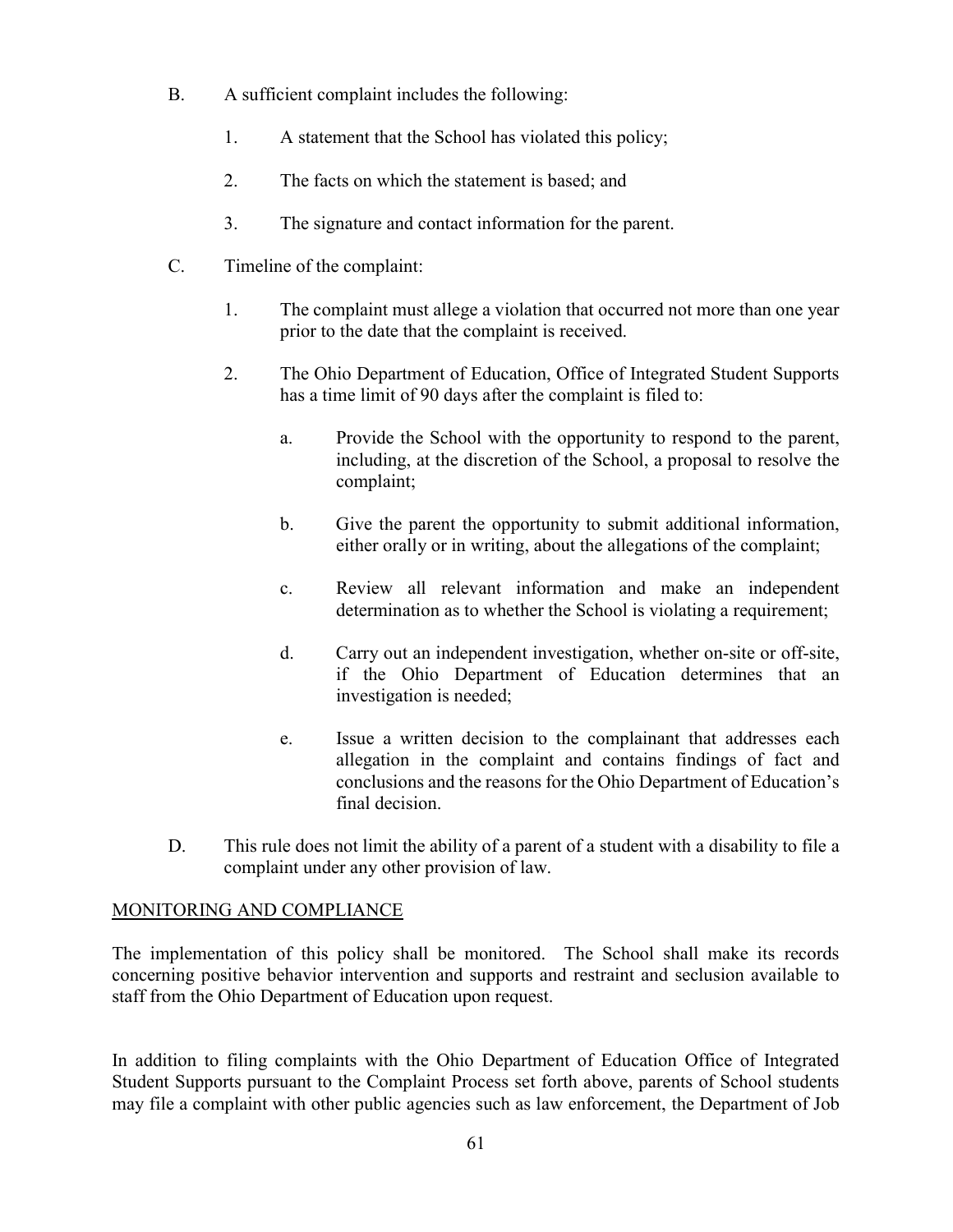- B. A sufficient complaint includes the following:
	- 1. A statement that the School has violated this policy;
	- 2. The facts on which the statement is based; and
	- 3. The signature and contact information for the parent.
- C. Timeline of the complaint:
	- 1. The complaint must allege a violation that occurred not more than one year prior to the date that the complaint is received.
	- 2. The Ohio Department of Education, Office of Integrated Student Supports has a time limit of 90 days after the complaint is filed to:
		- a. Provide the School with the opportunity to respond to the parent, including, at the discretion of the School, a proposal to resolve the complaint;
		- b. Give the parent the opportunity to submit additional information, either orally or in writing, about the allegations of the complaint;
		- c. Review all relevant information and make an independent determination as to whether the School is violating a requirement;
		- d. Carry out an independent investigation, whether on-site or off-site, if the Ohio Department of Education determines that an investigation is needed;
		- e. Issue a written decision to the complainant that addresses each allegation in the complaint and contains findings of fact and conclusions and the reasons for the Ohio Department of Education's final decision.
- D. This rule does not limit the ability of a parent of a student with a disability to file a complaint under any other provision of law.

## MONITORING AND COMPLIANCE

The implementation of this policy shall be monitored. The School shall make its records concerning positive behavior intervention and supports and restraint and seclusion available to staff from the Ohio Department of Education upon request.

In addition to filing complaints with the Ohio Department of Education Office of Integrated Student Supports pursuant to the Complaint Process set forth above, parents of School students may file a complaint with other public agencies such as law enforcement, the Department of Job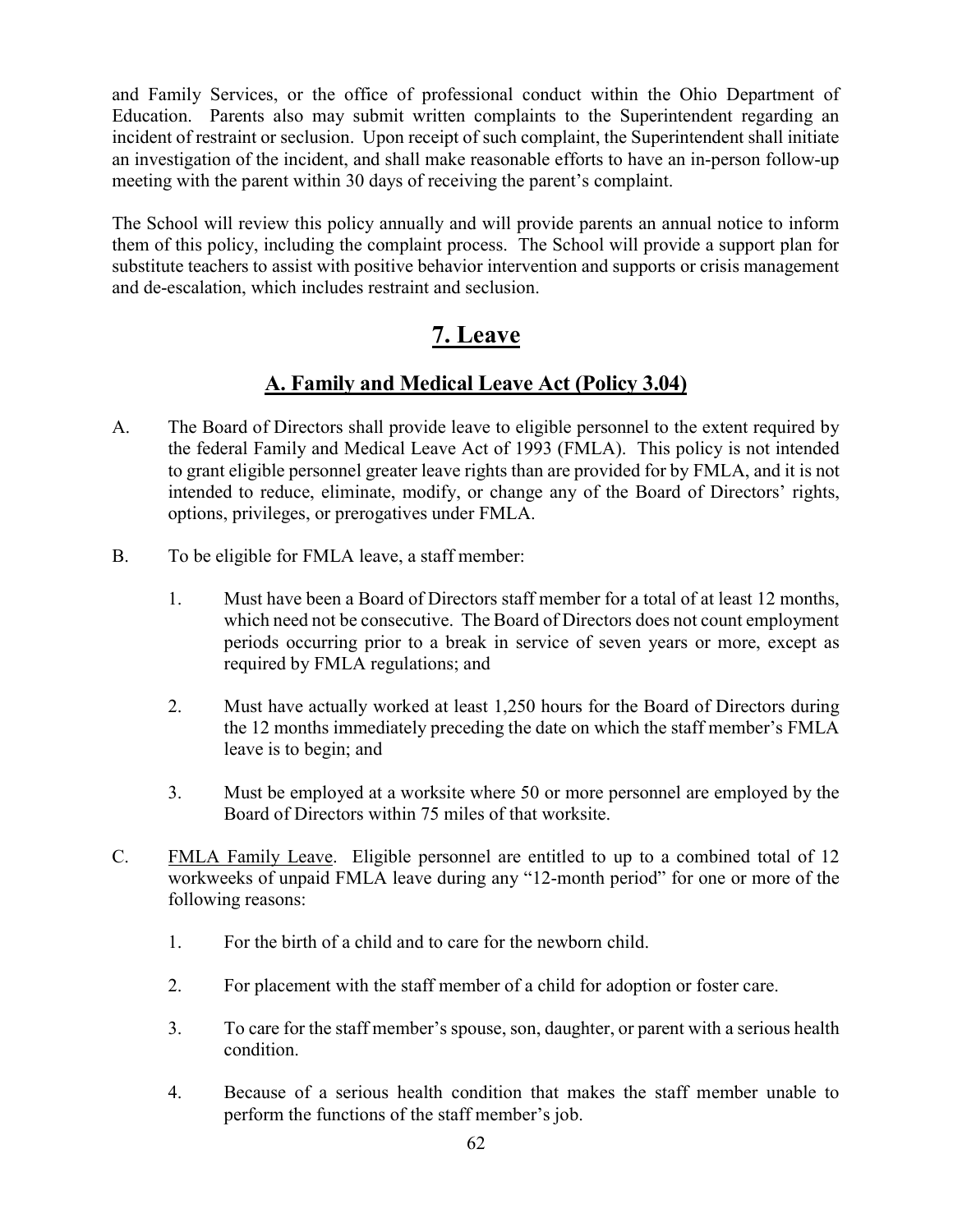and Family Services, or the office of professional conduct within the Ohio Department of Education. Parents also may submit written complaints to the Superintendent regarding an incident of restraint or seclusion. Upon receipt of such complaint, the Superintendent shall initiate an investigation of the incident, and shall make reasonable efforts to have an in-person follow-up meeting with the parent within 30 days of receiving the parent's complaint.

The School will review this policy annually and will provide parents an annual notice to inform them of this policy, including the complaint process. The School will provide a support plan for substitute teachers to assist with positive behavior intervention and supports or crisis management and de-escalation, which includes restraint and seclusion.

# 7. Leave

# A. Family and Medical Leave Act (Policy 3.04)

- A. The Board of Directors shall provide leave to eligible personnel to the extent required by the federal Family and Medical Leave Act of 1993 (FMLA). This policy is not intended to grant eligible personnel greater leave rights than are provided for by FMLA, and it is not intended to reduce, eliminate, modify, or change any of the Board of Directors' rights, options, privileges, or prerogatives under FMLA.
- B. To be eligible for FMLA leave, a staff member:
	- 1. Must have been a Board of Directors staff member for a total of at least 12 months, which need not be consecutive. The Board of Directors does not count employment periods occurring prior to a break in service of seven years or more, except as required by FMLA regulations; and
	- 2. Must have actually worked at least 1,250 hours for the Board of Directors during the 12 months immediately preceding the date on which the staff member's FMLA leave is to begin; and
	- 3. Must be employed at a worksite where 50 or more personnel are employed by the Board of Directors within 75 miles of that worksite.
- C. FMLA Family Leave. Eligible personnel are entitled to up to a combined total of 12 workweeks of unpaid FMLA leave during any "12-month period" for one or more of the following reasons:
	- 1. For the birth of a child and to care for the newborn child.
	- 2. For placement with the staff member of a child for adoption or foster care.
	- 3. To care for the staff member's spouse, son, daughter, or parent with a serious health condition.
	- 4. Because of a serious health condition that makes the staff member unable to perform the functions of the staff member's job.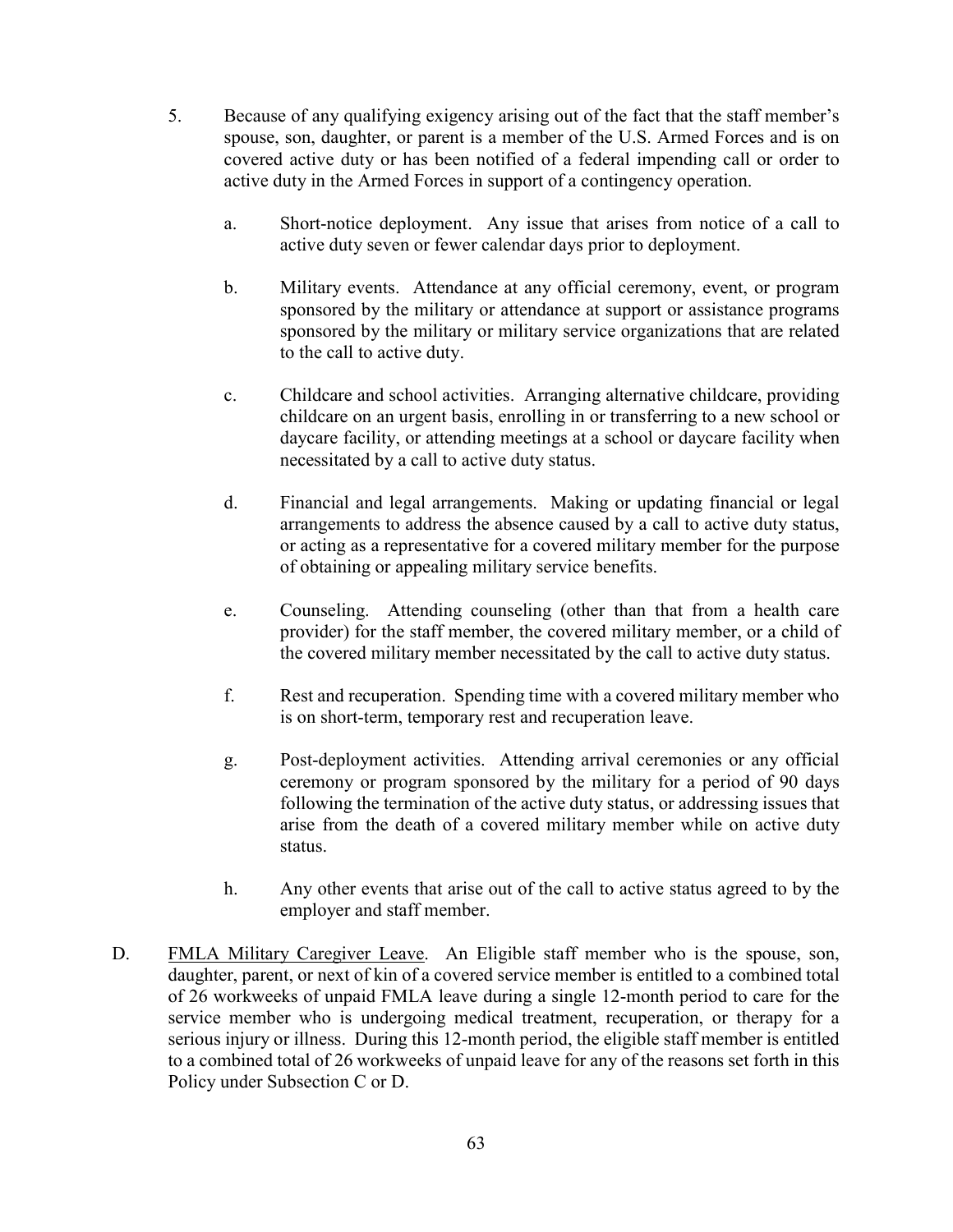- 5. Because of any qualifying exigency arising out of the fact that the staff member's spouse, son, daughter, or parent is a member of the U.S. Armed Forces and is on covered active duty or has been notified of a federal impending call or order to active duty in the Armed Forces in support of a contingency operation.
	- a. Short-notice deployment. Any issue that arises from notice of a call to active duty seven or fewer calendar days prior to deployment.
	- b. Military events. Attendance at any official ceremony, event, or program sponsored by the military or attendance at support or assistance programs sponsored by the military or military service organizations that are related to the call to active duty.
	- c. Childcare and school activities. Arranging alternative childcare, providing childcare on an urgent basis, enrolling in or transferring to a new school or daycare facility, or attending meetings at a school or daycare facility when necessitated by a call to active duty status.
	- d. Financial and legal arrangements. Making or updating financial or legal arrangements to address the absence caused by a call to active duty status, or acting as a representative for a covered military member for the purpose of obtaining or appealing military service benefits.
	- e. Counseling. Attending counseling (other than that from a health care provider) for the staff member, the covered military member, or a child of the covered military member necessitated by the call to active duty status.
	- f. Rest and recuperation. Spending time with a covered military member who is on short-term, temporary rest and recuperation leave.
	- g. Post-deployment activities. Attending arrival ceremonies or any official ceremony or program sponsored by the military for a period of 90 days following the termination of the active duty status, or addressing issues that arise from the death of a covered military member while on active duty status.
	- h. Any other events that arise out of the call to active status agreed to by the employer and staff member.
- D. FMLA Military Caregiver Leave. An Eligible staff member who is the spouse, son, daughter, parent, or next of kin of a covered service member is entitled to a combined total of 26 workweeks of unpaid FMLA leave during a single 12-month period to care for the service member who is undergoing medical treatment, recuperation, or therapy for a serious injury or illness. During this 12-month period, the eligible staff member is entitled to a combined total of 26 workweeks of unpaid leave for any of the reasons set forth in this Policy under Subsection C or D.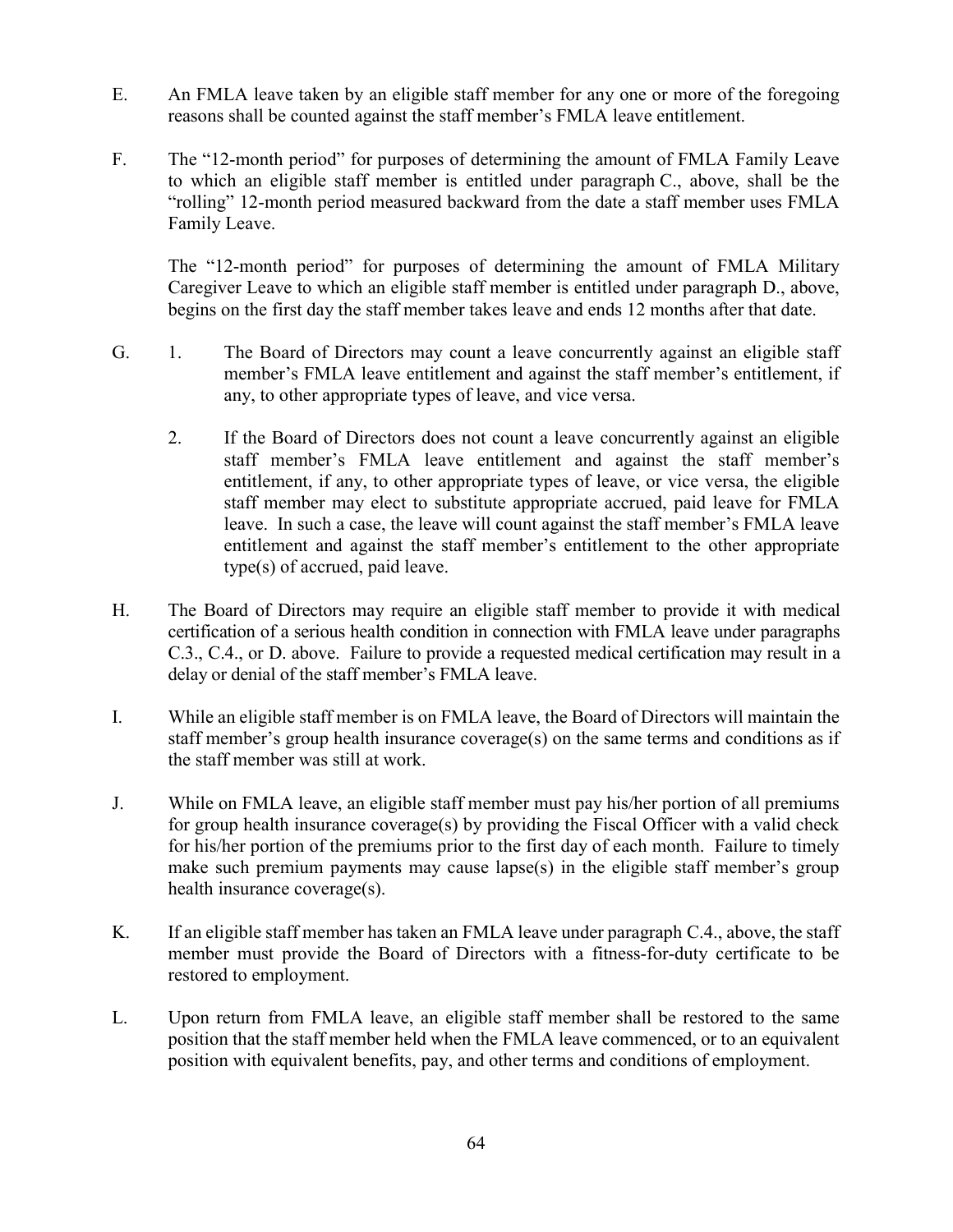- E. An FMLA leave taken by an eligible staff member for any one or more of the foregoing reasons shall be counted against the staff member's FMLA leave entitlement.
- F. The "12-month period" for purposes of determining the amount of FMLA Family Leave to which an eligible staff member is entitled under paragraph C., above, shall be the "rolling" 12-month period measured backward from the date a staff member uses FMLA Family Leave.

The "12-month period" for purposes of determining the amount of FMLA Military Caregiver Leave to which an eligible staff member is entitled under paragraph D., above, begins on the first day the staff member takes leave and ends 12 months after that date.

- G. 1. The Board of Directors may count a leave concurrently against an eligible staff member's FMLA leave entitlement and against the staff member's entitlement, if any, to other appropriate types of leave, and vice versa.
	- 2. If the Board of Directors does not count a leave concurrently against an eligible staff member's FMLA leave entitlement and against the staff member's entitlement, if any, to other appropriate types of leave, or vice versa, the eligible staff member may elect to substitute appropriate accrued, paid leave for FMLA leave. In such a case, the leave will count against the staff member's FMLA leave entitlement and against the staff member's entitlement to the other appropriate type(s) of accrued, paid leave.
- H. The Board of Directors may require an eligible staff member to provide it with medical certification of a serious health condition in connection with FMLA leave under paragraphs C.3., C.4., or D. above. Failure to provide a requested medical certification may result in a delay or denial of the staff member's FMLA leave.
- I. While an eligible staff member is on FMLA leave, the Board of Directors will maintain the staff member's group health insurance coverage(s) on the same terms and conditions as if the staff member was still at work.
- J. While on FMLA leave, an eligible staff member must pay his/her portion of all premiums for group health insurance coverage(s) by providing the Fiscal Officer with a valid check for his/her portion of the premiums prior to the first day of each month. Failure to timely make such premium payments may cause lapse(s) in the eligible staff member's group health insurance coverage(s).
- K. If an eligible staff member has taken an FMLA leave under paragraph C.4., above, the staff member must provide the Board of Directors with a fitness-for-duty certificate to be restored to employment.
- L. Upon return from FMLA leave, an eligible staff member shall be restored to the same position that the staff member held when the FMLA leave commenced, or to an equivalent position with equivalent benefits, pay, and other terms and conditions of employment.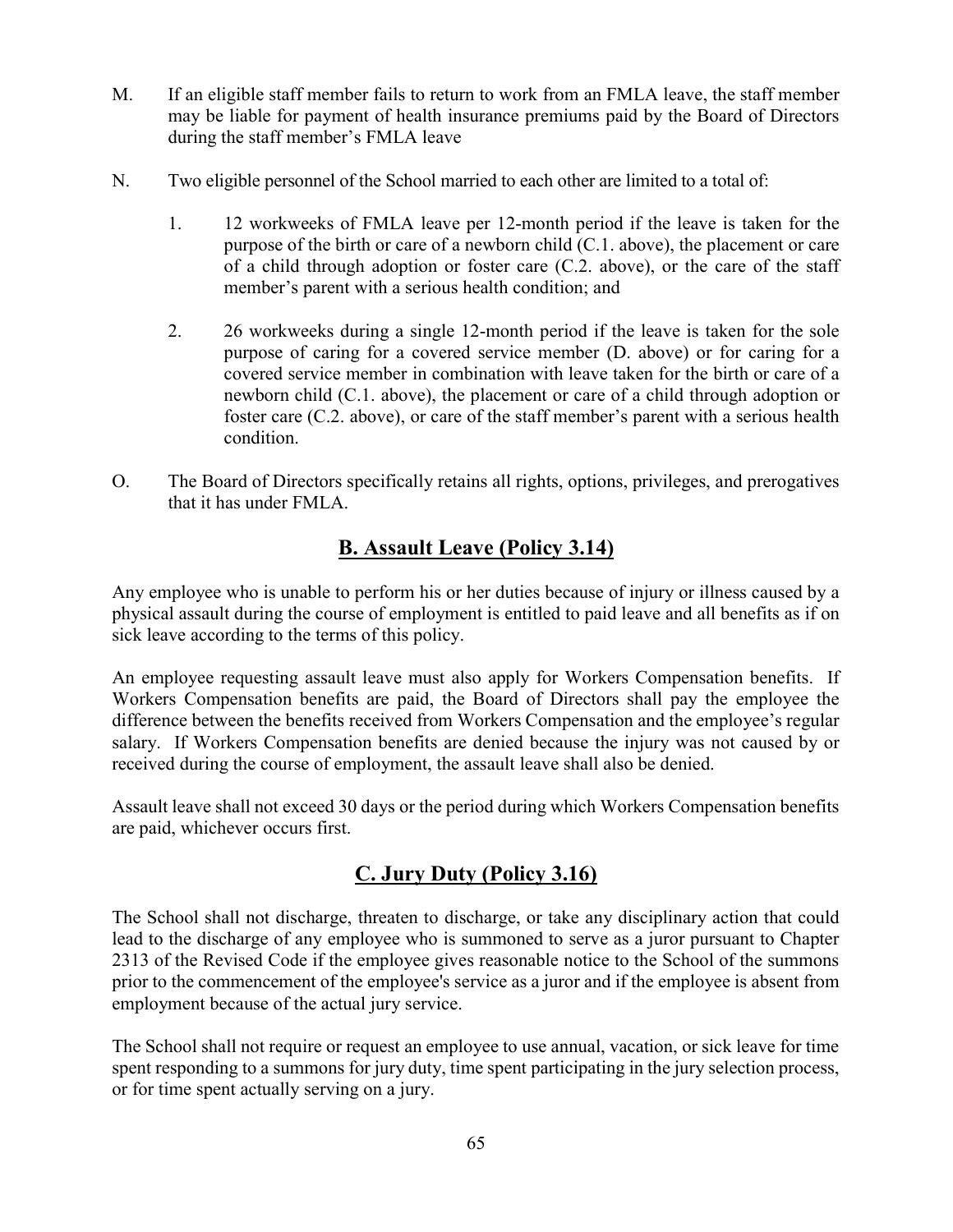- M. If an eligible staff member fails to return to work from an FMLA leave, the staff member may be liable for payment of health insurance premiums paid by the Board of Directors during the staff member's FMLA leave
- N. Two eligible personnel of the School married to each other are limited to a total of:
	- 1. 12 workweeks of FMLA leave per 12-month period if the leave is taken for the purpose of the birth or care of a newborn child (C.1. above), the placement or care of a child through adoption or foster care (C.2. above), or the care of the staff member's parent with a serious health condition; and
	- 2. 26 workweeks during a single 12-month period if the leave is taken for the sole purpose of caring for a covered service member (D. above) or for caring for a covered service member in combination with leave taken for the birth or care of a newborn child (C.1. above), the placement or care of a child through adoption or foster care (C.2. above), or care of the staff member's parent with a serious health condition.
- O. The Board of Directors specifically retains all rights, options, privileges, and prerogatives that it has under FMLA.

## B. Assault Leave (Policy 3.14)

Any employee who is unable to perform his or her duties because of injury or illness caused by a physical assault during the course of employment is entitled to paid leave and all benefits as if on sick leave according to the terms of this policy.

An employee requesting assault leave must also apply for Workers Compensation benefits. If Workers Compensation benefits are paid, the Board of Directors shall pay the employee the difference between the benefits received from Workers Compensation and the employee's regular salary. If Workers Compensation benefits are denied because the injury was not caused by or received during the course of employment, the assault leave shall also be denied.

Assault leave shall not exceed 30 days or the period during which Workers Compensation benefits are paid, whichever occurs first.

# C. Jury Duty (Policy 3.16)

The School shall not discharge, threaten to discharge, or take any disciplinary action that could lead to the discharge of any employee who is summoned to serve as a juror pursuant to Chapter 2313 of the Revised Code if the employee gives reasonable notice to the School of the summons prior to the commencement of the employee's service as a juror and if the employee is absent from employment because of the actual jury service.

The School shall not require or request an employee to use annual, vacation, or sick leave for time spent responding to a summons for jury duty, time spent participating in the jury selection process, or for time spent actually serving on a jury.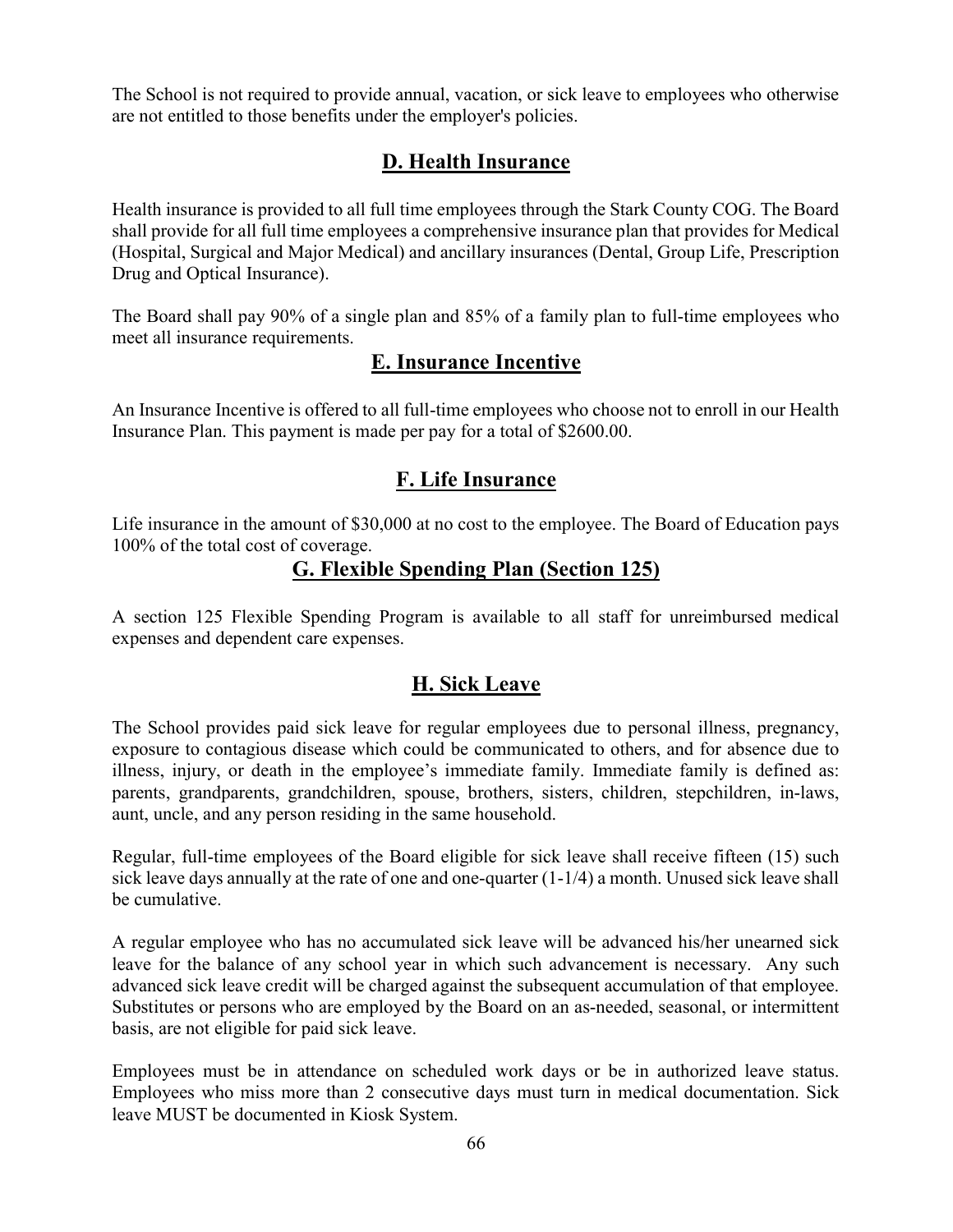The School is not required to provide annual, vacation, or sick leave to employees who otherwise are not entitled to those benefits under the employer's policies.

# D. Health Insurance

Health insurance is provided to all full time employees through the Stark County COG. The Board shall provide for all full time employees a comprehensive insurance plan that provides for Medical (Hospital, Surgical and Major Medical) and ancillary insurances (Dental, Group Life, Prescription Drug and Optical Insurance).

The Board shall pay 90% of a single plan and 85% of a family plan to full-time employees who meet all insurance requirements.

## E. Insurance Incentive

An Insurance Incentive is offered to all full-time employees who choose not to enroll in our Health Insurance Plan. This payment is made per pay for a total of \$2600.00.

## F. Life Insurance

Life insurance in the amount of \$30,000 at no cost to the employee. The Board of Education pays 100% of the total cost of coverage.

## G. Flexible Spending Plan (Section 125)

A section 125 Flexible Spending Program is available to all staff for unreimbursed medical expenses and dependent care expenses.

## H. Sick Leave

The School provides paid sick leave for regular employees due to personal illness, pregnancy, exposure to contagious disease which could be communicated to others, and for absence due to illness, injury, or death in the employee's immediate family. Immediate family is defined as: parents, grandparents, grandchildren, spouse, brothers, sisters, children, stepchildren, in-laws, aunt, uncle, and any person residing in the same household.

Regular, full-time employees of the Board eligible for sick leave shall receive fifteen (15) such sick leave days annually at the rate of one and one-quarter  $(1-1/4)$  a month. Unused sick leave shall be cumulative.

A regular employee who has no accumulated sick leave will be advanced his/her unearned sick leave for the balance of any school year in which such advancement is necessary. Any such advanced sick leave credit will be charged against the subsequent accumulation of that employee. Substitutes or persons who are employed by the Board on an as-needed, seasonal, or intermittent basis, are not eligible for paid sick leave.

Employees must be in attendance on scheduled work days or be in authorized leave status. Employees who miss more than 2 consecutive days must turn in medical documentation. Sick leave MUST be documented in Kiosk System.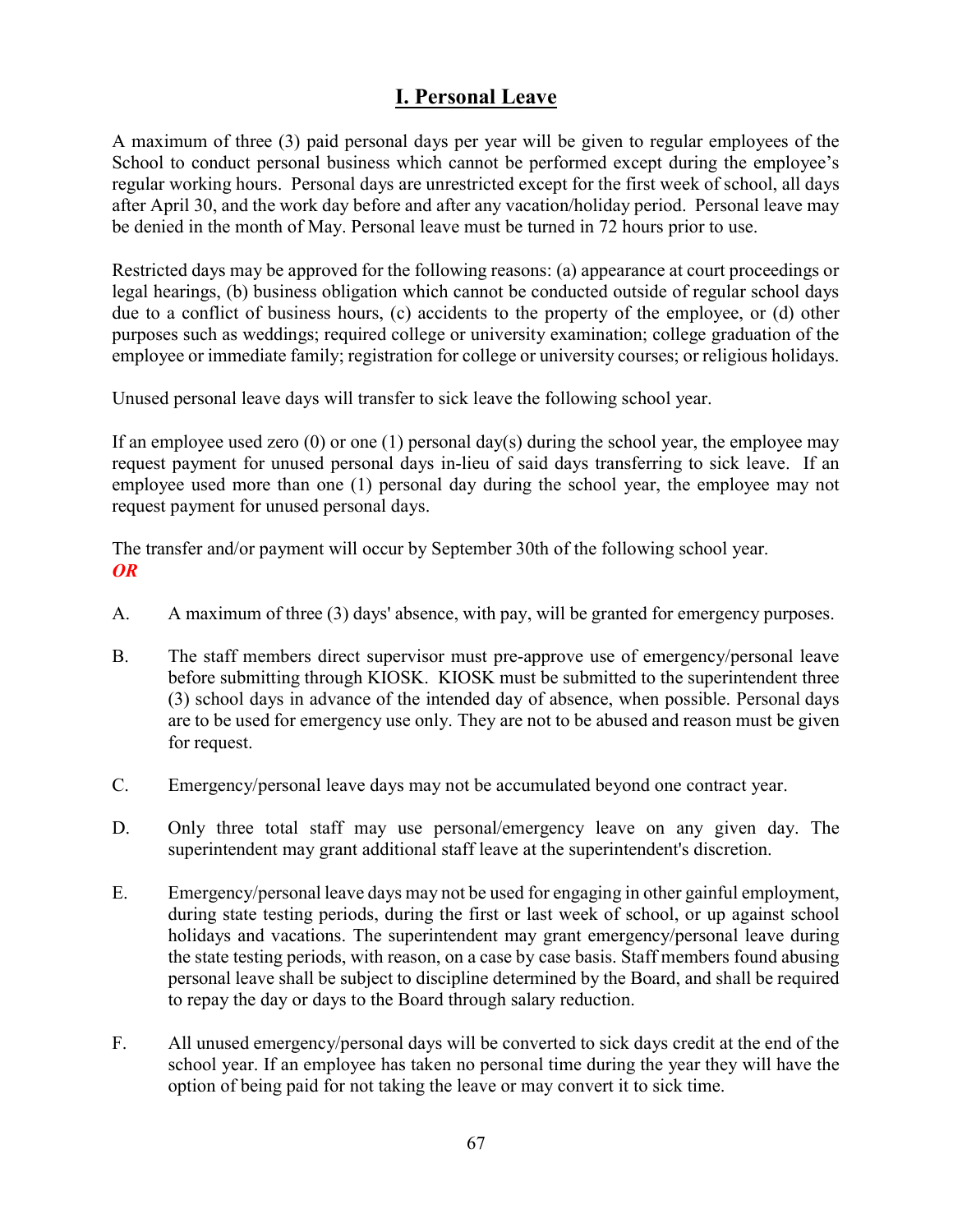# I. Personal Leave

A maximum of three (3) paid personal days per year will be given to regular employees of the School to conduct personal business which cannot be performed except during the employee's regular working hours. Personal days are unrestricted except for the first week of school, all days after April 30, and the work day before and after any vacation/holiday period. Personal leave may be denied in the month of May. Personal leave must be turned in 72 hours prior to use.

Restricted days may be approved for the following reasons: (a) appearance at court proceedings or legal hearings, (b) business obligation which cannot be conducted outside of regular school days due to a conflict of business hours, (c) accidents to the property of the employee, or (d) other purposes such as weddings; required college or university examination; college graduation of the employee or immediate family; registration for college or university courses; or religious holidays.

Unused personal leave days will transfer to sick leave the following school year.

If an employee used zero (0) or one (1) personal day(s) during the school year, the employee may request payment for unused personal days in-lieu of said days transferring to sick leave. If an employee used more than one (1) personal day during the school year, the employee may not request payment for unused personal days.

The transfer and/or payment will occur by September 30th of the following school year. OR

- A. A maximum of three (3) days' absence, with pay, will be granted for emergency purposes.
- B. The staff members direct supervisor must pre-approve use of emergency/personal leave before submitting through KIOSK. KIOSK must be submitted to the superintendent three (3) school days in advance of the intended day of absence, when possible. Personal days are to be used for emergency use only. They are not to be abused and reason must be given for request.
- C. Emergency/personal leave days may not be accumulated beyond one contract year.
- D. Only three total staff may use personal/emergency leave on any given day. The superintendent may grant additional staff leave at the superintendent's discretion.
- E. Emergency/personal leave days may not be used for engaging in other gainful employment, during state testing periods, during the first or last week of school, or up against school holidays and vacations. The superintendent may grant emergency/personal leave during the state testing periods, with reason, on a case by case basis. Staff members found abusing personal leave shall be subject to discipline determined by the Board, and shall be required to repay the day or days to the Board through salary reduction.
- F. All unused emergency/personal days will be converted to sick days credit at the end of the school year. If an employee has taken no personal time during the year they will have the option of being paid for not taking the leave or may convert it to sick time.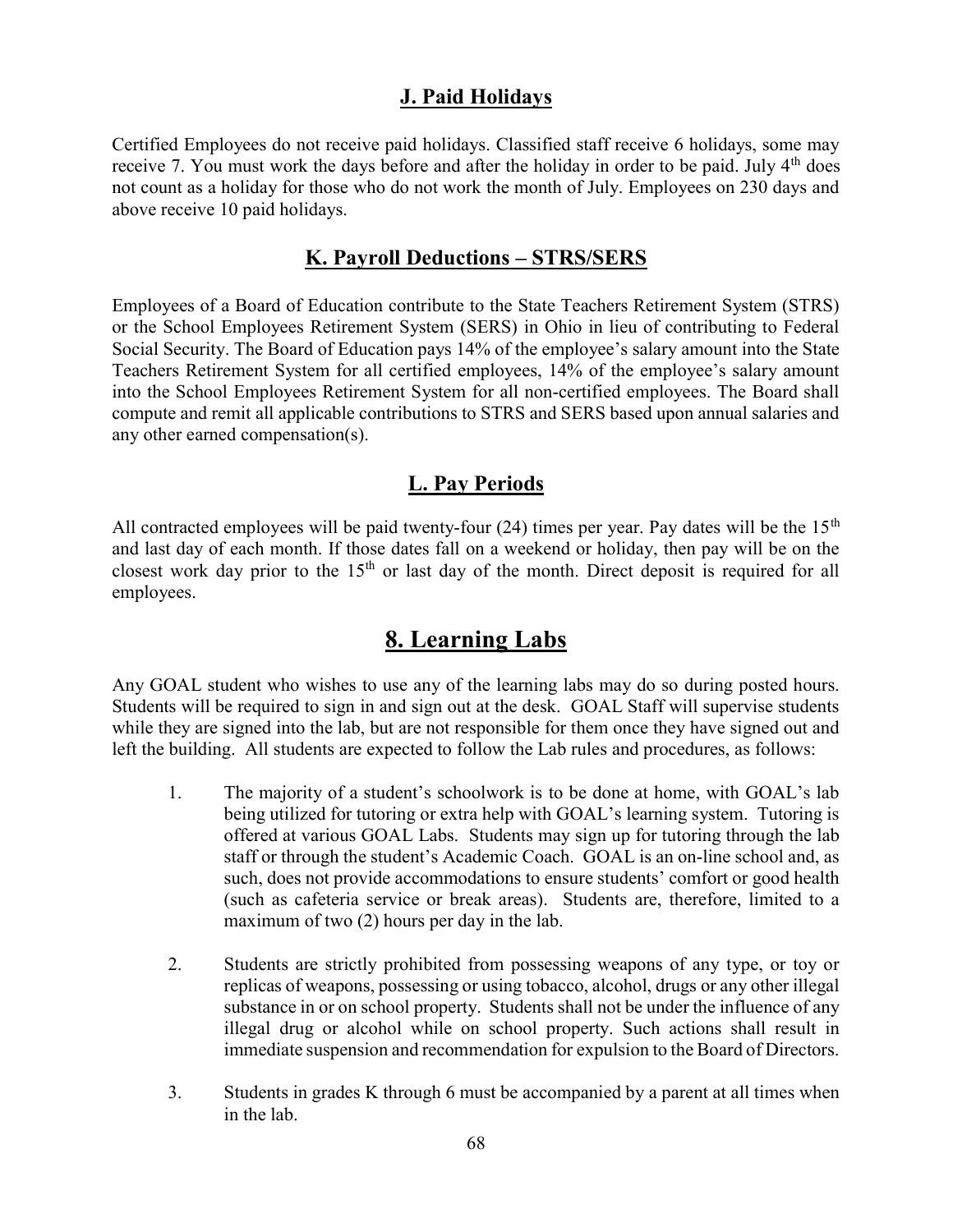## J. Paid Holidays

Certified Employees do not receive paid holidays. Classified staff receive 6 holidays, some may receive 7. You must work the days before and after the holiday in order to be paid. July  $4<sup>th</sup>$  does not count as a holiday for those who do not work the month of July. Employees on 230 days and above receive 10 paid holidays.

## K. Payroll Deductions – STRS/SERS

Employees of a Board of Education contribute to the State Teachers Retirement System (STRS) or the School Employees Retirement System (SERS) in Ohio in lieu of contributing to Federal Social Security. The Board of Education pays 14% of the employee's salary amount into the State Teachers Retirement System for all certified employees, 14% of the employee's salary amount into the School Employees Retirement System for all non-certified employees. The Board shall compute and remit all applicable contributions to STRS and SERS based upon annual salaries and any other earned compensation(s).

## L. Pay Periods

All contracted employees will be paid twenty-four (24) times per year. Pay dates will be the  $15<sup>th</sup>$ and last day of each month. If those dates fall on a weekend or holiday, then pay will be on the closest work day prior to the  $15<sup>th</sup>$  or last day of the month. Direct deposit is required for all employees.

# 8. Learning Labs

Any GOAL student who wishes to use any of the learning labs may do so during posted hours. Students will be required to sign in and sign out at the desk. GOAL Staff will supervise students while they are signed into the lab, but are not responsible for them once they have signed out and left the building. All students are expected to follow the Lab rules and procedures, as follows:

- 1. The majority of a student's schoolwork is to be done at home, with GOAL's lab being utilized for tutoring or extra help with GOAL's learning system. Tutoring is offered at various GOAL Labs. Students may sign up for tutoring through the lab staff or through the student's Academic Coach. GOAL is an on-line school and, as such, does not provide accommodations to ensure students' comfort or good health (such as cafeteria service or break areas). Students are, therefore, limited to a maximum of two (2) hours per day in the lab.
- 2. Students are strictly prohibited from possessing weapons of any type, or toy or replicas of weapons, possessing or using tobacco, alcohol, drugs or any other illegal substance in or on school property. Students shall not be under the influence of any illegal drug or alcohol while on school property. Such actions shall result in immediate suspension and recommendation for expulsion to the Board of Directors.
- 3. Students in grades K through 6 must be accompanied by a parent at all times when in the lab.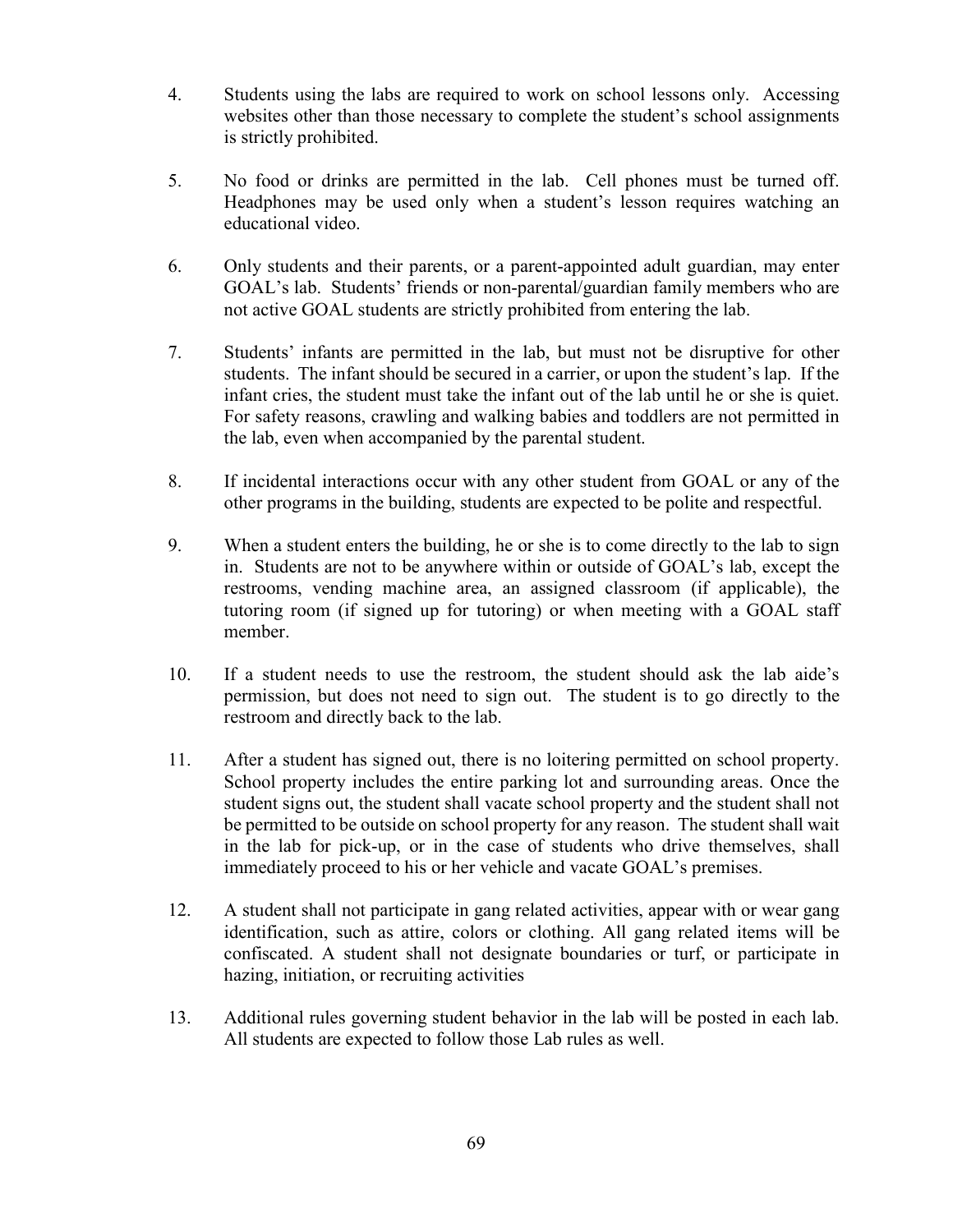- 4. Students using the labs are required to work on school lessons only. Accessing websites other than those necessary to complete the student's school assignments is strictly prohibited.
- 5. No food or drinks are permitted in the lab. Cell phones must be turned off. Headphones may be used only when a student's lesson requires watching an educational video.
- 6. Only students and their parents, or a parent-appointed adult guardian, may enter GOAL's lab. Students' friends or non-parental/guardian family members who are not active GOAL students are strictly prohibited from entering the lab.
- 7. Students' infants are permitted in the lab, but must not be disruptive for other students. The infant should be secured in a carrier, or upon the student's lap. If the infant cries, the student must take the infant out of the lab until he or she is quiet. For safety reasons, crawling and walking babies and toddlers are not permitted in the lab, even when accompanied by the parental student.
- 8. If incidental interactions occur with any other student from GOAL or any of the other programs in the building, students are expected to be polite and respectful.
- 9. When a student enters the building, he or she is to come directly to the lab to sign in. Students are not to be anywhere within or outside of GOAL's lab, except the restrooms, vending machine area, an assigned classroom (if applicable), the tutoring room (if signed up for tutoring) or when meeting with a GOAL staff member.
- 10. If a student needs to use the restroom, the student should ask the lab aide's permission, but does not need to sign out. The student is to go directly to the restroom and directly back to the lab.
- 11. After a student has signed out, there is no loitering permitted on school property. School property includes the entire parking lot and surrounding areas. Once the student signs out, the student shall vacate school property and the student shall not be permitted to be outside on school property for any reason. The student shall wait in the lab for pick-up, or in the case of students who drive themselves, shall immediately proceed to his or her vehicle and vacate GOAL's premises.
- 12. A student shall not participate in gang related activities, appear with or wear gang identification, such as attire, colors or clothing. All gang related items will be confiscated. A student shall not designate boundaries or turf, or participate in hazing, initiation, or recruiting activities
- 13. Additional rules governing student behavior in the lab will be posted in each lab. All students are expected to follow those Lab rules as well.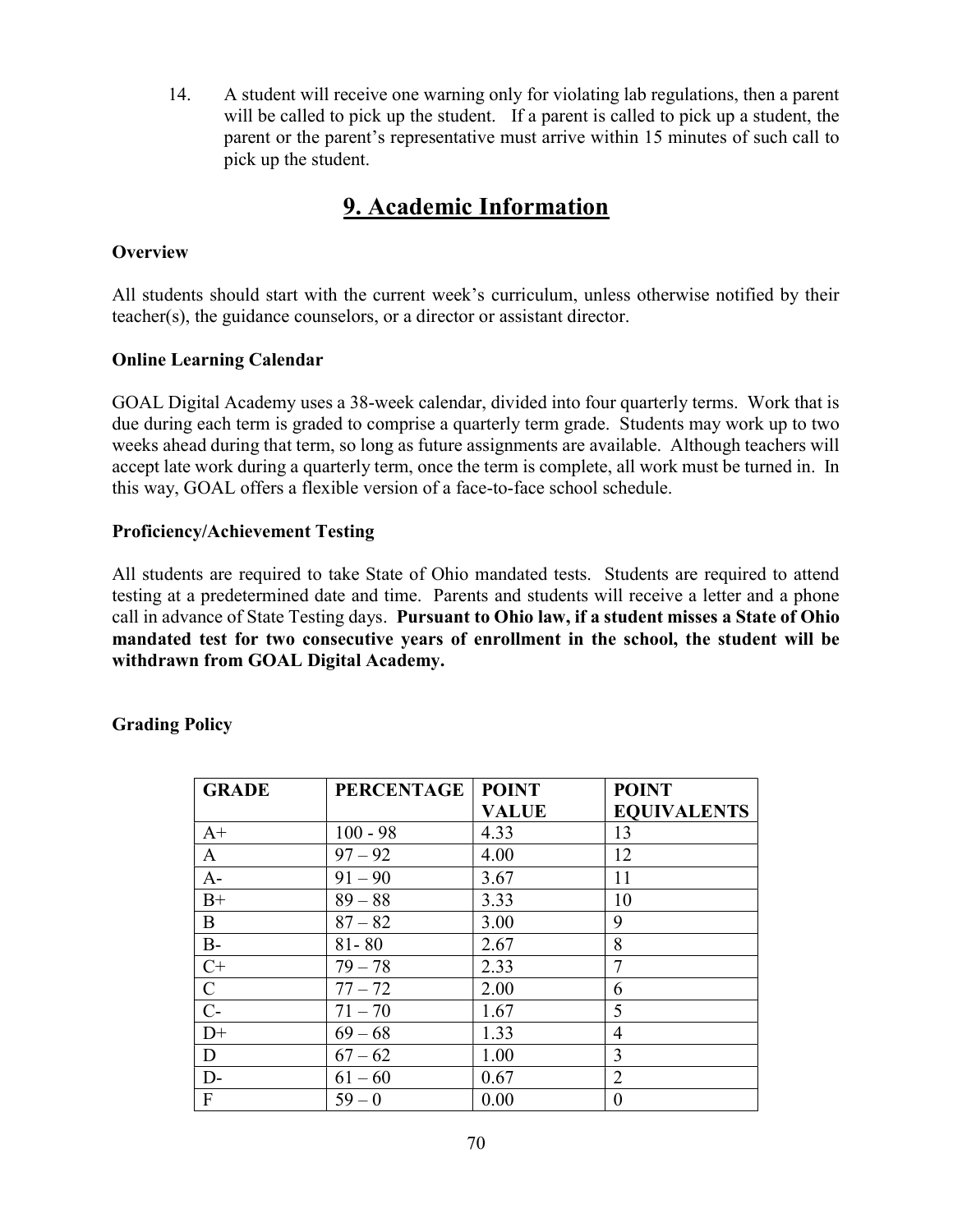14. A student will receive one warning only for violating lab regulations, then a parent will be called to pick up the student. If a parent is called to pick up a student, the parent or the parent's representative must arrive within 15 minutes of such call to pick up the student.

# 9. Academic Information

### **Overview**

All students should start with the current week's curriculum, unless otherwise notified by their teacher(s), the guidance counselors, or a director or assistant director.

### Online Learning Calendar

GOAL Digital Academy uses a 38-week calendar, divided into four quarterly terms. Work that is due during each term is graded to comprise a quarterly term grade. Students may work up to two weeks ahead during that term, so long as future assignments are available. Although teachers will accept late work during a quarterly term, once the term is complete, all work must be turned in. In this way, GOAL offers a flexible version of a face-to-face school schedule.

### Proficiency/Achievement Testing

All students are required to take State of Ohio mandated tests. Students are required to attend testing at a predetermined date and time. Parents and students will receive a letter and a phone call in advance of State Testing days. Pursuant to Ohio law, if a student misses a State of Ohio mandated test for two consecutive years of enrollment in the school, the student will be withdrawn from GOAL Digital Academy.

| <b>GRADE</b>   | <b>PERCENTAGE</b> | <b>POINT</b> | <b>POINT</b>       |
|----------------|-------------------|--------------|--------------------|
|                |                   | <b>VALUE</b> | <b>EQUIVALENTS</b> |
| $A+$           | $100 - 98$        | 4.33         | 13                 |
| A              | $97 - 92$         | 4.00         | 12                 |
| $A-$           | $91 - 90$         | 3.67         | 11                 |
| $B+$           | $89 - 88$         | 3.33         | 10                 |
| B              | $87 - 82$         | 3.00         | 9                  |
| $B-$           | $81 - 80$         | 2.67         | 8                  |
| $C+$           | $79 - 78$         | 2.33         | $\overline{7}$     |
| $\mathbf C$    | $77 - 72$         | 2.00         | 6                  |
| $\overline{C}$ | $71 - 70$         | 1.67         | 5                  |
| $D+$           | $69 - 68$         | 1.33         | 4                  |
| D              | $67 - 62$         | 1.00         | 3                  |
| $D-$           | $61 - 60$         | 0.67         | $\overline{2}$     |
| $\mathbf{F}$   | $59 - 0$          | 0.00         | $\theta$           |

Grading Policy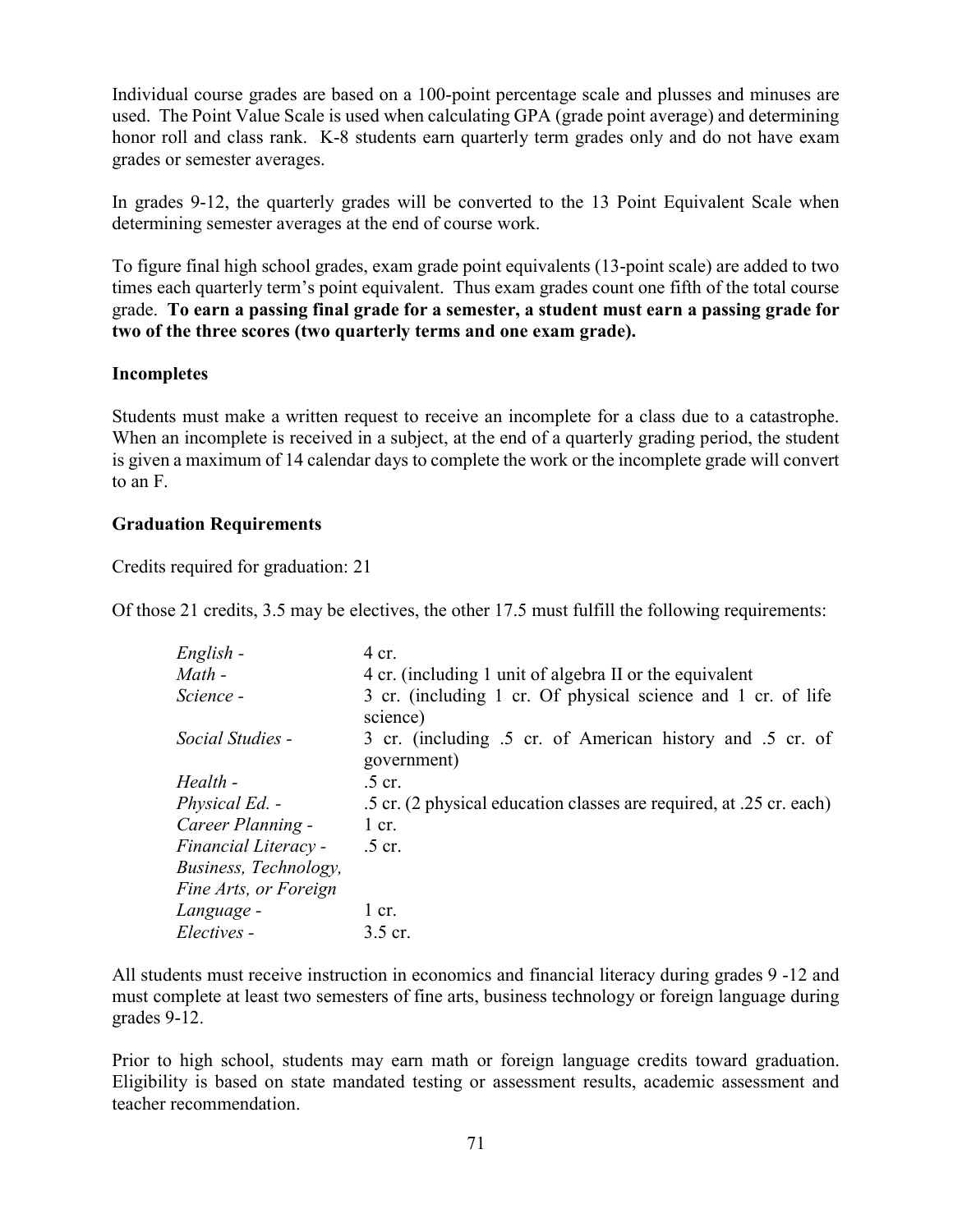Individual course grades are based on a 100-point percentage scale and plusses and minuses are used. The Point Value Scale is used when calculating GPA (grade point average) and determining honor roll and class rank. K-8 students earn quarterly term grades only and do not have exam grades or semester averages.

In grades 9-12, the quarterly grades will be converted to the 13 Point Equivalent Scale when determining semester averages at the end of course work.

To figure final high school grades, exam grade point equivalents (13-point scale) are added to two times each quarterly term's point equivalent. Thus exam grades count one fifth of the total course grade. To earn a passing final grade for a semester, a student must earn a passing grade for two of the three scores (two quarterly terms and one exam grade).

#### Incompletes

Students must make a written request to receive an incomplete for a class due to a catastrophe. When an incomplete is received in a subject, at the end of a quarterly grading period, the student is given a maximum of 14 calendar days to complete the work or the incomplete grade will convert to an F.

#### Graduation Requirements

Credits required for graduation: 21

Of those 21 credits, 3.5 may be electives, the other 17.5 must fulfill the following requirements:

| English -             | 4 cr.                                                                    |
|-----------------------|--------------------------------------------------------------------------|
| Math -                | 4 cr. (including 1 unit of algebra II or the equivalent                  |
| Science -             | 3 cr. (including 1 cr. Of physical science and 1 cr. of life<br>science) |
| Social Studies -      | 3 cr. (including .5 cr. of American history and .5 cr. of<br>government) |
| Health -              | $.5$ cr.                                                                 |
| <i>Physical Ed.</i> - | .5 cr. (2 physical education classes are required, at .25 cr. each)      |
| Career Planning -     | $1$ cr.                                                                  |
| Financial Literacy -  | $.5$ cr.                                                                 |
| Business, Technology, |                                                                          |
| Fine Arts, or Foreign |                                                                          |
| Language -            | $1$ cr.                                                                  |
| Electives -           | 3.5 cr.                                                                  |

All students must receive instruction in economics and financial literacy during grades 9 -12 and must complete at least two semesters of fine arts, business technology or foreign language during grades 9-12.

Prior to high school, students may earn math or foreign language credits toward graduation. Eligibility is based on state mandated testing or assessment results, academic assessment and teacher recommendation.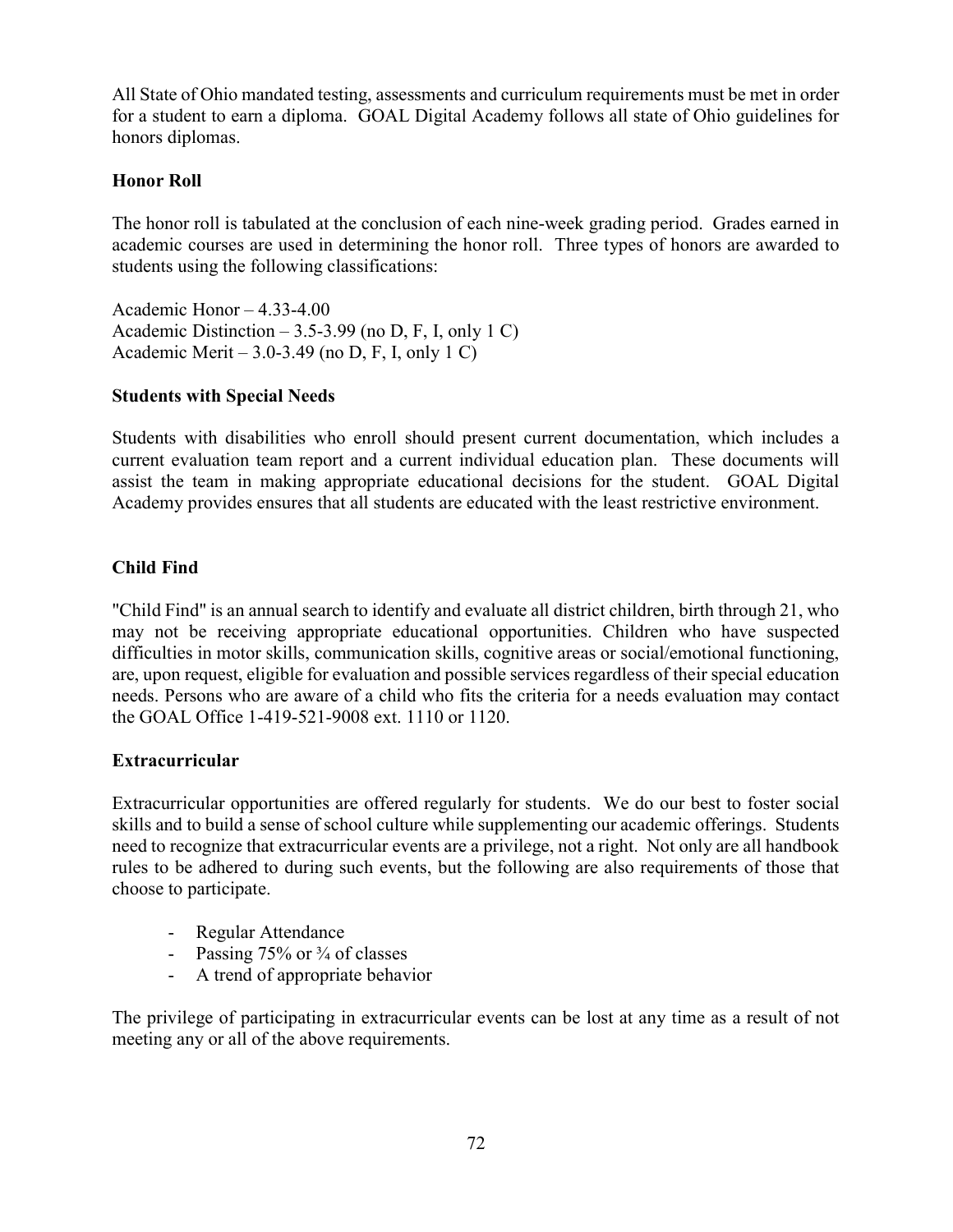All State of Ohio mandated testing, assessments and curriculum requirements must be met in order for a student to earn a diploma. GOAL Digital Academy follows all state of Ohio guidelines for honors diplomas.

### Honor Roll

The honor roll is tabulated at the conclusion of each nine-week grading period. Grades earned in academic courses are used in determining the honor roll. Three types of honors are awarded to students using the following classifications:

Academic Honor – 4.33-4.00 Academic Distinction – 3.5-3.99 (no D, F, I, only 1 C) Academic Merit – 3.0-3.49 (no D, F, I, only 1 C)

### Students with Special Needs

Students with disabilities who enroll should present current documentation, which includes a current evaluation team report and a current individual education plan. These documents will assist the team in making appropriate educational decisions for the student. GOAL Digital Academy provides ensures that all students are educated with the least restrictive environment.

## Child Find

"Child Find" is an annual search to identify and evaluate all district children, birth through 21, who may not be receiving appropriate educational opportunities. Children who have suspected difficulties in motor skills, communication skills, cognitive areas or social/emotional functioning, are, upon request, eligible for evaluation and possible services regardless of their special education needs. Persons who are aware of a child who fits the criteria for a needs evaluation may contact the GOAL Office 1-419-521-9008 ext. 1110 or 1120.

### Extracurricular

Extracurricular opportunities are offered regularly for students. We do our best to foster social skills and to build a sense of school culture while supplementing our academic offerings. Students need to recognize that extracurricular events are a privilege, not a right. Not only are all handbook rules to be adhered to during such events, but the following are also requirements of those that choose to participate.

- Regular Attendance
- Passing  $75\%$  or  $\frac{3}{4}$  of classes
- A trend of appropriate behavior

The privilege of participating in extracurricular events can be lost at any time as a result of not meeting any or all of the above requirements.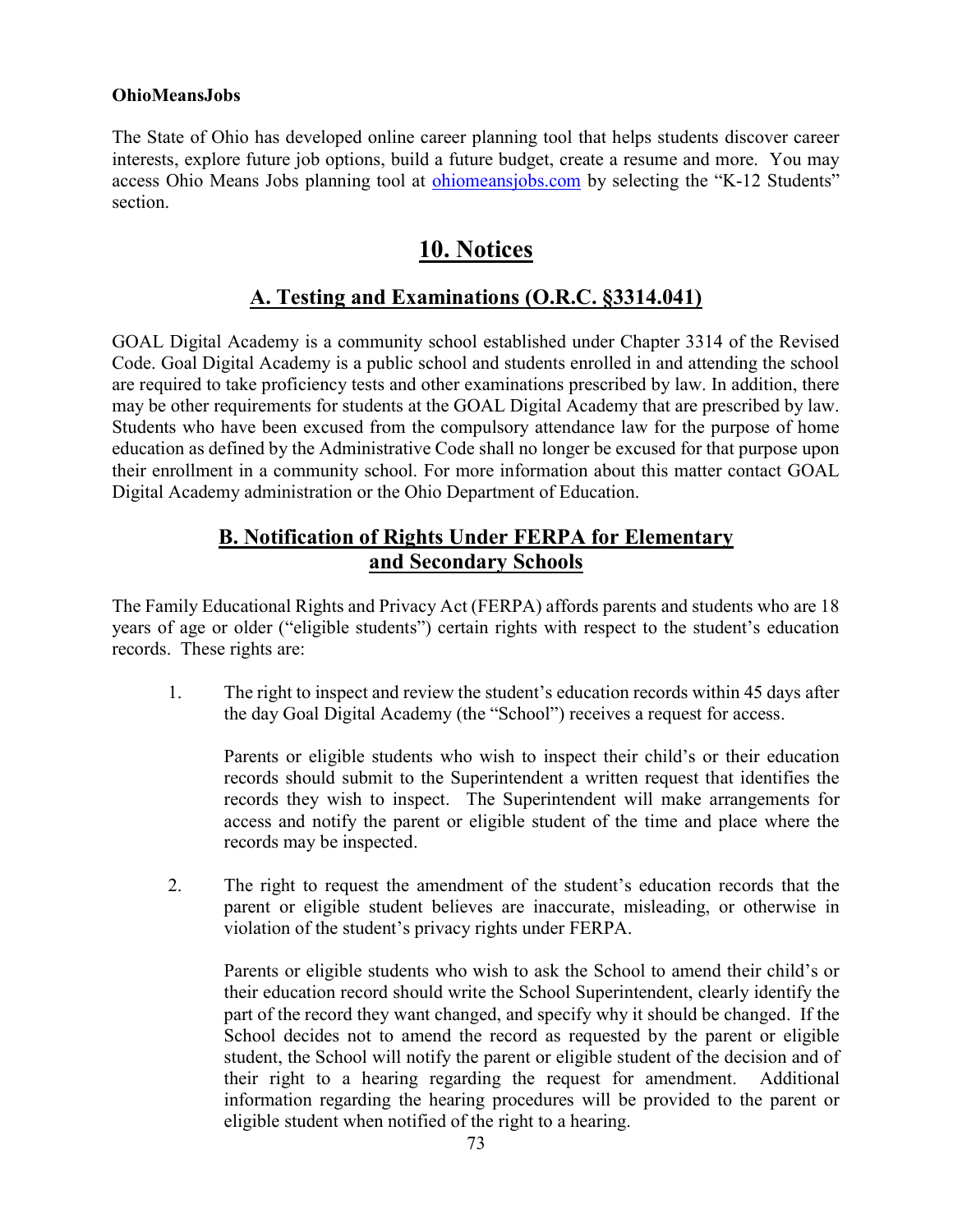### OhioMeansJobs

The State of Ohio has developed online career planning tool that helps students discover career interests, explore future job options, build a future budget, create a resume and more. You may access Ohio Means Jobs planning tool at ohiomeansjobs.com by selecting the "K-12 Students" section.

# 10. Notices

## A. Testing and Examinations (O.R.C. §3314.041)

GOAL Digital Academy is a community school established under Chapter 3314 of the Revised Code. Goal Digital Academy is a public school and students enrolled in and attending the school are required to take proficiency tests and other examinations prescribed by law. In addition, there may be other requirements for students at the GOAL Digital Academy that are prescribed by law. Students who have been excused from the compulsory attendance law for the purpose of home education as defined by the Administrative Code shall no longer be excused for that purpose upon their enrollment in a community school. For more information about this matter contact GOAL Digital Academy administration or the Ohio Department of Education.

## B. Notification of Rights Under FERPA for Elementary and Secondary Schools

The Family Educational Rights and Privacy Act (FERPA) affords parents and students who are 18 years of age or older ("eligible students") certain rights with respect to the student's education records. These rights are:

1. The right to inspect and review the student's education records within 45 days after the day Goal Digital Academy (the "School") receives a request for access.

Parents or eligible students who wish to inspect their child's or their education records should submit to the Superintendent a written request that identifies the records they wish to inspect. The Superintendent will make arrangements for access and notify the parent or eligible student of the time and place where the records may be inspected.

2. The right to request the amendment of the student's education records that the parent or eligible student believes are inaccurate, misleading, or otherwise in violation of the student's privacy rights under FERPA.

Parents or eligible students who wish to ask the School to amend their child's or their education record should write the School Superintendent, clearly identify the part of the record they want changed, and specify why it should be changed. If the School decides not to amend the record as requested by the parent or eligible student, the School will notify the parent or eligible student of the decision and of their right to a hearing regarding the request for amendment. Additional information regarding the hearing procedures will be provided to the parent or eligible student when notified of the right to a hearing.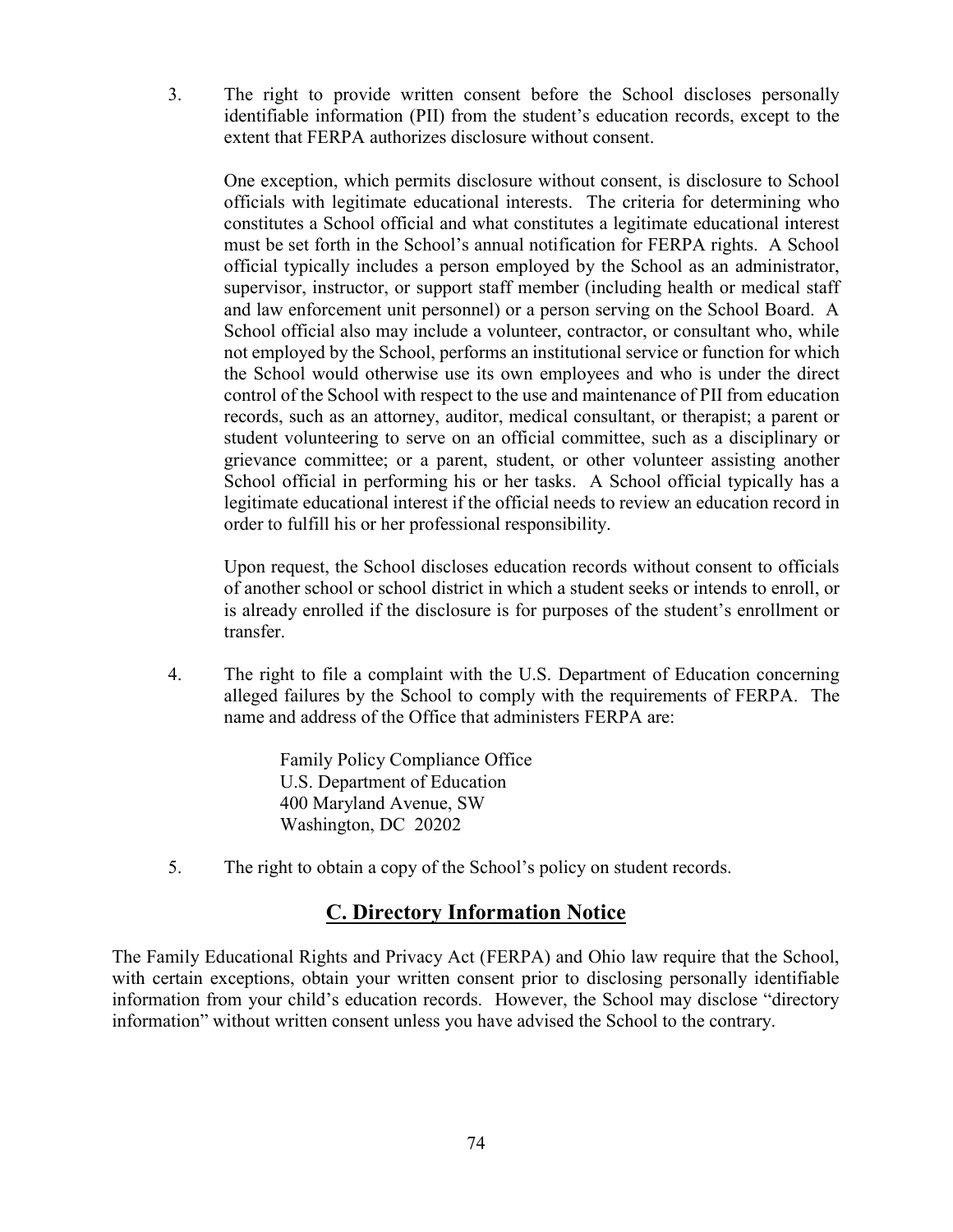3. The right to provide written consent before the School discloses personally identifiable information (PII) from the student's education records, except to the extent that FERPA authorizes disclosure without consent.

One exception, which permits disclosure without consent, is disclosure to School officials with legitimate educational interests. The criteria for determining who constitutes a School official and what constitutes a legitimate educational interest must be set forth in the School's annual notification for FERPA rights. A School official typically includes a person employed by the School as an administrator, supervisor, instructor, or support staff member (including health or medical staff and law enforcement unit personnel) or a person serving on the School Board. A School official also may include a volunteer, contractor, or consultant who, while not employed by the School, performs an institutional service or function for which the School would otherwise use its own employees and who is under the direct control of the School with respect to the use and maintenance of PII from education records, such as an attorney, auditor, medical consultant, or therapist; a parent or student volunteering to serve on an official committee, such as a disciplinary or grievance committee; or a parent, student, or other volunteer assisting another School official in performing his or her tasks. A School official typically has a legitimate educational interest if the official needs to review an education record in order to fulfill his or her professional responsibility.

Upon request, the School discloses education records without consent to officials of another school or school district in which a student seeks or intends to enroll, or is already enrolled if the disclosure is for purposes of the student's enrollment or transfer.

4. The right to file a complaint with the U.S. Department of Education concerning alleged failures by the School to comply with the requirements of FERPA. The name and address of the Office that administers FERPA are:

> Family Policy Compliance Office U.S. Department of Education 400 Maryland Avenue, SW Washington, DC 20202

5. The right to obtain a copy of the School's policy on student records.

## C. Directory Information Notice

The Family Educational Rights and Privacy Act (FERPA) and Ohio law require that the School, with certain exceptions, obtain your written consent prior to disclosing personally identifiable information from your child's education records. However, the School may disclose "directory information" without written consent unless you have advised the School to the contrary.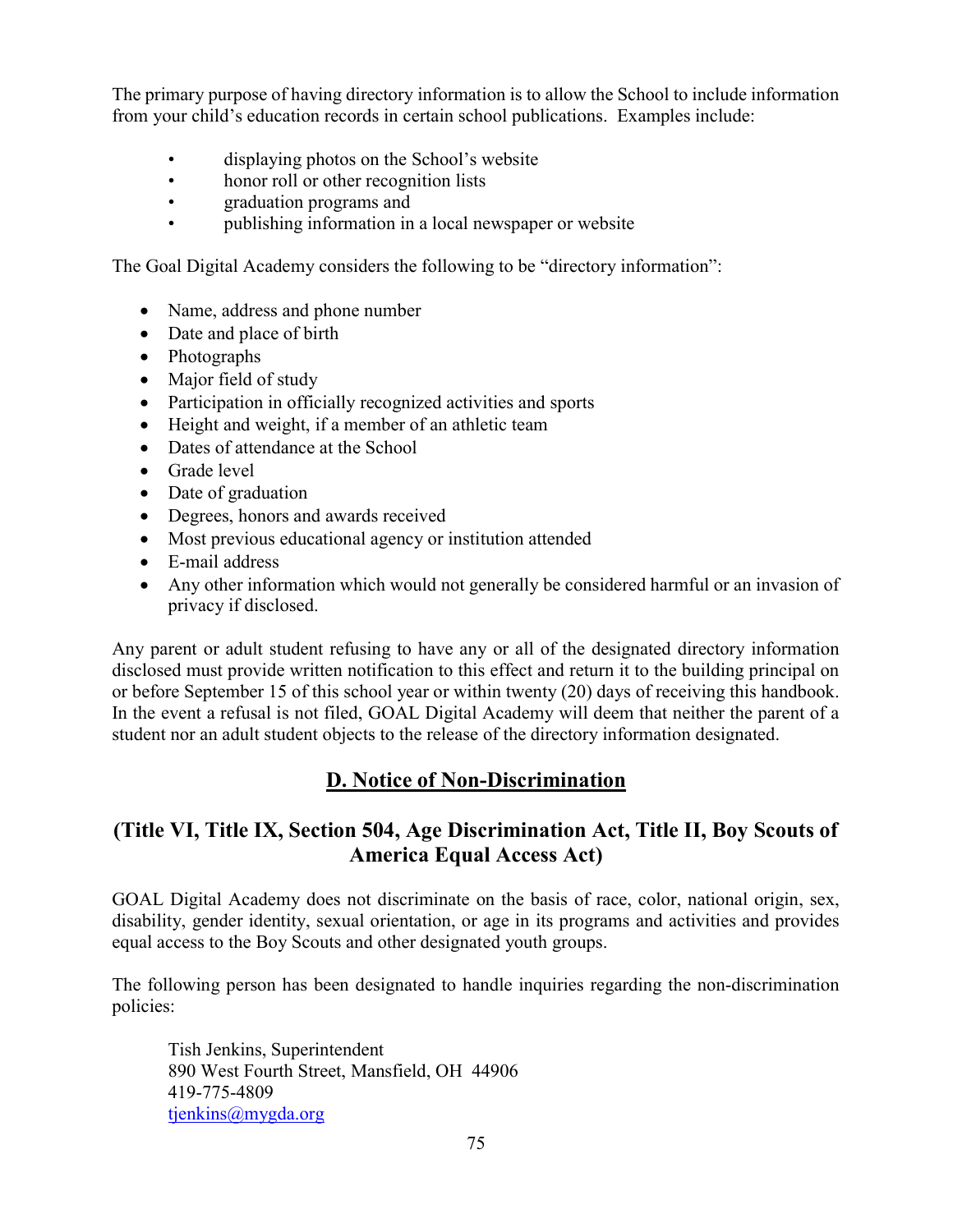The primary purpose of having directory information is to allow the School to include information from your child's education records in certain school publications. Examples include:

- displaying photos on the School's website
- honor roll or other recognition lists
- graduation programs and
- publishing information in a local newspaper or website

The Goal Digital Academy considers the following to be "directory information":

- Name, address and phone number
- Date and place of birth
- Photographs
- Major field of study
- Participation in officially recognized activities and sports
- Height and weight, if a member of an athletic team
- Dates of attendance at the School
- Grade level
- Date of graduation
- Degrees, honors and awards received
- Most previous educational agency or institution attended
- E-mail address
- Any other information which would not generally be considered harmful or an invasion of privacy if disclosed.

Any parent or adult student refusing to have any or all of the designated directory information disclosed must provide written notification to this effect and return it to the building principal on or before September 15 of this school year or within twenty (20) days of receiving this handbook. In the event a refusal is not filed, GOAL Digital Academy will deem that neither the parent of a student nor an adult student objects to the release of the directory information designated.

# D. Notice of Non-Discrimination

## (Title VI, Title IX, Section 504, Age Discrimination Act, Title II, Boy Scouts of America Equal Access Act)

GOAL Digital Academy does not discriminate on the basis of race, color, national origin, sex, disability, gender identity, sexual orientation, or age in its programs and activities and provides equal access to the Boy Scouts and other designated youth groups.

The following person has been designated to handle inquiries regarding the non-discrimination policies:

Tish Jenkins, Superintendent 890 West Fourth Street, Mansfield, OH 44906 419-775-4809 tienkins@mygda.org